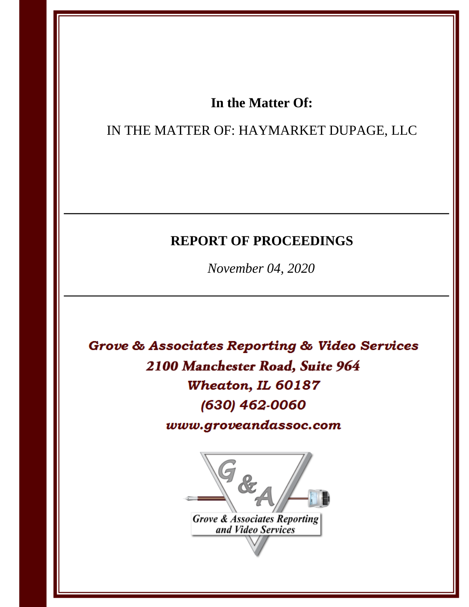# In the Matter Of:

IN THE MATTER OF: HAYMARKET DUPAGE, LLC

# **REPORT OF PROCEEDINGS**

November 04, 2020

Grove & Associates Reporting & Video Services 2100 Manchester Road, Suite 964 Wheaton, IL 60187 (630) 462-0060 www.groveandassoc.com



Grove & Associates Reporting<br>and Video Services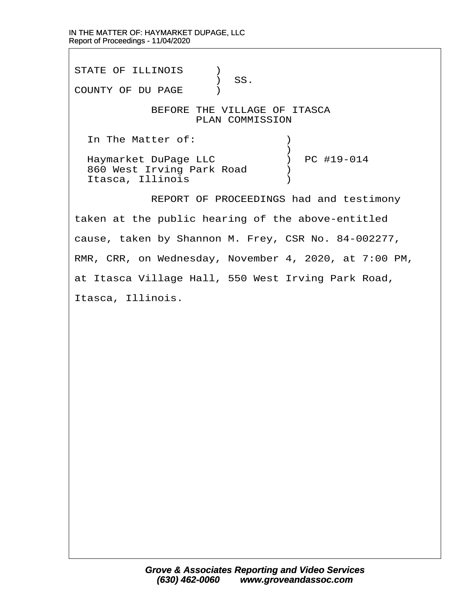STATE OF ILLINOIS  $\qquad$  ) ) SS. COUNTY OF DU PAGE ) BEFORE THE VILLAGE OF ITASCA PLAN COMMISSION In The Matter of:  $\qquad \qquad$  )  $\big)$ Haymarket DuPage LLC (a) PC #19-014 860 West Irving Park Road (b) · Itasca, Illinois· · · · · · · ·)

REPORT OF PROCEEDINGS had and testimony taken at the public hearing of the above-entitled cause, taken by Shannon M. Frey, CSR No. 84-002277, RMR, CRR, on Wednesday, November 4, 2020, at 7:00 PM, at Itasca Village Hall, 550 West Irving Park Road, Itasca, Illinois.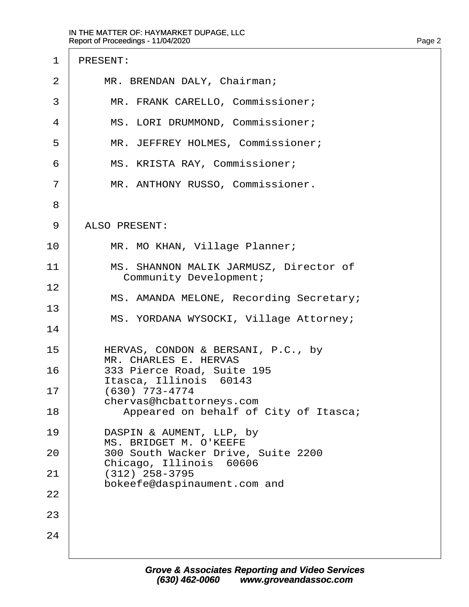| $\mathbf 1$    | PRESENT:                                                          |
|----------------|-------------------------------------------------------------------|
| $\overline{2}$ | MR. BRENDAN DALY, Chairman;                                       |
| 3              | MR. FRANK CARELLO, Commissioner;                                  |
| 4              | MS. LORI DRUMMOND, Commissioner;                                  |
| 5              | MR. JEFFREY HOLMES, Commissioner;                                 |
| 6              | MS. KRISTA RAY, Commissioner;                                     |
| 7              | MR. ANTHONY RUSSO, Commissioner.                                  |
| 8              |                                                                   |
| 9              | ALSO PRESENT:                                                     |
| 10             | MR. MO KHAN, Village Planner;                                     |
| 11             | MS. SHANNON MALIK JARMUSZ, Director of<br>Community Development;  |
| 12             |                                                                   |
| 13             | MS. AMANDA MELONE, Recording Secretary;                           |
| 14             | MS. YORDANA WYSOCKI, Village Attorney;                            |
| 15             | HERVAS, CONDON & BERSANI, P.C., by                                |
| 16             | MR. CHARLES E. HERVAS<br>333 Pierce Road, Suite 195               |
| 17             | Itasca, Illinois 60143<br>$(630)$ 773-4774                        |
| 18             | chervas@hcbattorneys.com<br>Appeared on behalf of City of Itasca; |
| 19             | DASPIN & AUMENT, LLP, by                                          |
| 20             | MS. BRIDGET M. O'KEEFE<br>300 South Wacker Drive, Suite 2200      |
| 21             | Chicago, Illinois 60606<br>$(312)$ 258-3795                       |
| 22             | bokeefe@daspinaument.com and                                      |
| 23             |                                                                   |
| 24             |                                                                   |
|                |                                                                   |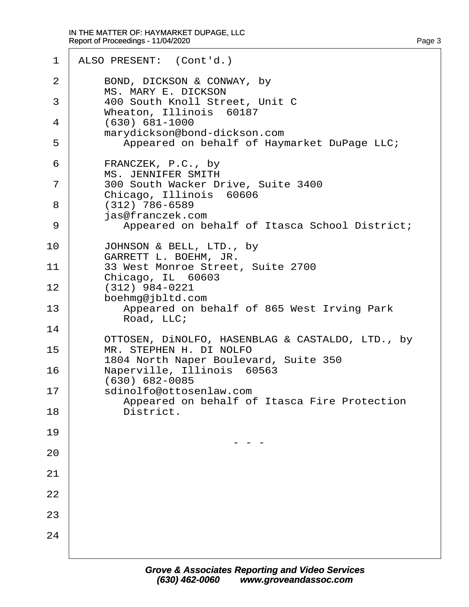#### IN THE MATTER OF: HAYMARKET DUPAGE, LLC Report of Proceedings - 11/04/2020 Page 3 (1999) and the state of the state of the state of the state of the state of the state of the state of the state of the state of the state of the state of the state of the state of the state of the state of the state

1 | ALSO PRESENT: (Cont'd.) 2 BOND, DICKSON & CONWAY, by MS. MARY E. DICKSON 3 | 400 South Knoll Street, Unit C Wheaton, Illinois 60187  $4 | (630) 681 - 1000$ marydickson@bond-dickson.com 5 | Appeared on behalf of Haymarket DuPage LLC; 6 FRANCZEK, P.C., by MS. JENNIFER SMITH 7 | 300 South Wacker Drive, Suite 3400 Chicago, Illinois 60606 ·8· · · ·(312) 786-6589 · · · · ·jas@franczek.com 9 | Appeared on behalf of Itasca School District; 10 JOHNSON & BELL, LTD., by GARRETT L. BOEHM, JR. 11 | 33 West Monroe Street, Suite 2700 Chicago, IL 60603  $12$   $(312)$  984-0221 boehmq@jbltd.com 13 **I Appeared on behalf of 865 West Irving Park** Road, LLC; 14 OTTOSEN, DINOLFO, HASENBLAG & CASTALDO, LTD., by 15 | MR. STEPHEN H. DI NOLFO 1804 North Naper Boulevard, Suite 350 16 | Naperville, Illinois 60563  $(630) 682 - 0085$ 17 Sdinolfo@ottosenlaw.com Appeared on behalf of Itasca Fire Protection 18 District. 19 · · · · · · · · · · · · · · ·- - - 20 21 22 23 24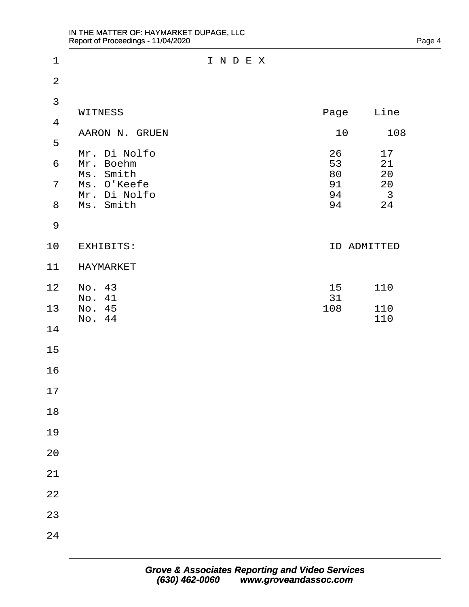| $1\,$          |                           | INDEX |          |                               |
|----------------|---------------------------|-------|----------|-------------------------------|
| $\overline{a}$ |                           |       |          |                               |
| 3              | WITNESS                   |       |          | Line                          |
| $\overline{4}$ |                           |       | Page     |                               |
| 5              | AARON N. GRUEN            |       | 10       | 108                           |
| 6              | Mr. Di Nolfo<br>Mr. Boehm |       | 26<br>53 | 17<br>21                      |
| $\overline{7}$ | Ms. Smith<br>Ms. O'Keefe  |       | 80<br>91 | 20<br>20                      |
| $\,8\,$        | Mr. Di Nolfo<br>Ms. Smith |       | 94<br>94 | $\overline{\mathbf{3}}$<br>24 |
| $\mathsf 9$    |                           |       |          |                               |
| 10             | EXHIBITS:                 |       |          | ID ADMITTED                   |
| 11             | HAYMARKET                 |       |          |                               |
| 12             | No. 43<br>No. 41          |       | 15<br>31 | 110                           |
| 13             | No. 45<br>No. 44          |       | 108      | 110<br>110                    |
| 14             |                           |       |          |                               |
| $15$           |                           |       |          |                               |
| 16             |                           |       |          |                               |
| 17             |                           |       |          |                               |
| $18\,$         |                           |       |          |                               |
| 19             |                           |       |          |                               |
| $20$           |                           |       |          |                               |
| 21             |                           |       |          |                               |
| $2\sqrt{2}$    |                           |       |          |                               |
| 23             |                           |       |          |                               |
| 24             |                           |       |          |                               |
|                |                           |       |          |                               |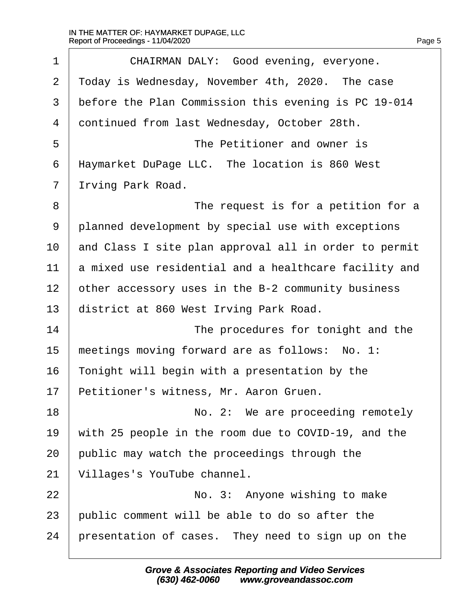$\Gamma$ 

| $\mathbf 1$ | CHAIRMAN DALY: Good evening, everyone.                |
|-------------|-------------------------------------------------------|
| 2           | Today is Wednesday, November 4th, 2020. The case      |
| 3           | before the Plan Commission this evening is PC 19-014  |
| 4           | continued from last Wednesday, October 28th.          |
| 5           | The Petitioner and owner is                           |
| 6           | Haymarket DuPage LLC. The location is 860 West        |
| 7           | Irving Park Road.                                     |
| 8           | The request is for a petition for a                   |
| 9           | planned development by special use with exceptions    |
| 10          | and Class I site plan approval all in order to permit |
| 11          | a mixed use residential and a healthcare facility and |
| 12          | other accessory uses in the B-2 community business    |
| 13          | district at 860 West Irving Park Road.                |
| 14          | The procedures for tonight and the                    |
| 15          | meetings moving forward are as follows: No. 1:        |
| 16          | Tonight will begin with a presentation by the         |
| 17          | Petitioner's witness, Mr. Aaron Gruen.                |
| 18          | No. 2: We are proceeding remotely                     |
| 19          | with 25 people in the room due to COVID-19, and the   |
| 20          | public may watch the proceedings through the          |
| 21          | Villages's YouTube channel.                           |
| 22          | No. 3: Anyone wishing to make                         |
| 23          | public comment will be able to do so after the        |
| 24          | presentation of cases. They need to sign up on the    |
|             |                                                       |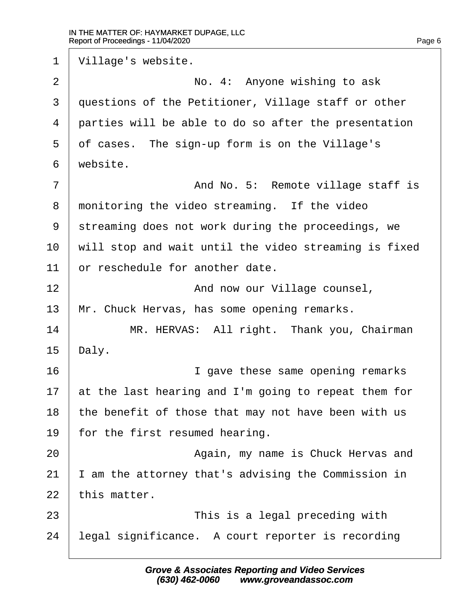1 | Village's website. 2 | No. 4: Anyone wishing to ask 3 questions of the Petitioner, Village staff or other  $4$   $\vert$  parties will be able to do so after the presentation  $5$  of cases. The sign-up form is on the Village's  $6$  website. ·7· · · · · · · · · · ·And No. 5:· Remote village staff is 8 monitoring the video streaming. If the video 9 streaming does not work during the proceedings, we  $10$   $\vert$  will stop and wait until the video streaming is fixed  $11$   $\vert$  or reschedule for another date. 12 | **And now our Village counsel**, 13 | Mr. Chuck Hervas, has some opening remarks. 14 | MR. HERVAS: All right. Thank you, Chairman  $15$  Daly. 16 arr 1 aave these same opening remarks 17  $\vert$  at the last hearing and I'm going to repeat them for 18  $\parallel$  the benefit of those that may not have been with us  $19$  | for the first resumed hearing. 20· · · · · · · · · · ·Again, my name is Chuck Hervas and  $21$  | I am the attorney that's advising the Commission in  $22$  | this matter. 23· · · · · · · · · · ·This is a legal preceding with  $24$  | legal significance. A court reporter is recording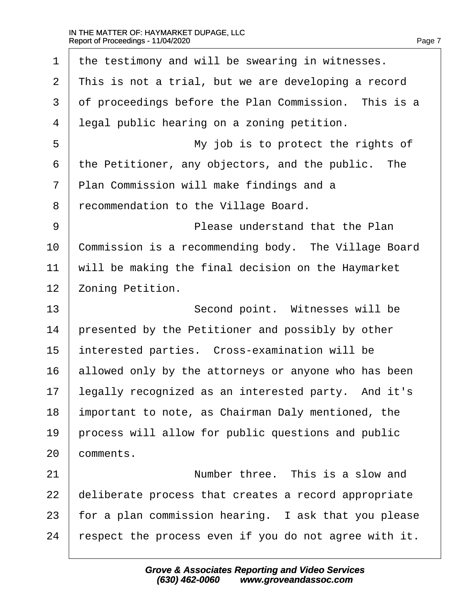$\Gamma$ 

| This is not a trial, but we are developing a record  |
|------------------------------------------------------|
| of proceedings before the Plan Commission. This is a |
| legal public hearing on a zoning petition.           |
| My job is to protect the rights of                   |
| the Petitioner, any objectors, and the public. The   |
| Plan Commission will make findings and a             |
| recommendation to the Village Board.                 |
| Please understand that the Plan                      |
| Commission is a recommending body. The Village Board |
| will be making the final decision on the Haymarket   |
| Zoning Petition.                                     |
|                                                      |
| Second point. Witnesses will be                      |
| presented by the Petitioner and possibly by other    |
| interested parties. Cross-examination will be        |
| allowed only by the attorneys or anyone who has been |
| legally recognized as an interested party. And it's  |
| important to note, as Chairman Daly mentioned, the   |
| process will allow for public questions and public   |
| comments.                                            |
| Number three. This is a slow and                     |
| deliberate process that creates a record appropriate |
| for a plan commission hearing. I ask that you please |
|                                                      |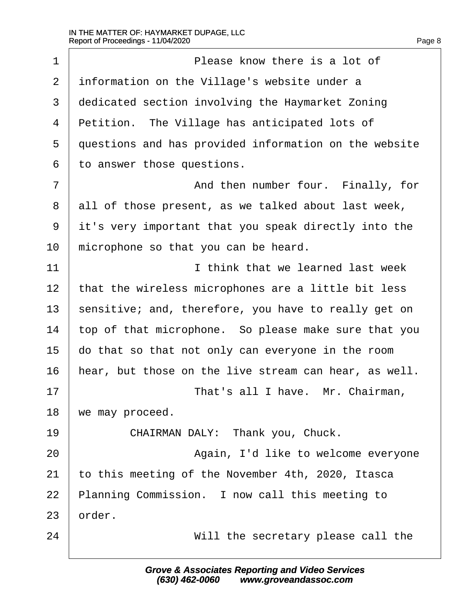$\Gamma$ 

| $\mathbf 1$    | Please know there is a lot of                         |
|----------------|-------------------------------------------------------|
| $\overline{2}$ | information on the Village's website under a          |
| 3              | dedicated section involving the Haymarket Zoning      |
| 4              | Petition. The Village has anticipated lots of         |
| 5              | questions and has provided information on the website |
| 6              | to answer those questions.                            |
| 7              | And then number four. Finally, for                    |
| 8              | all of those present, as we talked about last week,   |
| 9              | it's very important that you speak directly into the  |
| 10             | microphone so that you can be heard.                  |
| 11             | I think that we learned last week                     |
| 12             | that the wireless microphones are a little bit less   |
| 13             | sensitive; and, therefore, you have to really get on  |
| 14             | top of that microphone. So please make sure that you  |
| 15             | do that so that not only can everyone in the room     |
| 16             | hear, but those on the live stream can hear, as well. |
| 17             | That's all I have. Mr. Chairman,                      |
| 18             | we may proceed.                                       |
| 19             | CHAIRMAN DALY: Thank you, Chuck.                      |
| 20             | Again, I'd like to welcome everyone                   |
| 21             | to this meeting of the November 4th, 2020, Itasca     |
| 22             | Planning Commission. I now call this meeting to       |
| 23             | order.                                                |
| 24             | Will the secretary please call the                    |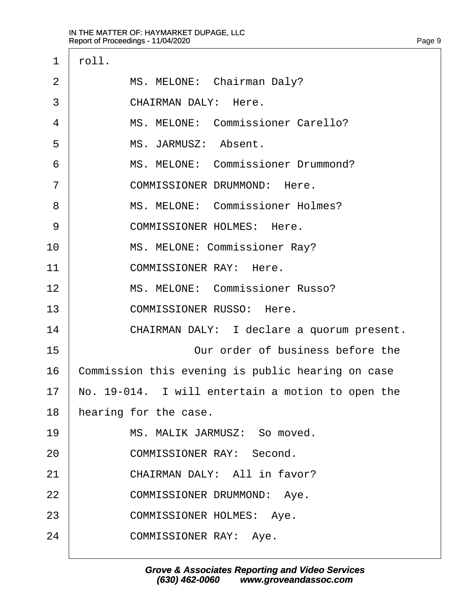| $\mathbf 1$    | roll.                                             |
|----------------|---------------------------------------------------|
| $\overline{2}$ | MS. MELONE: Chairman Daly?                        |
| 3              | CHAIRMAN DALY: Here.                              |
| 4              | MS. MELONE: Commissioner Carello?                 |
| 5              | MS. JARMUSZ: Absent.                              |
| 6              | MS. MELONE: Commissioner Drummond?                |
| 7              | COMMISSIONER DRUMMOND: Here.                      |
| 8              | MS. MELONE: Commissioner Holmes?                  |
| 9              | COMMISSIONER HOLMES: Here.                        |
| 10             | MS. MELONE: Commissioner Ray?                     |
| 11             | COMMISSIONER RAY: Here.                           |
| 12             | MS. MELONE: Commissioner Russo?                   |
| 13             | COMMISSIONER RUSSO: Here.                         |
| 14             | CHAIRMAN DALY: I declare a quorum present.        |
| 15             | Our order of business before the                  |
| 16             | Commission this evening is public hearing on case |
| 17             | No. 19-014. I will entertain a motion to open the |
| 18             | hearing for the case.                             |
| 19             | MS. MALIK JARMUSZ: So moved.                      |
| 20             | COMMISSIONER RAY: Second.                         |
| 21             | CHAIRMAN DALY: All in favor?                      |
| 22             | COMMISSIONER DRUMMOND: Aye.                       |
| 23             | COMMISSIONER HOLMES: Aye.                         |
| 24             | COMMISSIONER RAY: Aye.                            |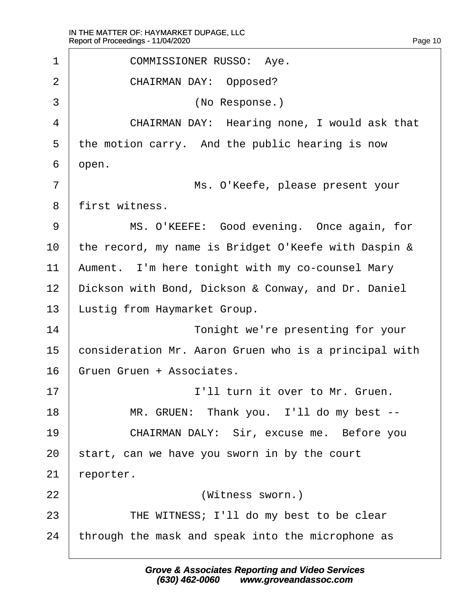1 | COMMISSIONER RUSSO: Aye. 2 | CHAIRMAN DAY: Opposed? ·3· · · · · · · · · · ·(No Response.) 4 | CHAIRMAN DAY: Hearing none, I would ask that  $5$  the motion carry. And the public hearing is now  $6 \mid$  open. ·7· · · · · · · · · · ·Ms. O'Keefe, please present your 8 | first witness. 9 | MS. O'KEEFE: Good evening. Once again, for  $10$  the record, my name is Bridget O'Keefe with Daspin & 11 | Aument. I'm here tonight with my co-counsel Mary 12 | Dickson with Bond, Dickson & Conway, and Dr. Daniel 13 | Lustig from Haymarket Group. 14 a consider the verte presenting for your 15  $\vert$  consideration Mr. Aaron Gruen who is a principal with 16 Gruen Gruen + Associates. 17· · · · · · · · · · ·I'll turn it over to Mr. Gruen. 18 | MR. GRUEN: Thank you. I'll do my best --19 | CHAIRMAN DALY: Sir, excuse me. Before you  $20$  | start, can we have you sworn in by the court  $21$  reporter. 22 | **Witness Sworn.**) 23 | THE WITNESS; I'll do my best to be clear 24 through the mask and speak into the microphone as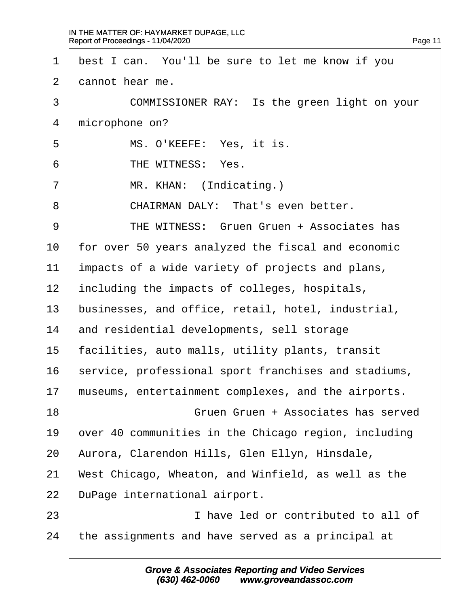$\Gamma$ 

| $\mathbf 1$ | best I can. You'll be sure to let me know if you     |
|-------------|------------------------------------------------------|
| 2           | cannot hear me.                                      |
| 3           | COMMISSIONER RAY: Is the green light on your         |
| 4           | microphone on?                                       |
| 5           | MS. O'KEEFE: Yes, it is.                             |
| 6           | THE WITNESS: Yes.                                    |
| 7           | MR. KHAN: (Indicating.)                              |
| 8           | CHAIRMAN DALY: That's even better.                   |
| 9           | THE WITNESS: Gruen Gruen + Associates has            |
| 10          | for over 50 years analyzed the fiscal and economic   |
| 11          | impacts of a wide variety of projects and plans,     |
| 12          | including the impacts of colleges, hospitals,        |
| 13          | businesses, and office, retail, hotel, industrial,   |
| 14          | and residential developments, sell storage           |
| 15          | facilities, auto malls, utility plants, transit      |
| 16          | service, professional sport franchises and stadiums, |
| 17          | museums, entertainment complexes, and the airports.  |
| 18          | Gruen Gruen + Associates has served                  |
| 19          | over 40 communities in the Chicago region, including |
| 20          | Aurora, Clarendon Hills, Glen Ellyn, Hinsdale,       |
| 21          | West Chicago, Wheaton, and Winfield, as well as the  |
| 22          | DuPage international airport.                        |
| 23          | I have led or contributed to all of                  |
| 24          | the assignments and have served as a principal at    |
|             |                                                      |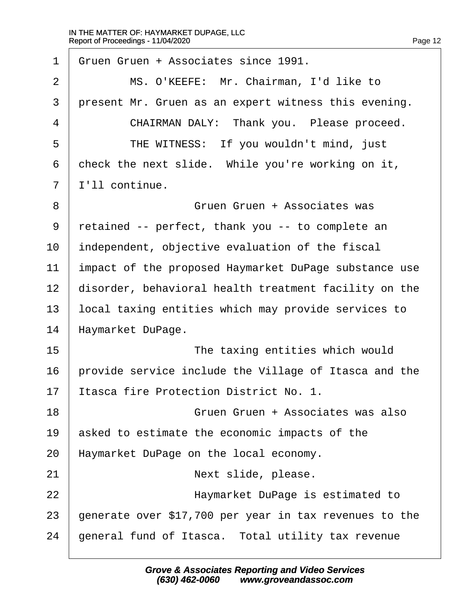$\Gamma$ 

| Gruen Gruen + Associates since 1991.                   |
|--------------------------------------------------------|
| MS. O'KEEFE: Mr. Chairman, I'd like to                 |
| present Mr. Gruen as an expert witness this evening.   |
| CHAIRMAN DALY: Thank you. Please proceed.              |
| THE WITNESS: If you wouldn't mind, just                |
| check the next slide. While you're working on it,      |
| I'll continue.                                         |
| Gruen Gruen + Associates was                           |
| retained -- perfect, thank you -- to complete an       |
| independent, objective evaluation of the fiscal        |
| impact of the proposed Haymarket DuPage substance use  |
| disorder, behavioral health treatment facility on the  |
| local taxing entities which may provide services to    |
| Haymarket DuPage.                                      |
| The taxing entities which would                        |
| provide service include the Village of Itasca and the  |
| Itasca fire Protection District No. 1.                 |
| Gruen Gruen + Associates was also                      |
| asked to estimate the economic impacts of the          |
| Haymarket DuPage on the local economy.                 |
|                                                        |
| Next slide, please.                                    |
| Haymarket DuPage is estimated to                       |
| generate over \$17,700 per year in tax revenues to the |
|                                                        |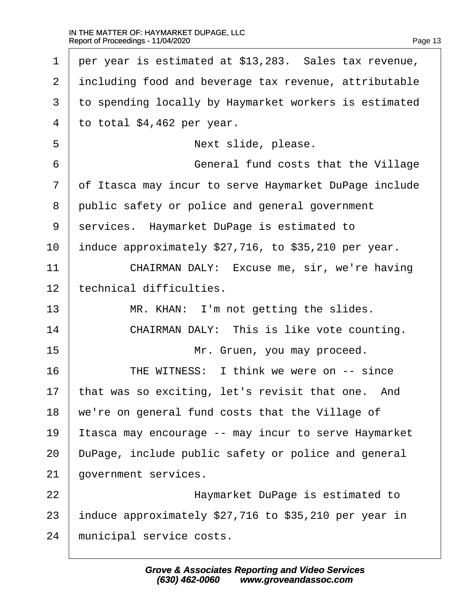| $\mathbf 1$ | per year is estimated at \$13,283. Sales tax revenue, |
|-------------|-------------------------------------------------------|
| 2           | including food and beverage tax revenue, attributable |
| 3           | to spending locally by Haymarket workers is estimated |
| 4           | to total \$4,462 per year.                            |
| 5           | Next slide, please.                                   |
| 6           | General fund costs that the Village                   |
| 7           | of Itasca may incur to serve Haymarket DuPage include |
| 8           | public safety or police and general government        |
| 9           | services. Haymarket DuPage is estimated to            |
| 10          | induce approximately \$27,716, to \$35,210 per year.  |
| 11          | CHAIRMAN DALY: Excuse me, sir, we're having           |
| 12          | technical difficulties.                               |
| 13          | MR. KHAN: I'm not getting the slides.                 |
| 14          | CHAIRMAN DALY: This is like vote counting.            |
| 15          | Mr. Gruen, you may proceed.                           |
| 16          | THE WITNESS: I think we were on -- since              |
| 17          | that was so exciting, let's revisit that one. And     |
| 18          | we're on general fund costs that the Village of       |
| 19          | Itasca may encourage -- may incur to serve Haymarket  |
| 20          | DuPage, include public safety or police and general   |
| 21          | government services.                                  |
| 22          | Haymarket DuPage is estimated to                      |
| 23          | induce approximately \$27,716 to \$35,210 per year in |
| 24          | municipal service costs.                              |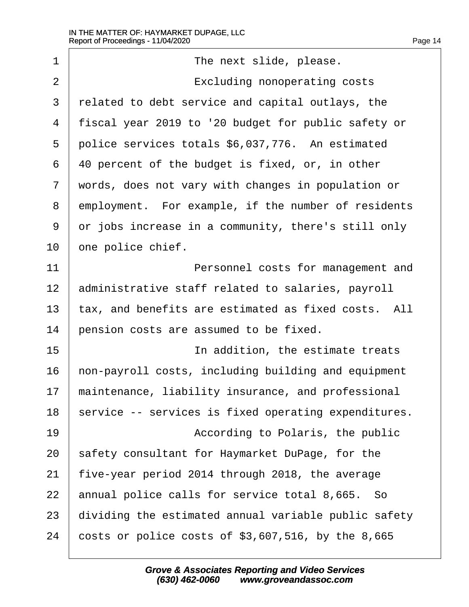| $\mathbf 1$    | The next slide, please.                              |
|----------------|------------------------------------------------------|
| $\overline{2}$ | Excluding nonoperating costs                         |
| 3              | related to debt service and capital outlays, the     |
| $\overline{4}$ | fiscal year 2019 to '20 budget for public safety or  |
| 5              | police services totals \$6,037,776. An estimated     |
| 6              | 40 percent of the budget is fixed, or, in other      |
| 7              | words, does not vary with changes in population or   |
| 8              | employment. For example, if the number of residents  |
| 9              | or jobs increase in a community, there's still only  |
| 10             | one police chief.                                    |
| 11             | Personnel costs for management and                   |
| 12             | administrative staff related to salaries, payroll    |
| 13             | tax, and benefits are estimated as fixed costs. All  |
| 14             | pension costs are assumed to be fixed.               |
| 15             | In addition, the estimate treats                     |
| 16             | non-payroll costs, including building and equipment  |
| 17             | maintenance, liability insurance, and professional   |
| 18             | service -- services is fixed operating expenditures. |
| 19             | According to Polaris, the public                     |
| 20             | safety consultant for Haymarket DuPage, for the      |
| 21             | five-year period 2014 through 2018, the average      |
| 22             | annual police calls for service total 8,665. So      |
| 23             | dividing the estimated annual variable public safety |
| 24             | costs or police costs of $$3,607,516$ , by the 8,665 |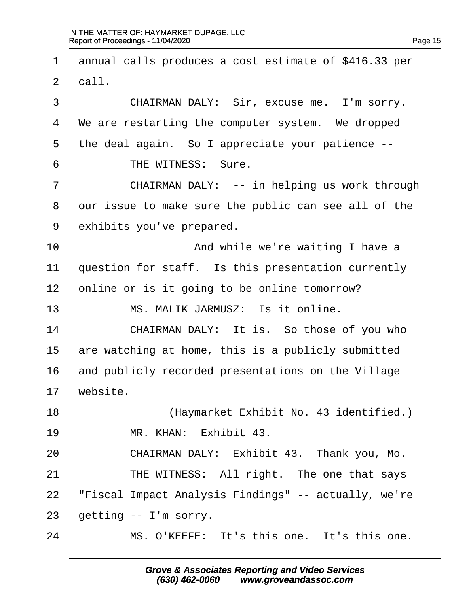1 | annual calls produces a cost estimate of \$416.33 per  $2 \mid$  call. 3 CHAIRMAN DALY: Sir, excuse me. I'm sorry.  $4 \mid$  We are restarting the computer system. We dropped  $5$  the deal again. So I appreciate your patience  $-$ -6 FIHE WITNESS: Sure. 7 | CHAIRMAN DALY: -- in helping us work through 8 our issue to make sure the public can see all of the 9 exhibits you've prepared. 10 and while we're waiting I have a  $11$   $\mid$  question for staff. Is this presentation currently  $12$  online or is it going to be online tomorrow? 13· · · · · ·MS. MALIK JARMUSZ:· Is it online. 14 CHAIRMAN DALY: It is. So those of you who 15  $\vert$  are watching at home, this is a publicly submitted  $16$  and publicly recorded presentations on the Village  $17$  website. 18 | (Haymarket Exhibit No. 43 identified.) 19· · · · · ·MR. KHAN:· Exhibit 43. 20 CHAIRMAN DALY: Exhibit 43. Thank you, Mo. 21 | THE WITNESS: All right. The one that says 22 | "Fiscal Impact Analysis Findings" -- actually, we're  $23$  | getting  $-$  I'm sorry. 24 · · · · · · MS. O'KEEFE: It's this one. It's this one.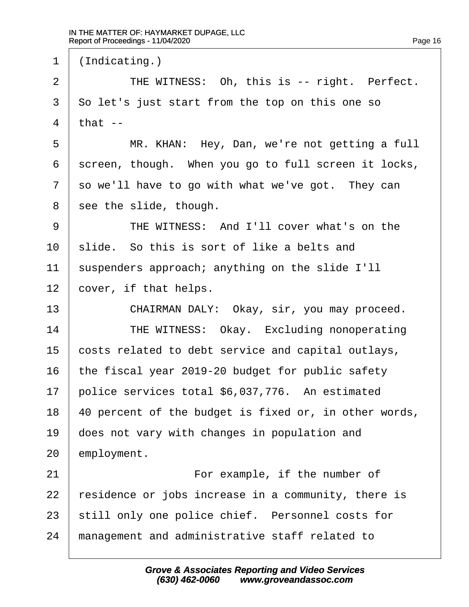$1$  (Indicating.) 2 | THE WITNESS: Oh, this is -- right. Perfect.  $3 \mid$  So let's just start from the top on this one so  $4$  | that  $-$ 5 | MR. KHAN: Hey, Dan, we're not getting a full  $6$  screen, though. When you go to full screen it locks,  $7$  so we'll have to go with what we've got. They can  $8$  | see the slide, though. ·9· · · · · ·THE WITNESS:· And I'll cover what's on the  $10$   $\vert$  slide. So this is sort of like a belts and  $11$  suspenders approach; anything on the slide I'll  $12$  | cover, if that helps. 13 | CHAIRMAN DALY: Okay, sir, you may proceed. 14 THE WITNESS: Okay. Excluding nonoperating 15  $\vert$  costs related to debt service and capital outlays, 16  $\vert$  the fiscal year 2019-20 budget for public safety  $17$  police services total \$6,037,776. An estimated  $18$  | 40 percent of the budget is fixed or, in other words, 19 aoes not vary with changes in population and  $20$  employment. 21 | **For example, if the number of**  $22$  | residence or jobs increase in a community, there is  $23$  still only one police chief. Personnel costs for 24 I management and administrative staff related to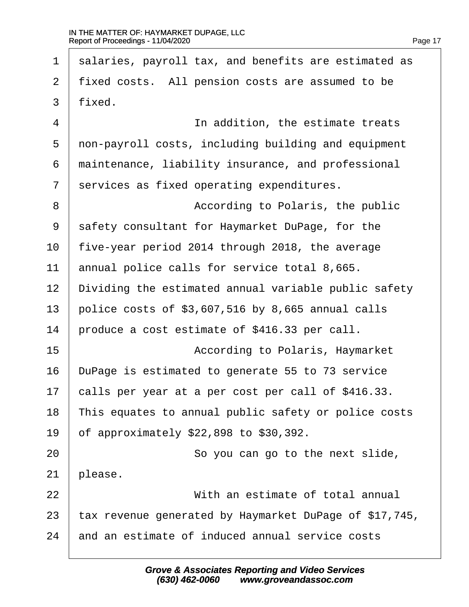1 | salaries, payroll tax, and benefits are estimated as 2 | fixed costs. All pension costs are assumed to be  $3 \mid$  fixed. 4 a straight in addition, the estimate treats 5 | non-payroll costs, including building and equipment  $6$   $\mid$  maintenance, liability insurance, and professional  $7$  | services as fixed operating expenditures. 8 | According to Polaris, the public 9 safety consultant for Haymarket DuPage, for the  $10$  | five-year period 2014 through 2018, the average  $11$  annual police calls for service total 8,665.  $12$   $\mid$  Dividing the estimated annual variable public safety 13 | police costs of  $$3,607,516$  by 8,665 annual calls  $14$   $\mid$  produce a cost estimate of \$416.33 per call. 15 | According to Polaris, Haymarket 16 DuPage is estimated to generate 55 to 73 service 17  $\vert$  calls per year at a per cost per call of \$416.33.  $18$   $\mid$  This equates to annual public safety or police costs  $19$  of approximately \$22,898 to \$30,392. 20 | **So you can go to the next slide**,  $21$  | please. 22· · · · · · · · · · ·With an estimate of total annual 23  $\vert$  tax revenue generated by Haymarket DuPage of \$17,745,  $24$   $\mid$  and an estimate of induced annual service costs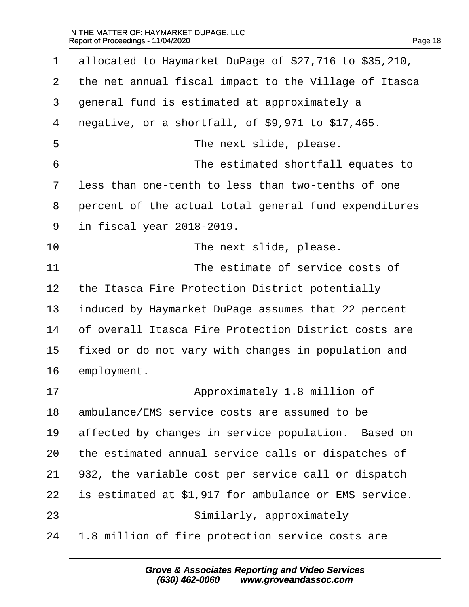$\Gamma$ 

| $\mathbf 1$ | allocated to Haymarket DuPage of \$27,716 to \$35,210, |
|-------------|--------------------------------------------------------|
| 2           | the net annual fiscal impact to the Village of Itasca  |
| 3           | general fund is estimated at approximately a           |
| 4           | negative, or a shortfall, of \$9,971 to \$17,465.      |
| 5           | The next slide, please.                                |
| 6           | The estimated shortfall equates to                     |
| 7           | less than one-tenth to less than two-tenths of one     |
| 8           | percent of the actual total general fund expenditures  |
| 9           | in fiscal year 2018-2019.                              |
| 10          | The next slide, please.                                |
| 11          | The estimate of service costs of                       |
| 12          | the Itasca Fire Protection District potentially        |
| 13          | induced by Haymarket DuPage assumes that 22 percent    |
| 14          | of overall Itasca Fire Protection District costs are   |
| 15          | fixed or do not vary with changes in population and    |
| 16          | employment.                                            |
| 17          | Approximately 1.8 million of                           |
| 18          | ambulance/EMS service costs are assumed to be          |
| 19          | affected by changes in service population. Based on    |
| 20          | the estimated annual service calls or dispatches of    |
| 21          | 932, the variable cost per service call or dispatch    |
| 22          | is estimated at \$1,917 for ambulance or EMS service.  |
| 23          | Similarly, approximately                               |
| 24          | 1.8 million of fire protection service costs are       |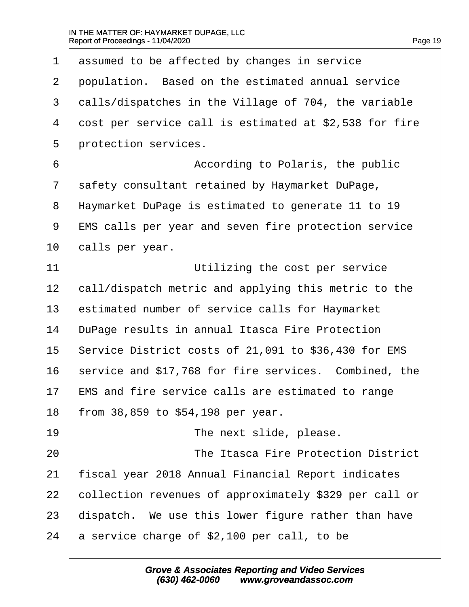| $\mathbf{1}$   | assumed to be affected by changes in service           |
|----------------|--------------------------------------------------------|
| 2              | population. Based on the estimated annual service      |
| 3              | calls/dispatches in the Village of 704, the variable   |
| $\overline{4}$ | cost per service call is estimated at \$2,538 for fire |
| 5              | protection services.                                   |
| 6              | According to Polaris, the public                       |
| 7              | safety consultant retained by Haymarket DuPage,        |
| 8              | Haymarket DuPage is estimated to generate 11 to 19     |
| 9              | EMS calls per year and seven fire protection service   |
| 10             | calls per year.                                        |
| 11             | Utilizing the cost per service                         |
| 12             | call/dispatch metric and applying this metric to the   |
| 13             | estimated number of service calls for Haymarket        |
| 14             | DuPage results in annual Itasca Fire Protection        |
| 15             | Service District costs of 21,091 to \$36,430 for EMS   |
| 16             | service and \$17,768 for fire services. Combined, the  |
| 17             | EMS and fire service calls are estimated to range      |
| 18             | from 38,859 to \$54,198 per year.                      |
| 19             | The next slide, please.                                |
| 20             | The Itasca Fire Protection District                    |
| 21             | fiscal year 2018 Annual Financial Report indicates     |
| 22             | collection revenues of approximately \$329 per call or |
| 23             | dispatch. We use this lower figure rather than have    |
| 24             | a service charge of \$2,100 per call, to be            |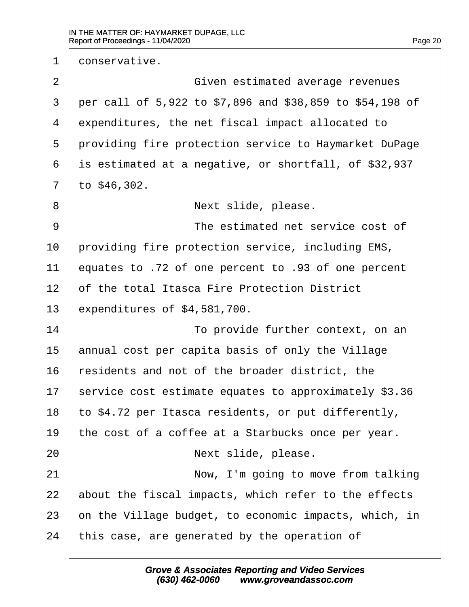1 conservative. 2 | Given estimated average revenues  $3$  | per call of 5,922 to \$7,896 and \$38,859 to \$54,198 of  $4$  expenditures, the net fiscal impact allocated to 5 | providing fire protection service to Haymarket DuPage  $6$  is estimated at a negative, or shortfall, of \$32,937  $7$  | to  $$46,302$ . ·8· · · · · · · · · · ·Next slide, please. 9 a cost of the estimated net service cost of 10 | providing fire protection service, including EMS, 11 equates to .72 of one percent to .93 of one percent 12 of the total Itasca Fire Protection District  $13$  expenditures of  $$4,581,700$ . 14· · · · · · · · · · ·To provide further context, on an 15  $\parallel$  annual cost per capita basis of only the Village  $16$   $\vert$  residents and not of the broader district, the 17 | service cost estimate equates to approximately  $$3.36$ 18 | to \$4.72 per Itasca residents, or put differently, 19 the cost of a coffee at a Starbucks once per year. 20 | **Internal in Sout** Next slide, please. 21 | Now, I'm going to move from talking  $22$  about the fiscal impacts, which refer to the effects  $23$   $\vert$  on the Village budget, to economic impacts, which, in  $24$  | this case, are generated by the operation of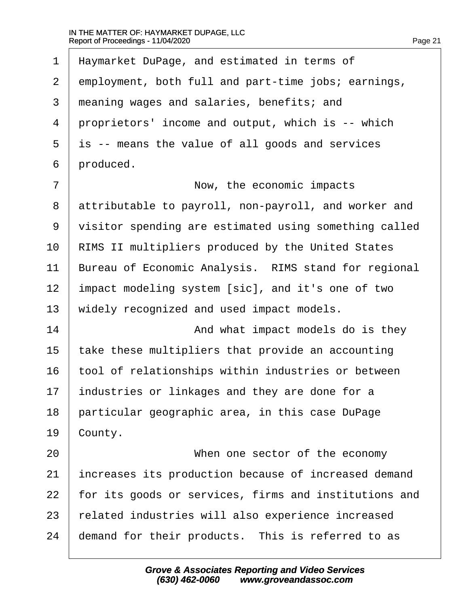$\Gamma$ 

| $\mathbf 1$    | Haymarket DuPage, and estimated in terms of           |
|----------------|-------------------------------------------------------|
| 2              | employment, both full and part-time jobs; earnings,   |
| 3              | meaning wages and salaries, benefits; and             |
| $\overline{4}$ | proprietors' income and output, which is -- which     |
| 5              | is -- means the value of all goods and services       |
| 6              | produced.                                             |
| 7              | Now, the economic impacts                             |
| 8              | attributable to payroll, non-payroll, and worker and  |
| 9              | visitor spending are estimated using something called |
| 10             | RIMS II multipliers produced by the United States     |
| 11             | Bureau of Economic Analysis. RIMS stand for regional  |
| 12             | impact modeling system [sic], and it's one of two     |
| 13             | widely recognized and used impact models.             |
| 14             | And what impact models do is they                     |
| 15             | take these multipliers that provide an accounting     |
| 16             | tool of relationships within industries or between    |
| 17             | industries or linkages and they are done for a        |
| 18             | particular geographic area, in this case DuPage       |
| 19             | County.                                               |
| 20             | When one sector of the economy                        |
| 21             | increases its production because of increased demand  |
| 22             | for its goods or services, firms and institutions and |
| 23             | related industries will also experience increased     |
| 24             | demand for their products. This is referred to as     |
|                |                                                       |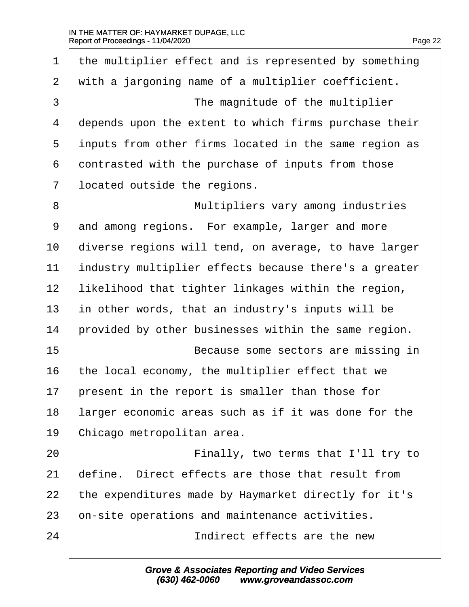| $\mathbf 1$    | the multiplier effect and is represented by something |
|----------------|-------------------------------------------------------|
| 2              | with a jargoning name of a multiplier coefficient.    |
| $\mathfrak{Z}$ | The magnitude of the multiplier                       |
| $\overline{4}$ | depends upon the extent to which firms purchase their |
| 5              | inputs from other firms located in the same region as |
| 6              | contrasted with the purchase of inputs from those     |
| 7              | located outside the regions.                          |
| 8              | Multipliers vary among industries                     |
| 9              | and among regions. For example, larger and more       |
| 10             | diverse regions will tend, on average, to have larger |
| 11             | industry multiplier effects because there's a greater |
| 12             | likelihood that tighter linkages within the region,   |
| 13             | in other words, that an industry's inputs will be     |
| 14             | provided by other businesses within the same region.  |
| 15             | Because some sectors are missing in                   |
| 16             | the local economy, the multiplier effect that we      |
| 17             | present in the report is smaller than those for       |
| 18             | larger economic areas such as if it was done for the  |
| 19             | Chicago metropolitan area.                            |
| 20             | Finally, two terms that I'll try to                   |
| 21             | define. Direct effects are those that result from     |
| 22             | the expenditures made by Haymarket directly for it's  |
| 23             | on-site operations and maintenance activities.        |
| 24             | Indirect effects are the new                          |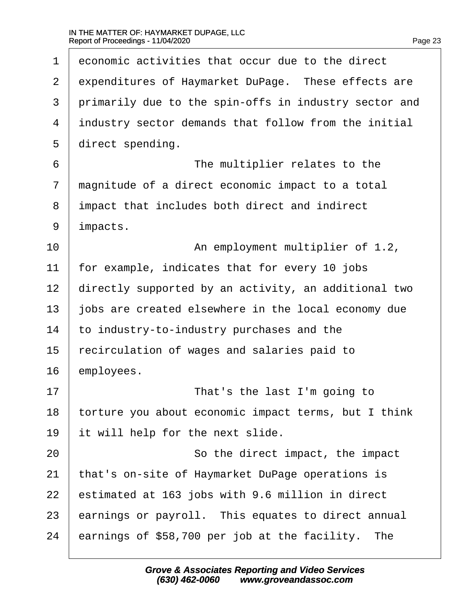$\Gamma$ 

| $\mathbf 1$    | economic activities that occur due to the direct      |
|----------------|-------------------------------------------------------|
| $\overline{2}$ | expenditures of Haymarket DuPage. These effects are   |
| 3              | primarily due to the spin-offs in industry sector and |
| $\overline{4}$ | industry sector demands that follow from the initial  |
| 5              | direct spending.                                      |
| 6              | The multiplier relates to the                         |
| 7              | magnitude of a direct economic impact to a total      |
| 8              | impact that includes both direct and indirect         |
| 9              | impacts.                                              |
| 10             | An employment multiplier of 1.2,                      |
| 11             | for example, indicates that for every 10 jobs         |
| 12             | directly supported by an activity, an additional two  |
| 13             | jobs are created elsewhere in the local economy due   |
| 14             | to industry-to-industry purchases and the             |
| 15             | recirculation of wages and salaries paid to           |
| 16             | employees.                                            |
| 17             | That's the last I'm going to                          |
| 18             | torture you about economic impact terms, but I think  |
| 19             | it will help for the next slide.                      |
| 20             | So the direct impact, the impact                      |
| 21             | that's on-site of Haymarket DuPage operations is      |
| 22             | estimated at 163 jobs with 9.6 million in direct      |
| 23             | earnings or payroll. This equates to direct annual    |
| 24             | earnings of \$58,700 per job at the facility.<br>The  |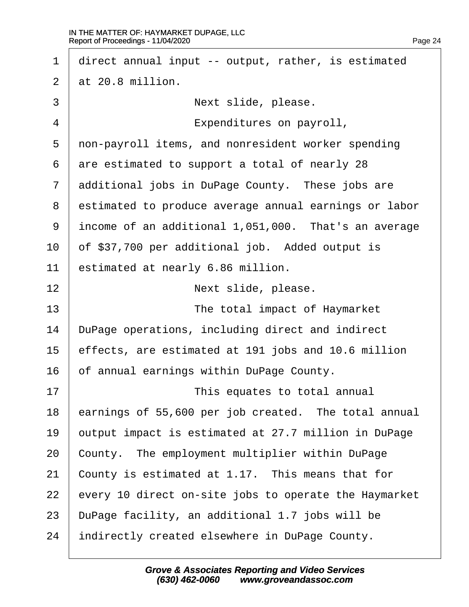| $\mathbf{1}$ | direct annual input -- output, rather, is estimated   |
|--------------|-------------------------------------------------------|
| 2            | at 20.8 million.                                      |
| $\mathsf{3}$ | Next slide, please.                                   |
| 4            | Expenditures on payroll,                              |
| 5            | non-payroll items, and nonresident worker spending    |
| 6            | are estimated to support a total of nearly 28         |
| 7            | additional jobs in DuPage County. These jobs are      |
| 8            | estimated to produce average annual earnings or labor |
| 9            | income of an additional 1,051,000. That's an average  |
| 10           | of \$37,700 per additional job. Added output is       |
| 11           | estimated at nearly 6.86 million.                     |
| 12           | Next slide, please.                                   |
| 13           | The total impact of Haymarket                         |
| 14           | DuPage operations, including direct and indirect      |
| 15           | effects, are estimated at 191 jobs and 10.6 million   |
| 16           | of annual earnings within DuPage County.              |
| 17           | This equates to total annual                          |
| 18           | earnings of 55,600 per job created. The total annual  |
| 19           | output impact is estimated at 27.7 million in DuPage  |
| 20           | County. The employment multiplier within DuPage       |
| 21           | County is estimated at 1.17. This means that for      |
| 22           | every 10 direct on-site jobs to operate the Haymarket |
| 23           | DuPage facility, an additional 1.7 jobs will be       |
|              |                                                       |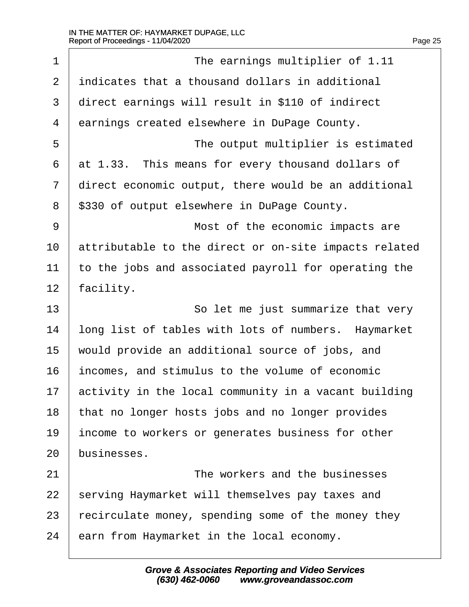$\Gamma$ 

| $\mathbf 1$ | The earnings multiplier of 1.11                       |
|-------------|-------------------------------------------------------|
| 2           | indicates that a thousand dollars in additional       |
| 3           | direct earnings will result in \$110 of indirect      |
| 4           | earnings created elsewhere in DuPage County.          |
| 5           | The output multiplier is estimated                    |
| 6           | at 1.33. This means for every thousand dollars of     |
| 7           | direct economic output, there would be an additional  |
| 8           | \$330 of output elsewhere in DuPage County.           |
| 9           | Most of the economic impacts are                      |
| 10          | attributable to the direct or on-site impacts related |
| 11          | to the jobs and associated payroll for operating the  |
| 12          | facility.                                             |
| 13          | So let me just summarize that very                    |
| 14          | long list of tables with lots of numbers. Haymarket   |
| 15          | would provide an additional source of jobs, and       |
| 16          | incomes, and stimulus to the volume of economic       |
| 17          | activity in the local community in a vacant building  |
| 18          | that no longer hosts jobs and no longer provides      |
| 19          | income to workers or generates business for other     |
| 20          | businesses.                                           |
| 21          | The workers and the businesses                        |
| 22          | serving Haymarket will themselves pay taxes and       |
| 23          | recirculate money, spending some of the money they    |
| 24          | earn from Haymarket in the local economy.             |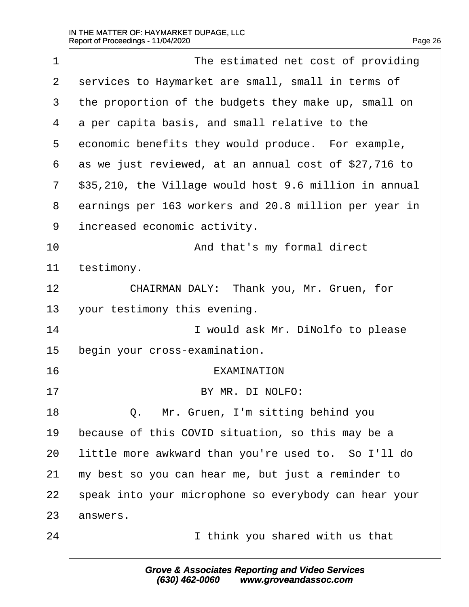| $\mathbf 1$ | The estimated net cost of providing                    |
|-------------|--------------------------------------------------------|
| 2           | services to Haymarket are small, small in terms of     |
| 3           | the proportion of the budgets they make up, small on   |
| 4           | a per capita basis, and small relative to the          |
| 5           | economic benefits they would produce. For example,     |
| 6           | as we just reviewed, at an annual cost of \$27,716 to  |
| 7           | \$35,210, the Village would host 9.6 million in annual |
| 8           | earnings per 163 workers and 20.8 million per year in  |
| 9           | increased economic activity.                           |
| 10          | And that's my formal direct                            |
| 11          | testimony.                                             |
| 12          | CHAIRMAN DALY: Thank you, Mr. Gruen, for               |
| 13          | your testimony this evening.                           |
| 14          | I would ask Mr. DiNolfo to please                      |
| 15          | begin your cross-examination.                          |
| 16          | <b>EXAMINATION</b>                                     |
| 17          | BY MR. DI NOLFO:                                       |
| 18          | Q. Mr. Gruen, I'm sitting behind you                   |
| 19          | because of this COVID situation, so this may be a      |
| 20          | little more awkward than you're used to. So I'll do    |
| 21          | my best so you can hear me, but just a reminder to     |
| 22          | speak into your microphone so everybody can hear your  |
| 23          | answers.                                               |
| 24          | I think you shared with us that                        |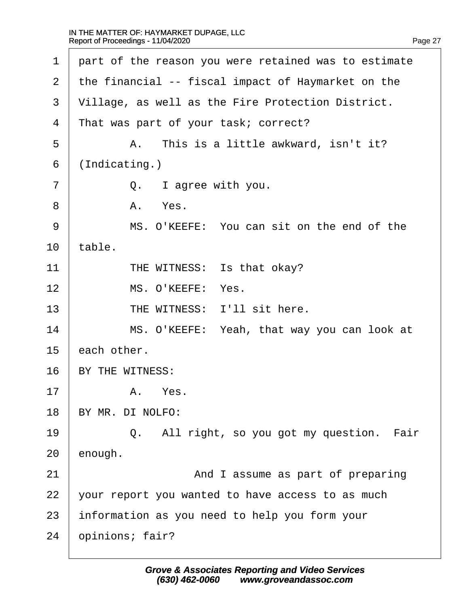$\Gamma$ 

| $\mathbf 1$ | part of the reason you were retained was to estimate |
|-------------|------------------------------------------------------|
| 2           | the financial -- fiscal impact of Haymarket on the   |
| 3           | Village, as well as the Fire Protection District.    |
| 4           | That was part of your task; correct?                 |
| 5           | This is a little awkward, isn't it?<br>Α.            |
| 6           | (Indicating.)                                        |
| 7           | Q. I agree with you.                                 |
| 8           | Yes.<br>Α.                                           |
| 9           | MS. O'KEEFE: You can sit on the end of the           |
| 10          | table.                                               |
| 11          | THE WITNESS: Is that okay?                           |
| 12          | MS. O'KEEFE: Yes.                                    |
| 13          | THE WITNESS: I'll sit here.                          |
| 14          | MS. O'KEEFE: Yeah, that way you can look at          |
| 15          | each other.                                          |
| 16          | BY THE WITNESS:                                      |
| 17          | Yes.<br>Α.                                           |
| 18          | BY MR. DI NOLFO:                                     |
| 19          | Q. All right, so you got my question. Fair           |
| 20          | enough.                                              |
| 21          | And I assume as part of preparing                    |
| 22          | your report you wanted to have access to as much     |
| 23          | information as you need to help you form your        |
| 24          | opinions; fair?                                      |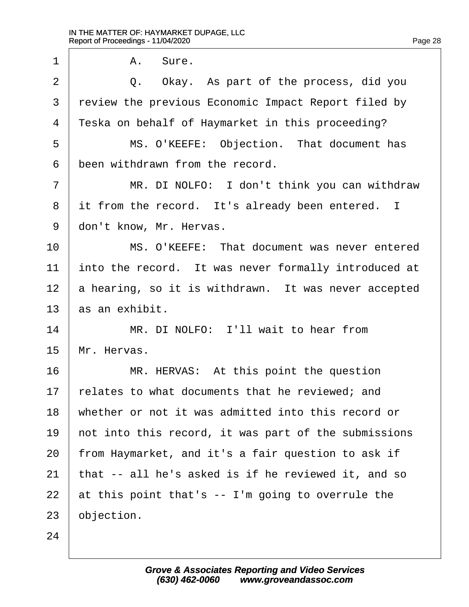$\Gamma$ 

| $\mathbf 1$    | Sure.<br>Α.                                          |
|----------------|------------------------------------------------------|
| $\overline{2}$ | Q. Okay. As part of the process, did you             |
| 3              | review the previous Economic Impact Report filed by  |
| 4              | Teska on behalf of Haymarket in this proceeding?     |
| 5              | MS. O'KEEFE: Objection. That document has            |
| 6              | been withdrawn from the record.                      |
| 7              | MR. DI NOLFO: I don't think you can withdraw         |
| 8              | it from the record. It's already been entered. I     |
| 9              | don't know, Mr. Hervas.                              |
| 10             | MS. O'KEEFE: That document was never entered         |
| 11             | into the record. It was never formally introduced at |
| 12             | a hearing, so it is withdrawn. It was never accepted |
| 13             | as an exhibit.                                       |
| 14             | MR. DI NOLFO: I'll wait to hear from                 |
| 15             | Mr. Hervas.                                          |
| 16             | MR. HERVAS: At this point the question               |
| 17             | relates to what documents that he reviewed; and      |
| 18             | whether or not it was admitted into this record or   |
| 19             | not into this record, it was part of the submissions |
| 20             | from Haymarket, and it's a fair question to ask if   |
| 21             | that -- all he's asked is if he reviewed it, and so  |
| 22             | at this point that's -- I'm going to overrule the    |
| 23             | objection.                                           |
| 24             |                                                      |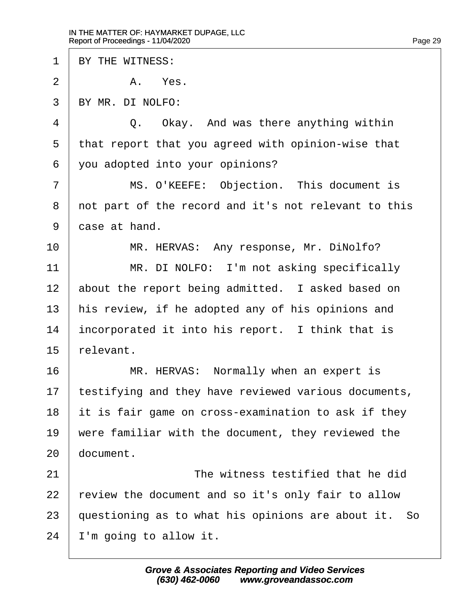1 | BY THE WITNESS:  $2$  |  $2$   $A$   $Yes$ . ·3· ·BY MR. DI NOLFO: 4 0. Okay. And was there anything within  $5$  | that report that you agreed with opinion-wise that  $6$  vou adopted into your opinions? 7 | MS. O'KEEFE: Objection. This document is 8 | not part of the record and it's not relevant to this 9 case at hand. 10 MR. HERVAS: Any response, Mr. DiNolfo? 11 | MR. DI NOLFO: I'm not asking specifically 12 about the report being admitted. I asked based on 13 | his review, if he adopted any of his opinions and  $14$  | incorporated it into his report. I think that is  $15$  relevant. 16 | MR. HERVAS: Normally when an expert is  $17$  | testifying and they have reviewed various documents,  $18$  it is fair game on cross-examination to ask if they  $19$   $\mid$  were familiar with the document, they reviewed the  $20$  document. 21 and  $\lambda$  are interest testified that he did  $22$  | review the document and so it's only fair to allow  $23$  guestioning as to what his opinions are about it. So  $24$  | I'm going to allow it.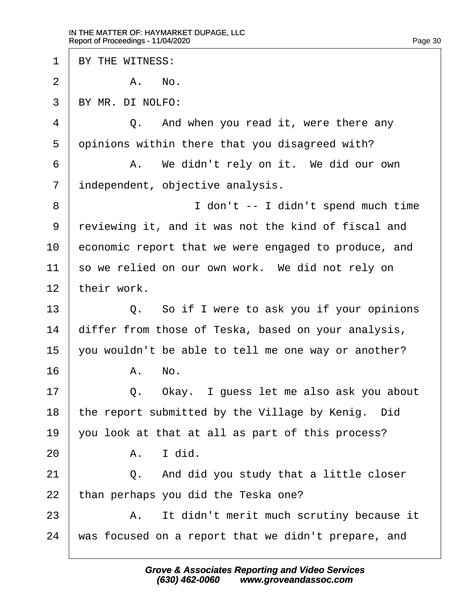1 | BY THE WITNESS:  $2$   $\parallel$   $\blacksquare$   $\blacksquare$   $\blacksquare$   $\blacksquare$   $\blacksquare$   $\blacksquare$   $\blacksquare$   $\blacksquare$   $\blacksquare$   $\blacksquare$   $\blacksquare$   $\blacksquare$   $\blacksquare$   $\blacksquare$   $\blacksquare$   $\blacksquare$   $\blacksquare$   $\blacksquare$   $\blacksquare$   $\blacksquare$   $\blacksquare$   $\blacksquare$   $\blacksquare$   $\blacksquare$   $\blacksquare$   $\blacksquare$   $\blacksquare$   $\blacksquare$   $\blacksquare$   $\blacksquare$   $\$ ·3· ·BY MR. DI NOLFO: 4 0. And when you read it, were there any  $5$  opinions within there that you disagreed with? 6 | A. We didn't rely on it. We did our own 7 | independent, objective analysis. 8 | interest in the spend much time spend much time spend much time 9 reviewing it, and it was not the kind of fiscal and 10 economic report that we were engaged to produce, and 11 so we relied on our own work. We did not rely on  $12$  their work. 13 | Q. So if I were to ask you if your opinions 14 | differ from those of Teska, based on your analysis, 15  $\vert$  vou wouldn't be able to tell me one way or another?  $16$   $A.$   $No.$ 17 | C. Okay. I quess let me also ask you about 18 | the report submitted by the Village by Kenig. Did  $19$  | you look at that at all as part of this process?  $20$   $\overline{A}$ . I did.  $21$   $\vert$  0. And did you study that a little closer  $22$  than perhaps you did the Teska one? 23 | A. It didn't merit much scrutiny because it  $24$   $\mid$  was focused on a report that we didn't prepare, and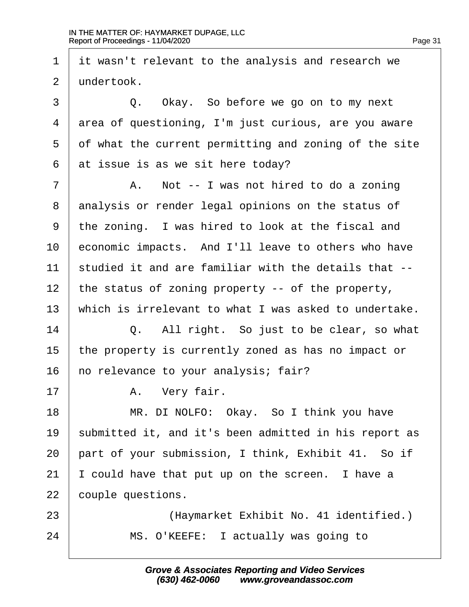1 it wasn't relevant to the analysis and research we  $2 \perp$ undertook. 3 0. Okay. So before we go on to my next 4 area of questioning, I'm just curious, are you aware  $5·$  of what the current permitting and zoning of the site  $6$  at issue is as we sit here today? 7 | A. Not -- I was not hired to do a zoning 8 analysis or render legal opinions on the status of  $9$   $\pm$  the zoning. I was hired to look at the fiscal and 10 | economic impacts. And I'll leave to others who have  $11$   $\parallel$  studied it and are familiar with the details that --12 | the status of zoning property  $-$  of the property, 13 | which is irrelevant to what I was asked to undertake.  $14$   $\vert$  0. All right. So just to be clear, so what 15  $\vert$  the property is currently zoned as has no impact or  $16$   $\vert$  no relevance to your analysis; fair? 17 | A. Very fair. 18 | MR. DI NOLFO: Okay. So I think you have 19 submitted it, and it's been admitted in his report as  $20$  part of your submission, I think, Exhibit 41. So if  $21$  | I could have that put up on the screen. I have a 22 couple questions. 23 | (Haymarket Exhibit No. 41 identified.) 24 | MS. O'KEEFE: I actually was going to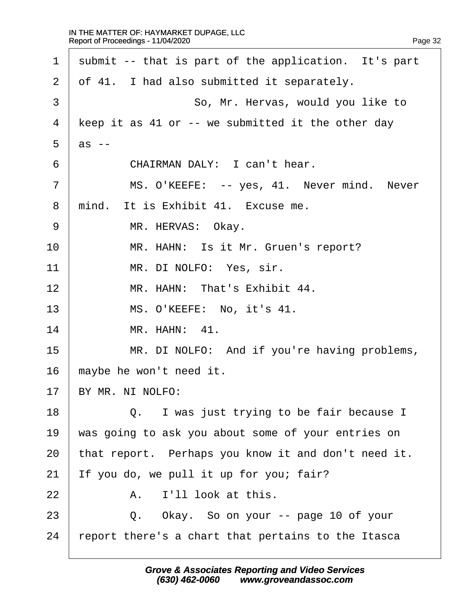$\Gamma$ 

| submit -- that is part of the application. It's part |
|------------------------------------------------------|
| of 41. I had also submitted it separately.           |
| So, Mr. Hervas, would you like to                    |
| keep it as 41 or -- we submitted it the other day    |
| $as$ --                                              |
| CHAIRMAN DALY: I can't hear.                         |
| MS. O'KEEFE: -- yes, 41. Never mind. Never           |
| mind. It is Exhibit 41. Excuse me.                   |
| MR. HERVAS: Okay.                                    |
| MR. HAHN: Is it Mr. Gruen's report?                  |
| MR. DI NOLFO: Yes, sir.                              |
| MR. HAHN: That's Exhibit 44.                         |
| MS. O'KEEFE: No, it's 41.                            |
| MR. HAHN: 41.                                        |
| MR. DI NOLFO: And if you're having problems,         |
| maybe he won't need it.                              |
| BY MR. NI NOLFO:                                     |
| Q. I was just trying to be fair because I            |
| was going to ask you about some of your entries on   |
| that report. Perhaps you know it and don't need it.  |
| If you do, we pull it up for you; fair?              |
| I'll look at this.<br>Α.                             |
| Q. Okay. So on your -- page 10 of your               |
| report there's a chart that pertains to the Itasca   |
|                                                      |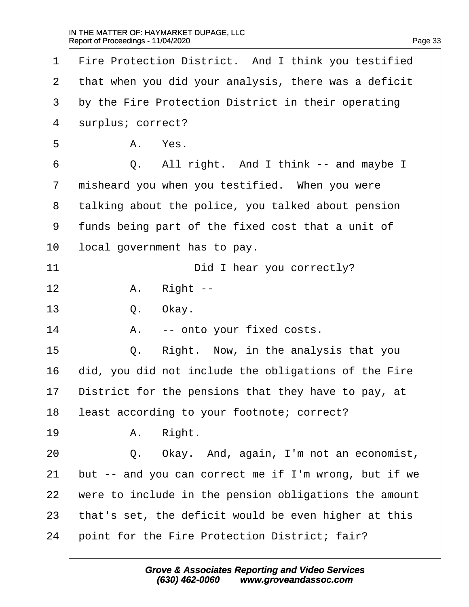| 1  | Fire Protection District. And I think you testified   |
|----|-------------------------------------------------------|
| 2  | that when you did your analysis, there was a deficit  |
| 3  | by the Fire Protection District in their operating    |
| 4  | surplus; correct?                                     |
| 5  | Yes.<br>Α.                                            |
| 6  | All right. And I think -- and maybe I<br>Q.           |
| 7  | misheard you when you testified. When you were        |
| 8  | talking about the police, you talked about pension    |
| 9  | funds being part of the fixed cost that a unit of     |
| 10 | local government has to pay.                          |
| 11 | Did I hear you correctly?                             |
| 12 | Right --<br>Α.                                        |
| 13 | Q.<br>Okay.                                           |
| 14 | -- onto your fixed costs.<br>Α.                       |
| 15 | Right. Now, in the analysis that you<br>Q.            |
| 16 | did, you did not include the obligations of the Fire  |
| 17 | District for the pensions that they have to pay, at   |
| 18 | least according to your footnote; correct?            |
| 19 | Right.<br>Α.                                          |
| 20 | Okay. And, again, I'm not an economist,<br>Q.         |
| 21 | but -- and you can correct me if I'm wrong, but if we |
| 22 | were to include in the pension obligations the amount |
| 23 | that's set, the deficit would be even higher at this  |
| 24 | point for the Fire Protection District; fair?         |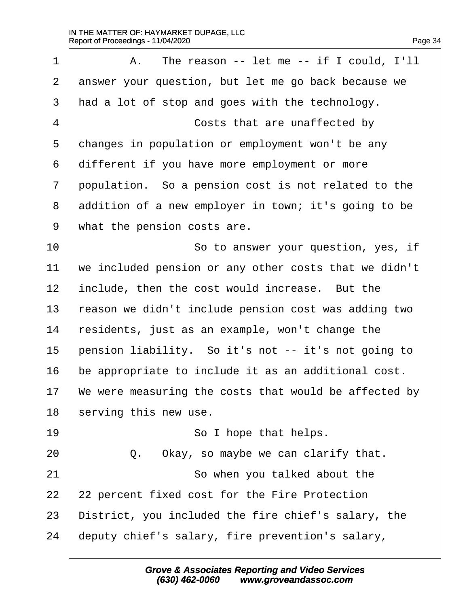$\Gamma$ 

| $\mathbf 1$    | The reason $--$ let me $--$ if I could, I'll<br>Α.    |
|----------------|-------------------------------------------------------|
| 2              | answer your question, but let me go back because we   |
| 3              | had a lot of stop and goes with the technology.       |
| $\overline{4}$ | Costs that are unaffected by                          |
| 5              | changes in population or employment won't be any      |
| 6              | different if you have more employment or more         |
| 7              | population. So a pension cost is not related to the   |
| 8              | addition of a new employer in town; it's going to be  |
| 9              | what the pension costs are.                           |
| 10             | So to answer your question, yes, if                   |
| 11             | we included pension or any other costs that we didn't |
| 12             | include, then the cost would increase. But the        |
| 13             | reason we didn't include pension cost was adding two  |
| 14             | residents, just as an example, won't change the       |
| 15             | pension liability. So it's not -- it's not going to   |
| 16             | be appropriate to include it as an additional cost.   |
| 17             | We were measuring the costs that would be affected by |
| 18             | serving this new use.                                 |
| 19             | So I hope that helps.                                 |
| 20             | Okay, so maybe we can clarify that.<br>Q.             |
| 21             | So when you talked about the                          |
| 22             | 22 percent fixed cost for the Fire Protection         |
| 23             | District, you included the fire chief's salary, the   |
| 24             | deputy chief's salary, fire prevention's salary,      |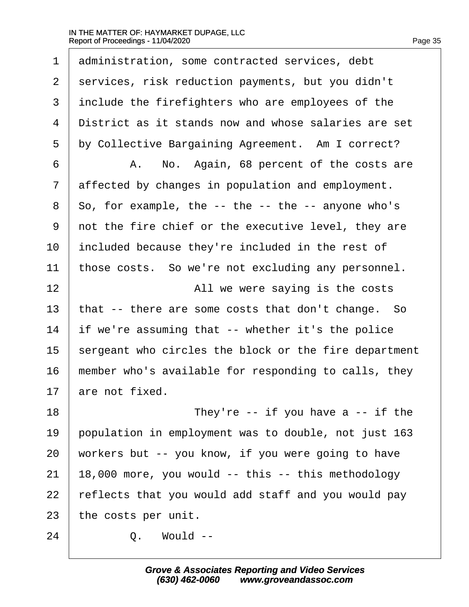$\Gamma$ 

| $\mathbf 1$    | administration, some contracted services, debt              |
|----------------|-------------------------------------------------------------|
| 2              | services, risk reduction payments, but you didn't           |
| 3              | include the firefighters who are employees of the           |
| $\overline{4}$ | District as it stands now and whose salaries are set        |
| 5              | by Collective Bargaining Agreement. Am I correct?           |
| 6              | No. Again, 68 percent of the costs are<br>Α.                |
| 7              | affected by changes in population and employment.           |
| 8              | So, for example, the $-$ - the $-$ - the $-$ - anyone who's |
| 9              | not the fire chief or the executive level, they are         |
| 10             | included because they're included in the rest of            |
| 11             | those costs. So we're not excluding any personnel.          |
| 12             | All we were saying is the costs                             |
| 13             | that -- there are some costs that don't change. So          |
| 14             | if we're assuming that -- whether it's the police           |
| 15             | sergeant who circles the block or the fire department       |
| 16             | member who's available for responding to calls, they        |
| 17             | are not fixed.                                              |
| 18             | They're -- if you have a -- if the                          |
| 19             | population in employment was to double, not just 163        |
| 20             | workers but -- you know, if you were going to have          |
| 21             | 18,000 more, you would -- this -- this methodology          |
| 22             | reflects that you would add staff and you would pay         |
| 23             | the costs per unit.                                         |
| 24             | Would --<br>Q.                                              |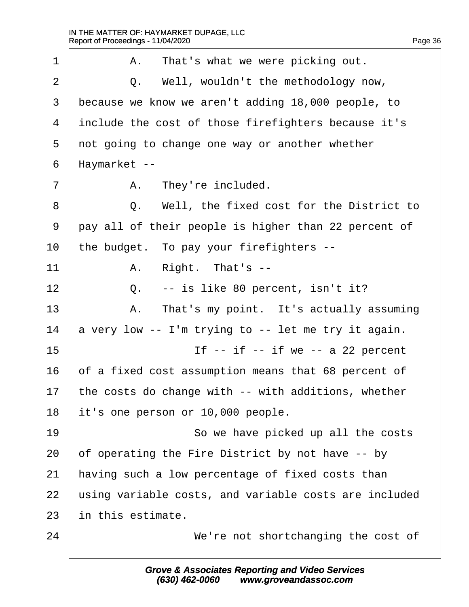$\Gamma$ 

| Page 36 |  |
|---------|--|
|         |  |

| $\mathbf{1}$ | That's what we were picking out.<br>Α.                |
|--------------|-------------------------------------------------------|
| 2            | Well, wouldn't the methodology now,<br>Q.             |
| 3            | because we know we aren't adding 18,000 people, to    |
| 4            | include the cost of those firefighters because it's   |
| 5            | not going to change one way or another whether        |
| 6            | Haymarket --                                          |
| 7            | They're included.<br>Α.                               |
| 8            | Well, the fixed cost for the District to<br>Q.        |
| 9            | pay all of their people is higher than 22 percent of  |
| 10           | the budget. To pay your firefighters --               |
| 11           | Right. That's --<br>Α.                                |
| 12           | -- is like 80 percent, isn't it?<br>Q.                |
| 13           | That's my point. It's actually assuming<br>Α.         |
| 14           | a very low -- I'm trying to -- let me try it again.   |
| 15           | If $--$ if $--$ if we $--$ a 22 percent               |
| 16           | of a fixed cost assumption means that 68 percent of   |
| 17           | the costs do change with -- with additions, whether   |
| 18           | it's one person or 10,000 people.                     |
| 19           | So we have picked up all the costs                    |
| 20           | of operating the Fire District by not have -- by      |
| 21           | having such a low percentage of fixed costs than      |
| 22           | using variable costs, and variable costs are included |
| 23           | in this estimate.                                     |
| 24           | We're not shortchanging the cost of                   |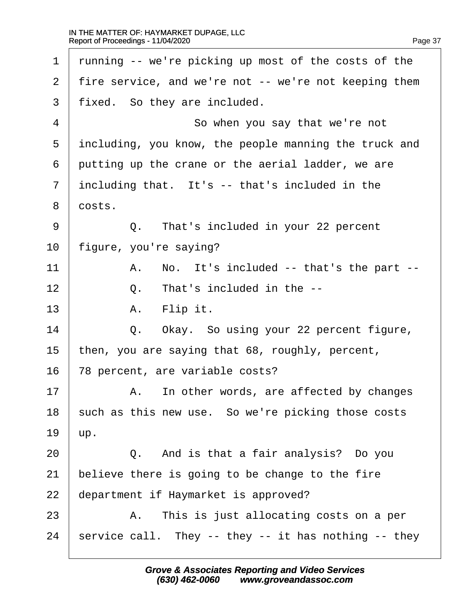$\Gamma$ 

| $\mathbf 1$ | running -- we're picking up most of the costs of the  |
|-------------|-------------------------------------------------------|
| 2           | fire service, and we're not -- we're not keeping them |
| 3           | fixed. So they are included.                          |
| 4           | So when you say that we're not                        |
| 5           | including, you know, the people manning the truck and |
| 6           | putting up the crane or the aerial ladder, we are     |
| 7           | including that. It's -- that's included in the        |
| 8           | costs.                                                |
| 9           | That's included in your 22 percent<br>Q.              |
| $10 \,$     | figure, you're saying?                                |
| 11          | No. It's included -- that's the part --<br>Α.         |
| 12          | That's included in the --<br>$Q$ .                    |
| 13          | A. Flip it.                                           |
| 14          | Okay. So using your 22 percent figure,<br>Q.          |
| 15          | then, you are saying that 68, roughly, percent,       |
| 16          | 78 percent, are variable costs?                       |
| 17          | In other words, are affected by changes<br>Α.         |
| 18          | such as this new use. So we're picking those costs    |
| 19          | up.                                                   |
| 20          | Q. And is that a fair analysis? Do you                |
| 21          | believe there is going to be change to the fire       |
| 22          | department if Haymarket is approved?                  |
| 23          | A. This is just allocating costs on a per             |
| 24          | service call. They -- they -- it has nothing -- they  |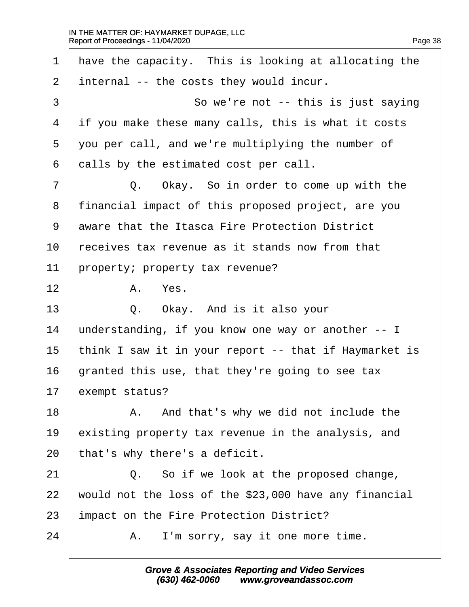$\Gamma$ 

| $\mathbf 1$    | have the capacity. This is looking at allocating the  |
|----------------|-------------------------------------------------------|
| 2              | internal -- the costs they would incur.               |
| $\mathfrak{Z}$ | So we're not -- this is just saying                   |
| $\overline{4}$ | if you make these many calls, this is what it costs   |
| 5              | you per call, and we're multiplying the number of     |
| 6              | calls by the estimated cost per call.                 |
| 7              | Q. Okay. So in order to come up with the              |
| 8              | financial impact of this proposed project, are you    |
| 9              | aware that the Itasca Fire Protection District        |
| 10             | receives tax revenue as it stands now from that       |
| 11             | property; property tax revenue?                       |
| 12             | Yes.<br>Α.                                            |
| 13             | Q. Okay. And is it also your                          |
| 14             | understanding, if you know one way or another -- I    |
| 15             | think I saw it in your report -- that if Haymarket is |
| 16             | granted this use, that they're going to see tax       |
| 17             | exempt status?                                        |
| 18             | And that's why we did not include the<br>Α.           |
| 19             | existing property tax revenue in the analysis, and    |
| 20             | that's why there's a deficit.                         |
| 21             | So if we look at the proposed change,<br>$Q$ .        |
| 22             | would not the loss of the \$23,000 have any financial |
| 23             | impact on the Fire Protection District?               |
| 24             | I'm sorry, say it one more time.<br>Α.                |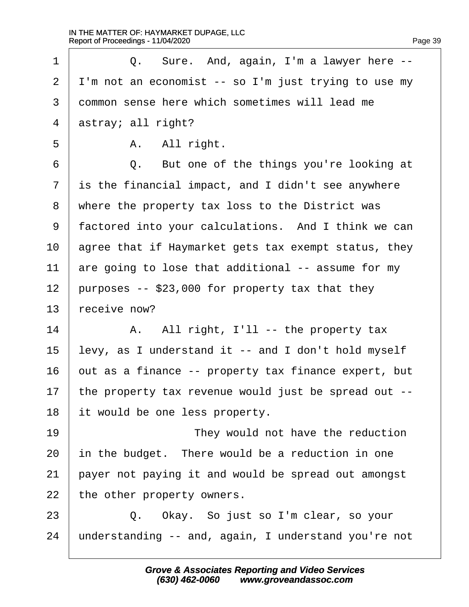1 |  $Q.$  Sure. And, again, I'm a lawyer here -- | I'm not an economist -- so I'm just trying to use my ·3· ·common sense here which sometimes will lead me astray; all right?  $\vert$   $A.$   $All$  right. 6 | C. But one of the things you're looking at is the financial impact, and I didn't see anywhere 8 | where the property tax loss to the District was 9 | factored into your calculations. And I think we can agree that if Haymarket gets tax exempt status, they  $\vert$  are going to lose that additional -- assume for my | purposes  $-523,000$  for property tax that they receive now? 14· · · · · ·A.· ·All right, I'll -- the property tax levy, as I understand it -- and I don't hold myself  $\vert$  out as a finance -- property tax finance expert, but 17 | the property tax revenue would just be spread out  $-$  it would be one less property. 19 and  $\frac{19}{10}$  iney would not have the reduction  $\vert$  in the budget. There would be a reduction in one payer not paying it and would be spread out amongst the other property owners. 23 | Q. Okay. So just so I'm clear, so your  $\mid$  understanding -- and, again, I understand you're not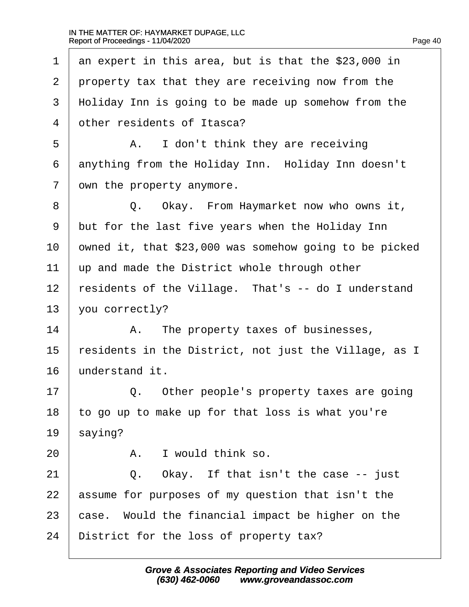1 an expert in this area, but is that the \$23,000 in  $2$   $\mid$  property tax that they are receiving now from the 3 | Holiday Inn is going to be made up somehow from the 4 other residents of Itasca? 5 | A. I don't think they are receiving 6 anything from the Holiday Inn. Holiday Inn doesn't  $7$   $\vert$  own the property anymore. 8 | C. Okay. From Haymarket now who owns it,  $9$   $\mid$  but for the last five years when the Holiday Inn  $10$  owned it, that \$23,000 was somehow going to be picked  $11$   $\parallel$  up and made the District whole through other  $12$  residents of the Village. That's -- do I understand  $13$  | you correctly? 14 | A. The property taxes of businesses, 15  $\vert$  residents in the District, not just the Village, as I  $16$  understand it. 17 | C. Other people's property taxes are going  $18$  to go up to make up for that loss is what you're  $19 \mid$  saying?  $20$   $\overline{A}$ . I would think so.  $21$   $\vert$  0. Okay. If that isn't the case  $-$  just  $22$  assume for purposes of my question that isn't the  $23$   $\vert$  case. Would the financial impact be higher on the 24 District for the loss of property tax?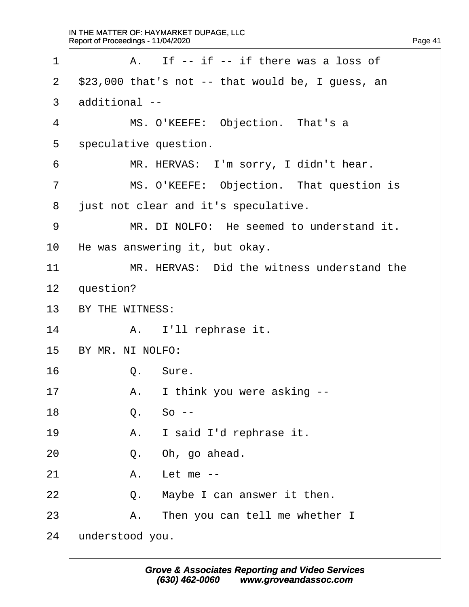| 1              | If -- if -- if there was a loss of<br>A.           |
|----------------|----------------------------------------------------|
| $\overline{2}$ | $$23,000$ that's not -- that would be, I guess, an |
| 3              | additional --                                      |
| 4              | MS. O'KEEFE: Objection. That's a                   |
| 5              | speculative question.                              |
| 6              | MR. HERVAS: I'm sorry, I didn't hear.              |
| 7              | MS. O'KEEFE: Objection. That question is           |
| 8              | just not clear and it's speculative.               |
| 9              | MR. DI NOLFO: He seemed to understand it.          |
| 10             | He was answering it, but okay.                     |
| 11             | MR. HERVAS: Did the witness understand the         |
| 12             | question?                                          |
| 13             | BY THE WITNESS:                                    |
| 14             | A. I'll rephrase it.                               |
| 15             | BY MR. NI NOLFO:                                   |
| 16             | Sure.<br>Q.                                        |
| 17             | I think you were asking --<br>Α.                   |
| 18             | $So --$<br>Q.                                      |
| 19             | I said I'd rephrase it.<br>A .                     |
| 20             | Oh, go ahead.<br>Q.                                |
| 21             | Let me $--$<br>Α.                                  |
| 22             | Maybe I can answer it then.<br>Q.                  |
| 23             | Then you can tell me whether I<br>Α.               |
| 24             | understood you.                                    |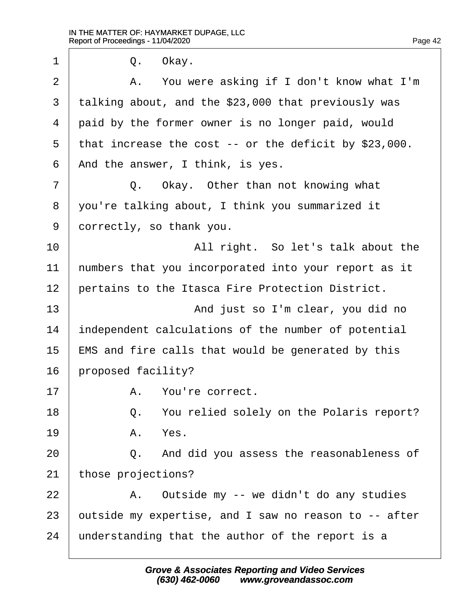$1 \quad$  0. Okay. 2 | A. You were asking if I don't know what I'm  $3$  talking about, and the \$23,000 that previously was  $4$   $\vert$  paid by the former owner is no longer paid, would  $5$  that increase the cost -- or the deficit by \$23,000.  $6$  | And the answer, I think, is yes. 7 |  $Q.$  Okay. Other than not knowing what 8 | you're talking about, I think you summarized it 9 | correctly, so thank you. 10 and  $\vert$  and  $\vert$  all right. So let's talk about the  $11$  | numbers that you incorporated into your report as it 12 pertains to the Itasca Fire Protection District. 13 and just so I'm clear, you did no 14 | independent calculations of the number of potential 15  $\parallel$  EMS and fire calls that would be generated by this  $16$  | proposed facility? 17 A. You're correct. 18 |  $Q.$  You relied solely on the Polaris report?  $19$   $A.$   $Yes.$ 20 **0.** And did you assess the reasonableness of  $21$  | those projections? 22 | A. Outside my -- we didn't do any studies 23  $\vert$  outside my expertise, and I saw no reason to  $-$ - after  $24$  | understanding that the author of the report is a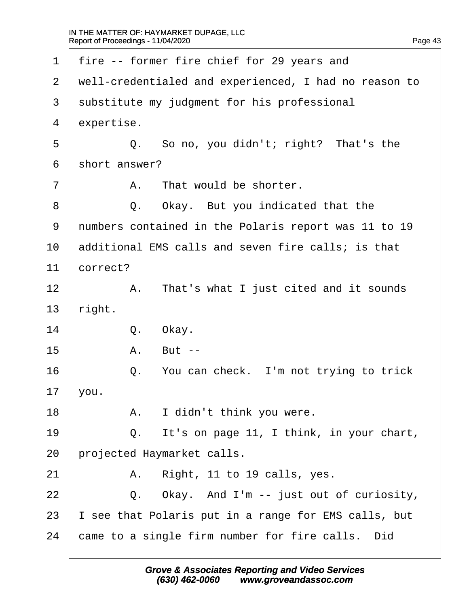| $\mathbf 1$ | fire -- former fire chief for 29 years and            |
|-------------|-------------------------------------------------------|
| 2           | well-credentialed and experienced, I had no reason to |
| 3           | substitute my judgment for his professional           |
| 4           | expertise.                                            |
| 5           | So no, you didn't; right? That's the<br>Q.            |
| 6           | short answer?                                         |
| 7           | That would be shorter.<br>Α.                          |
| 8           | Q. Okay. But you indicated that the                   |
| 9           | numbers contained in the Polaris report was 11 to 19  |
| 10          | additional EMS calls and seven fire calls; is that    |
| 11          | correct?                                              |
| 12          | That's what I just cited and it sounds<br>Α.          |
| 13          | right.                                                |
| 14          | Q.<br>Okay.                                           |
| 15          | Α.<br>But $--$                                        |
| 16          | You can check. I'm not trying to trick<br>Q.          |
| 17          | you.                                                  |
| 18          | I didn't think you were.<br>Α.                        |
| 19          | It's on page 11, I think, in your chart,<br>Q.        |
| 20          | projected Haymarket calls.                            |
| 21          | Right, 11 to 19 calls, yes.<br>Α.                     |
| 22          | Okay. And I'm -- just out of curiosity,<br>Q.         |
| 23          | I see that Polaris put in a range for EMS calls, but  |
| 24          | came to a single firm number for fire calls.<br>Did   |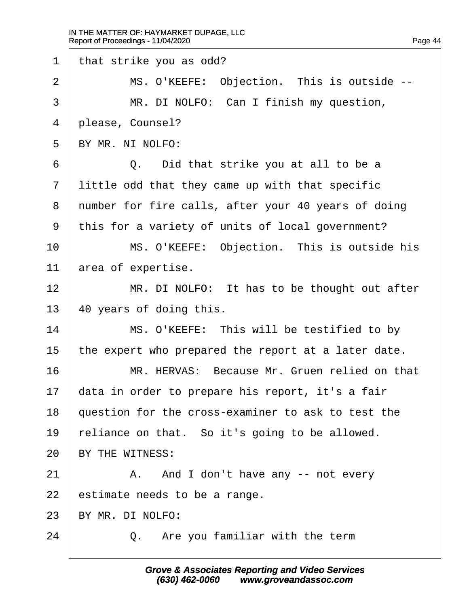$\Gamma$ 

| $\mathbf{1}$   | that strike you as odd?                             |
|----------------|-----------------------------------------------------|
| 2              | MS. O'KEEFE: Objection. This is outside --          |
| $\mathfrak{Z}$ | MR. DI NOLFO: Can I finish my question,             |
| 4              | please, Counsel?                                    |
| 5              | BY MR. NI NOLFO:                                    |
| 6              | Did that strike you at all to be a<br>Q.            |
| 7              | little odd that they came up with that specific     |
| 8              | number for fire calls, after your 40 years of doing |
| 9              | this for a variety of units of local government?    |
| 10             | MS. O'KEEFE: Objection. This is outside his         |
| 11             | area of expertise.                                  |
| 12             | MR. DI NOLFO: It has to be thought out after        |
| 13             | 40 years of doing this.                             |
| 14             | MS. O'KEEFE: This will be testified to by           |
| 15             | the expert who prepared the report at a later date. |
| 16             | MR. HERVAS: Because Mr. Gruen relied on that        |
| 17             | data in order to prepare his report, it's a fair    |
| 18             | question for the cross-examiner to ask to test the  |
| 19             | reliance on that. So it's going to be allowed.      |
| 20             | BY THE WITNESS:                                     |
| 21             | And I don't have any -- not every<br>Α.             |
| 22             | estimate needs to be a range.                       |
| 23             | BY MR. DI NOLFO:                                    |
| 24             | Q. Are you familiar with the term                   |
|                |                                                     |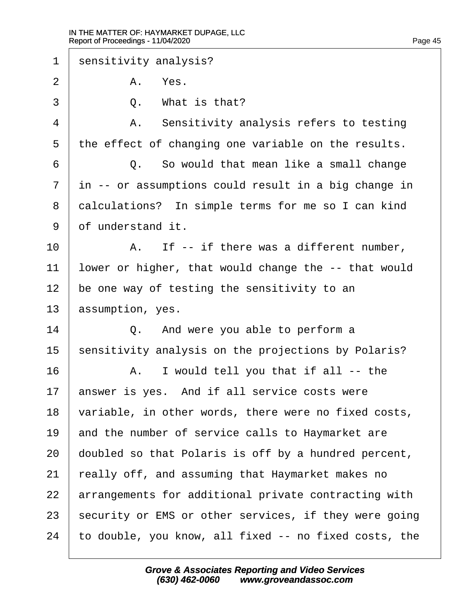1 | sensitivity analysis? |  $2$   $A$   $Yes$ .  $\overline{3}$   $\overline{0}$ . What is that? 4 | A. Sensitivity analysis refers to testing the effect of changing one variable on the results. 6 | C. So would that mean like a small change 7 | in -- or assumptions could result in a big change in 8 calculations? In simple terms for me so I can kind 9 of understand it.  $\vert$   $\vert$   $A$ . If -- if there was a different number, lower or higher, that would change the  $-$ - that would  $\vert$  be one way of testing the sensitivity to an assumption, yes. 14 | Q. And were you able to perform a sensitivity analysis on the projections by Polaris?  $\parallel$   $\parallel$   $\parallel$   $\parallel$   $\parallel$   $\parallel$  would tell you that if all  $\parallel$  -- the answer is yes. And if all service costs were  $\mid$  variable, in other words, there were no fixed costs,  $\parallel$  and the number of service calls to Haymarket are doubled so that Polaris is off by a hundred percent, really off, and assuming that Haymarket makes no arrangements for additional private contracting with  $\vert$  security or EMS or other services, if they were going  $\mid$  to double, you know, all fixed  $\sim$  no fixed costs, the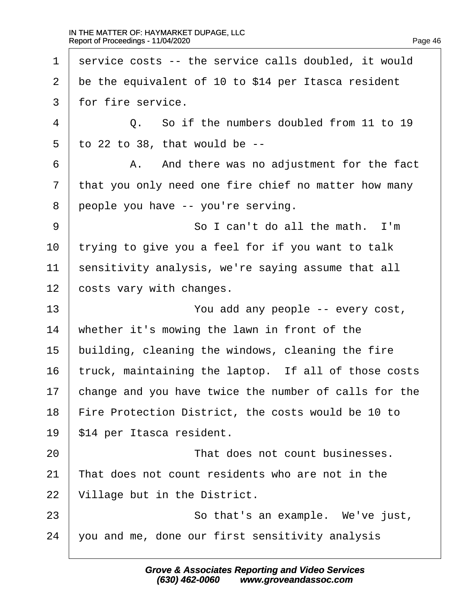| $\mathbf 1$ | service costs -- the service calls doubled, it would       |
|-------------|------------------------------------------------------------|
| 2           | be the equivalent of 10 to \$14 per Itasca resident        |
| 3           | for fire service.                                          |
| 4           | So if the numbers doubled from 11 to 19<br>$Q_{\bullet}$ . |
| 5           | to 22 to 38, that would be $-$ -                           |
| 6           | And there was no adjustment for the fact<br>Α.             |
| 7           | that you only need one fire chief no matter how many       |
| 8           | people you have -- you're serving.                         |
| 9           | So I can't do all the math. I'm                            |
| 10          | trying to give you a feel for if you want to talk          |
| 11          | sensitivity analysis, we're saying assume that all         |
| 12          | costs vary with changes.                                   |
| 13          | You add any people -- every cost,                          |
| 14          | whether it's mowing the lawn in front of the               |
| 15          | building, cleaning the windows, cleaning the fire          |
| 16          | truck, maintaining the laptop. If all of those costs       |
| 17          | change and you have twice the number of calls for the      |
| 18          | Fire Protection District, the costs would be 10 to         |
| 19          | \$14 per Itasca resident.                                  |
| 20          | That does not count businesses.                            |
| 21          | That does not count residents who are not in the           |
| 22          | Village but in the District.                               |
| 23          | So that's an example. We've just,                          |
| 24          | you and me, done our first sensitivity analysis            |
|             |                                                            |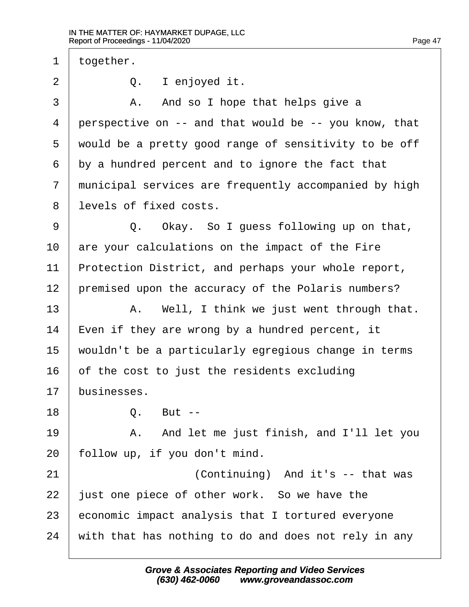$1$  | together.

 $2$   $\vert$  0. I enjoyed it.

3 A. And so I hope that helps give a  $4$  | perspective on  $-$  and that would be  $-$ - you know, that  $5$   $\vert$  would be a pretty good range of sensitivity to be off  $6$  by a hundred percent and to ignore the fact that 7 | municipal services are frequently accompanied by high 8 l levels of fixed costs.

9 |  $Q.$  Okay. So I guess following up on that,  $10$  are your calculations on the impact of the Fire  $11$  Protection District, and perhaps your whole report, 12 | premised upon the accuracy of the Polaris numbers?

13 | A. Well, I think we just went through that. | Even if they are wrong by a hundred percent, it wouldn't be a particularly egregious change in terms of the cost to just the residents excluding businesses.

 $18$  0. But  $-$ 

19 | The Solem Mand let me just finish, and I'll let you  $20$  | follow up, if you don't mind.

21 and it's -- that was iust one piece of other work. So we have the economic impact analysis that I tortured everyone  $\mid$  with that has nothing to do and does not rely in any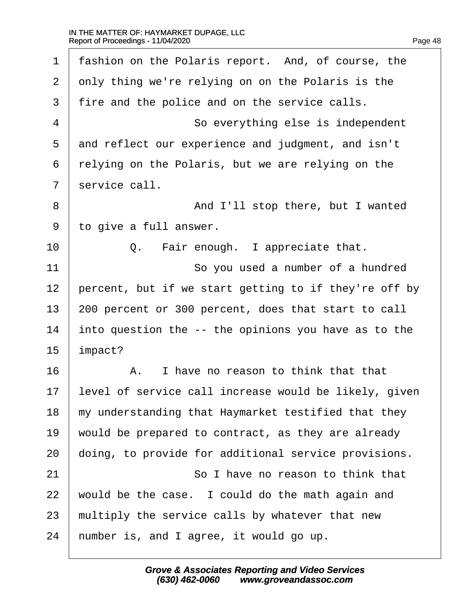| $\mathbf 1$ | fashion on the Polaris report. And, of course, the    |
|-------------|-------------------------------------------------------|
| 2           | only thing we're relying on on the Polaris is the     |
| 3           | fire and the police and on the service calls.         |
| 4           | So everything else is independent                     |
| 5           | and reflect our experience and judgment, and isn't    |
| 6           | relying on the Polaris, but we are relying on the     |
| 7           | service call.                                         |
| 8           | And I'll stop there, but I wanted                     |
| 9           | to give a full answer.                                |
| 10          | Fair enough. I appreciate that.<br>Q.                 |
| 11          | So you used a number of a hundred                     |
| 12          | percent, but if we start getting to if they're off by |
| 13          | 200 percent or 300 percent, does that start to call   |
| 14          | into question the -- the opinions you have as to the  |
| 15          | impact?                                               |
| 16          | I have no reason to think that that<br>Α.             |
| 17          | level of service call increase would be likely, given |
| 18          | my understanding that Haymarket testified that they   |
| 19          | would be prepared to contract, as they are already    |
| 20          | doing, to provide for additional service provisions.  |
| 21          | So I have no reason to think that                     |
| 22          | would be the case. I could do the math again and      |
| 23          | multiply the service calls by whatever that new       |
| 24          | number is, and I agree, it would go up.               |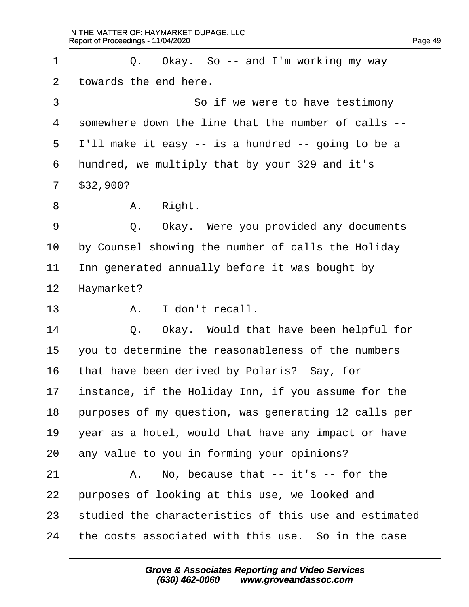$\Gamma$ 

| $\mathbf 1$ | Okay. So $-$ and I'm working my way<br>Q.             |
|-------------|-------------------------------------------------------|
| 2           | towards the end here.                                 |
| 3           | So if we were to have testimony                       |
| 4           | somewhere down the line that the number of calls --   |
| 5           | I'll make it easy -- is a hundred -- going to be a    |
| 6           | hundred, we multiply that by your 329 and it's        |
| 7           | \$32,900?                                             |
| 8           | A. Right.                                             |
| $\mathsf 9$ | Okay. Were you provided any documents<br>Q.           |
| 10          | by Counsel showing the number of calls the Holiday    |
| 11          | Inn generated annually before it was bought by        |
| 12          | Haymarket?                                            |
| 13          | I don't recall.<br>Α.                                 |
| 14          | Okay. Would that have been helpful for<br>Q.          |
| 15          | you to determine the reasonableness of the numbers    |
| 16          | that have been derived by Polaris? Say, for           |
| 17          | instance, if the Holiday Inn, if you assume for the   |
| 18          | purposes of my question, was generating 12 calls per  |
| 19          | year as a hotel, would that have any impact or have   |
| 20          | any value to you in forming your opinions?            |
| 21          | No, because that $-$ it's $-$ for the<br>Α.           |
| 22          | purposes of looking at this use, we looked and        |
| 23          | studied the characteristics of this use and estimated |
| 24          | the costs associated with this use. So in the case    |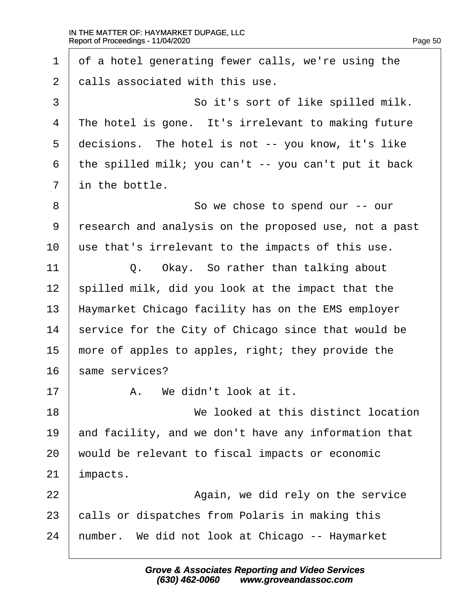$\Gamma$ 

| So it's sort of like spilled milk.<br>The hotel is gone. It's irrelevant to making future<br>decisions. The hotel is not -- you know, it's like<br>the spilled milk; you can't $-$ you can't put it back<br>So we chose to spend our -- our<br>research and analysis on the proposed use, not a past<br>use that's irrelevant to the impacts of this use.<br>Okay. So rather than talking about<br>spilled milk, did you look at the impact that the |
|------------------------------------------------------------------------------------------------------------------------------------------------------------------------------------------------------------------------------------------------------------------------------------------------------------------------------------------------------------------------------------------------------------------------------------------------------|
|                                                                                                                                                                                                                                                                                                                                                                                                                                                      |
|                                                                                                                                                                                                                                                                                                                                                                                                                                                      |
|                                                                                                                                                                                                                                                                                                                                                                                                                                                      |
|                                                                                                                                                                                                                                                                                                                                                                                                                                                      |
|                                                                                                                                                                                                                                                                                                                                                                                                                                                      |
|                                                                                                                                                                                                                                                                                                                                                                                                                                                      |
|                                                                                                                                                                                                                                                                                                                                                                                                                                                      |
|                                                                                                                                                                                                                                                                                                                                                                                                                                                      |
|                                                                                                                                                                                                                                                                                                                                                                                                                                                      |
|                                                                                                                                                                                                                                                                                                                                                                                                                                                      |
|                                                                                                                                                                                                                                                                                                                                                                                                                                                      |
| Haymarket Chicago facility has on the EMS employer                                                                                                                                                                                                                                                                                                                                                                                                   |
| service for the City of Chicago since that would be                                                                                                                                                                                                                                                                                                                                                                                                  |
| more of apples to apples, right; they provide the                                                                                                                                                                                                                                                                                                                                                                                                    |
|                                                                                                                                                                                                                                                                                                                                                                                                                                                      |
|                                                                                                                                                                                                                                                                                                                                                                                                                                                      |
| We looked at this distinct location                                                                                                                                                                                                                                                                                                                                                                                                                  |
| and facility, and we don't have any information that                                                                                                                                                                                                                                                                                                                                                                                                 |
| would be relevant to fiscal impacts or economic                                                                                                                                                                                                                                                                                                                                                                                                      |
|                                                                                                                                                                                                                                                                                                                                                                                                                                                      |
| Again, we did rely on the service                                                                                                                                                                                                                                                                                                                                                                                                                    |
| calls or dispatches from Polaris in making this                                                                                                                                                                                                                                                                                                                                                                                                      |
|                                                                                                                                                                                                                                                                                                                                                                                                                                                      |
|                                                                                                                                                                                                                                                                                                                                                                                                                                                      |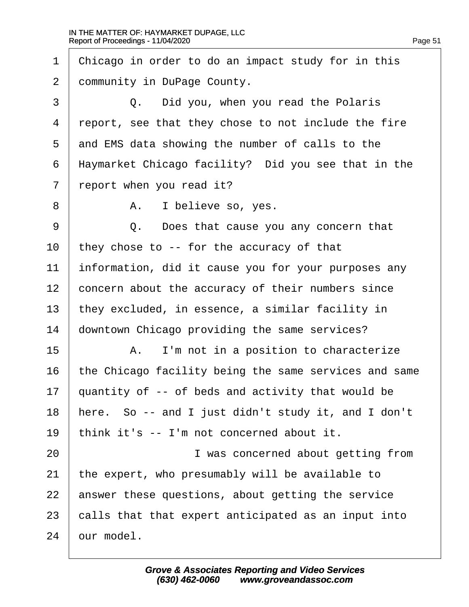| $\mathbf 1$ | Chicago in order to do an impact study for in this    |
|-------------|-------------------------------------------------------|
| 2           | community in DuPage County.                           |
| 3           | Did you, when you read the Polaris<br>Q.              |
| 4           | report, see that they chose to not include the fire   |
| 5           | and EMS data showing the number of calls to the       |
| 6           | Haymarket Chicago facility? Did you see that in the   |
| 7           | report when you read it?                              |
| 8           | I believe so, yes.<br>Α.                              |
| 9           | Does that cause you any concern that<br>Q.            |
| 10          | they chose to $-$ for the accuracy of that            |
| 11          | information, did it cause you for your purposes any   |
| 12          | concern about the accuracy of their numbers since     |
| 13          | they excluded, in essence, a similar facility in      |
| 14          | downtown Chicago providing the same services?         |
| 15          | I'm not in a position to characterize<br>Α.           |
| 16          | the Chicago facility being the same services and same |
| 17          | quantity of -- of beds and activity that would be     |
| 18          | here. So -- and I just didn't study it, and I don't   |
| 19          | think it's -- I'm not concerned about it.             |
| 20          | I was concerned about getting from                    |
| 21          | the expert, who presumably will be available to       |
| 22          | answer these questions, about getting the service     |
| 23          | calls that that expert anticipated as an input into   |
| 24          | our model.                                            |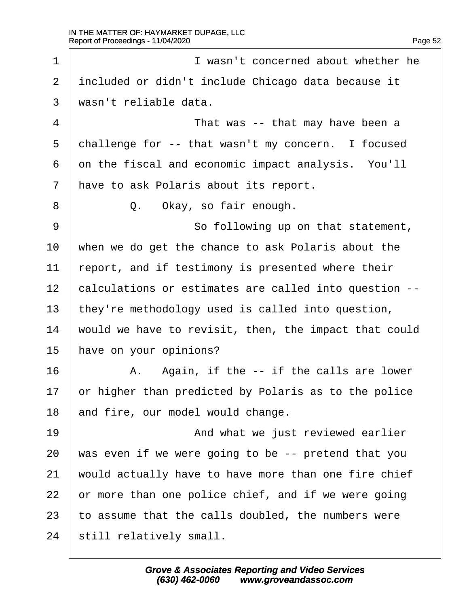1 **I** wasn't concerned about whether he  $2$   $\vert$  included or didn't include Chicago data because it  $3 \mid$  wasn't reliable data. 4 a contract 1 and that was -- that may have been a 5  $\vert$  challenge for -- that wasn't my concern. I focused  $6$  on the fiscal and economic impact analysis. You'll  $7$   $\vert$  have to ask Polaris about its report. 8 | 0. Okay, so fair enough. 9 | So following up on that statement, 10 | when we do get the chance to ask Polaris about the  $11$   $\vert$  report, and if testimony is presented where their 12 | calculations or estimates are called into question --13 | they're methodology used is called into question,  $14$   $\mid$  would we have to revisit, then, the impact that could 15 have on your opinions?  $16$   $\parallel$   $A.$  Again, if the  $-$  if the calls are lower  $17$  or higher than predicted by Polaris as to the police 18 and fire, our model would change. 19 **I 19** · · · · · · · · · · · And what we just reviewed earlier  $20$  | was even if we were going to be -- pretend that you  $21$   $\parallel$  would actually have to have more than one fire chief  $22$  or more than one police chief, and if we were going 23  $\vert$  to assume that the calls doubled, the numbers were 24 | still relatively small.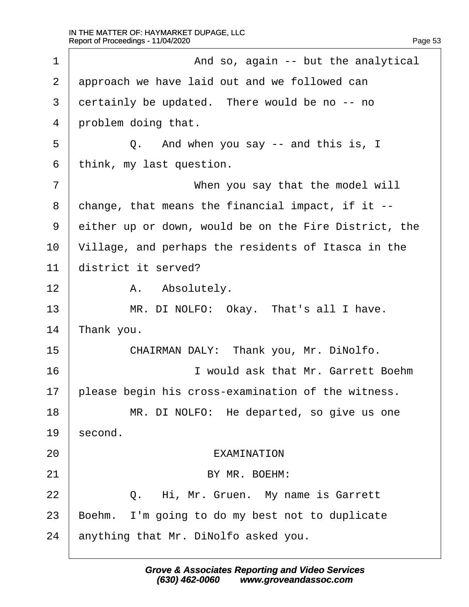| $\mathbf 1$ | And so, again -- but the analytical                   |
|-------------|-------------------------------------------------------|
| 2           | approach we have laid out and we followed can         |
| 3           | certainly be updated. There would be no -- no         |
| 4           | problem doing that.                                   |
| 5           | And when you say $-$ and this is, I<br>Q.             |
| 6           | think, my last question.                              |
| 7           | When you say that the model will                      |
| 8           | change, that means the financial impact, if it $--$   |
| 9           | either up or down, would be on the Fire District, the |
| 10          | Village, and perhaps the residents of Itasca in the   |
| 11          | district it served?                                   |
| 12          | Absolutely.<br>A.                                     |
| 13          | MR. DI NOLFO: Okay. That's all I have.                |
| 14          | Thank you.                                            |
| 15          | CHAIRMAN DALY: Thank you, Mr. DiNolfo.                |
| 16          | I would ask that Mr. Garrett Boehm                    |
| 17          | please begin his cross-examination of the witness.    |
| 18          | MR. DI NOLFO: He departed, so give us one             |
| 19          | second.                                               |
| 20          | EXAMINATION                                           |
| 21          | BY MR. BOEHM:                                         |
| 22          | Q. Hi, Mr. Gruen. My name is Garrett                  |
| 23          | Boehm. I'm going to do my best not to duplicate       |
| 24          | anything that Mr. DiNolfo asked you.                  |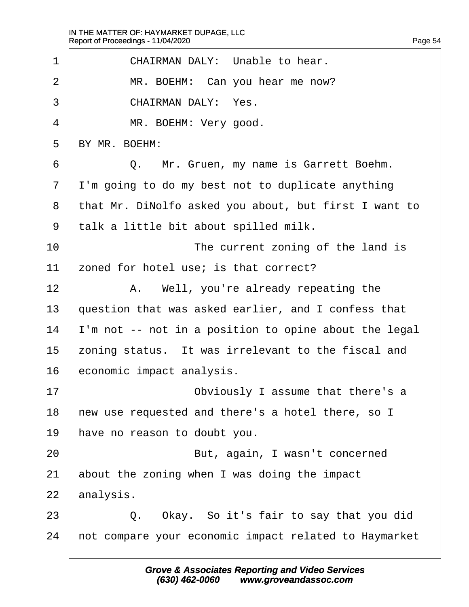| $\mathbf 1$    | CHAIRMAN DALY: Unable to hear.                        |
|----------------|-------------------------------------------------------|
| $\overline{2}$ | MR. BOEHM: Can you hear me now?                       |
| 3              | CHAIRMAN DALY: Yes.                                   |
| 4              | MR. BOEHM: Very good.                                 |
| 5              | BY MR. BOEHM:                                         |
| 6              | Mr. Gruen, my name is Garrett Boehm.<br>Q.            |
| 7              | I'm going to do my best not to duplicate anything     |
| 8              | that Mr. DiNolfo asked you about, but first I want to |
| 9              | talk a little bit about spilled milk.                 |
| 10             | The current zoning of the land is                     |
| 11             | zoned for hotel use; is that correct?                 |
| 12             | Well, you're already repeating the<br>Α.              |
| 13             | question that was asked earlier, and I confess that   |
| 14             | I'm not -- not in a position to opine about the legal |
| 15             | zoning status. It was irrelevant to the fiscal and    |
| 16             | economic impact analysis.                             |
| 17             | Obviously I assume that there's a                     |
| 18             | new use requested and there's a hotel there, so I     |
| 19             | have no reason to doubt you.                          |
| 20             | But, again, I wasn't concerned                        |
| 21             | about the zoning when I was doing the impact          |
| 22             | analysis.                                             |
| 23             | Okay. So it's fair to say that you did<br>Q.          |
| 24             | not compare your economic impact related to Haymarket |
|                |                                                       |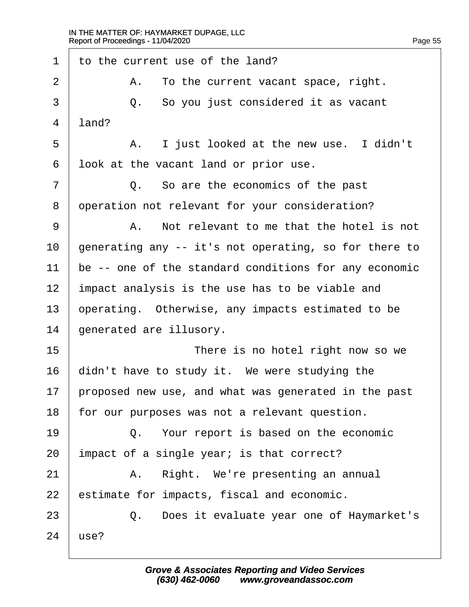$\Gamma$ 

| 1  | to the current use of the land?                       |
|----|-------------------------------------------------------|
| 2  | To the current vacant space, right.<br>Α.             |
| 3  | So you just considered it as vacant<br>Q.             |
| 4  | land?                                                 |
| 5  | I just looked at the new use. I didn't<br>Α.          |
| 6  | look at the vacant land or prior use.                 |
| 7  | Q. So are the economics of the past                   |
| 8  | operation not relevant for your consideration?        |
| 9  | Not relevant to me that the hotel is not<br>Α.        |
| 10 | generating any -- it's not operating, so for there to |
| 11 | be -- one of the standard conditions for any economic |
| 12 | impact analysis is the use has to be viable and       |
| 13 | operating. Otherwise, any impacts estimated to be     |
| 14 | generated are illusory.                               |
| 15 | There is no hotel right now so we                     |
| 16 | didn't have to study it. We were studying the         |
| 17 | proposed new use, and what was generated in the past  |
| 18 | for our purposes was not a relevant question.         |
| 19 | Q. Your report is based on the economic               |
| 20 | impact of a single year; is that correct?             |
| 21 | Right. We're presenting an annual<br>Α.               |
| 22 | estimate for impacts, fiscal and economic.            |
| 23 | Q. Does it evaluate year one of Haymarket's           |
| 24 | use?                                                  |
|    |                                                       |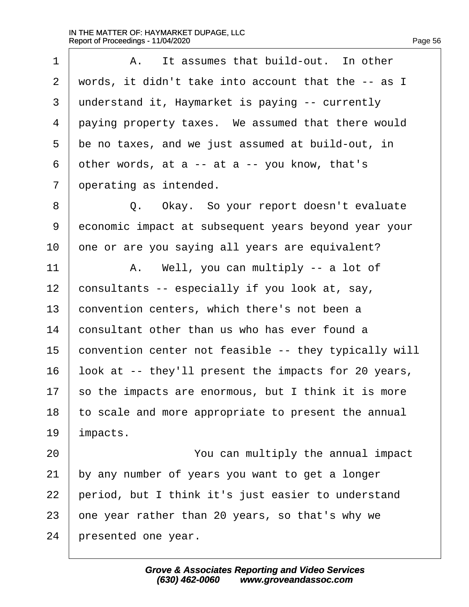| $\mathbf 1$ | It assumes that build-out. In other<br>Α.             |
|-------------|-------------------------------------------------------|
| 2           | words, it didn't take into account that the -- as I   |
| 3           | understand it, Haymarket is paying -- currently       |
| 4           | paying property taxes. We assumed that there would    |
| 5           | be no taxes, and we just assumed at build-out, in     |
| 6           | other words, at a -- at a -- you know, that's         |
| 7           | operating as intended.                                |
| 8           | Q. Okay. So your report doesn't evaluate              |
| 9           | economic impact at subsequent years beyond year your  |
| 10          | one or are you saying all years are equivalent?       |
| 11          | Well, you can multiply -- a lot of<br>Α.              |
| 12          | consultants -- especially if you look at, say,        |
| 13          | convention centers, which there's not been a          |
| 14          | consultant other than us who has ever found a         |
| 15          | convention center not feasible -- they typically will |
| 16          | look at -- they'll present the impacts for 20 years,  |
| 17          | so the impacts are enormous, but I think it is more   |
| 18          | to scale and more appropriate to present the annual   |
| 19          | impacts.                                              |
| 20          | You can multiply the annual impact                    |
| 21          | by any number of years you want to get a longer       |
| 22          | period, but I think it's just easier to understand    |
| 23          | one year rather than 20 years, so that's why we       |
| 24          | presented one year.                                   |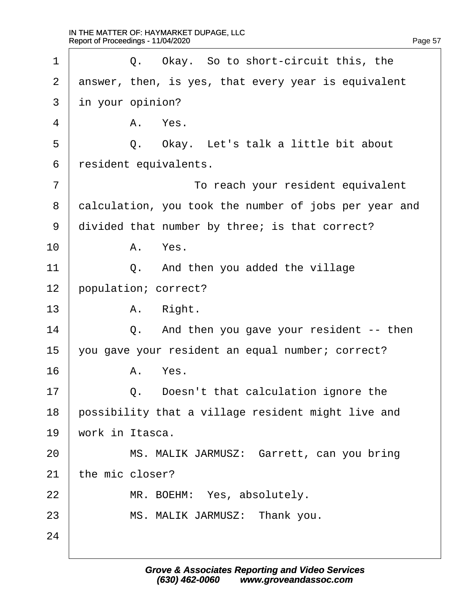| $\mathbf 1$    | Okay. So to short-circuit this, the<br>Q.             |
|----------------|-------------------------------------------------------|
| $\overline{2}$ | answer, then, is yes, that every year is equivalent   |
| 3              | in your opinion?                                      |
| 4              | A. Yes.                                               |
| 5              | Q. Okay. Let's talk a little bit about                |
| 6              | resident equivalents.                                 |
| 7              | To reach your resident equivalent                     |
| 8              | calculation, you took the number of jobs per year and |
| 9              | divided that number by three; is that correct?        |
| 10             | Yes.<br>Α.                                            |
| 11             | And then you added the village<br>Q.                  |
| 12             | population; correct?                                  |
| 13             | A. Right.                                             |
| 14             | And then you gave your resident -- then<br>Q.         |
| 15             | you gave your resident an equal number; correct?      |
| 16             | Yes.<br>Α.                                            |
| 17             | Doesn't that calculation ignore the<br>Q.             |
| 18             | possibility that a village resident might live and    |
| 19             | work in Itasca.                                       |
| 20             | MS. MALIK JARMUSZ: Garrett, can you bring             |
| 21             | the mic closer?                                       |
| 22             | MR. BOEHM: Yes, absolutely.                           |
| 23             | MS. MALIK JARMUSZ: Thank you.                         |
| 24             |                                                       |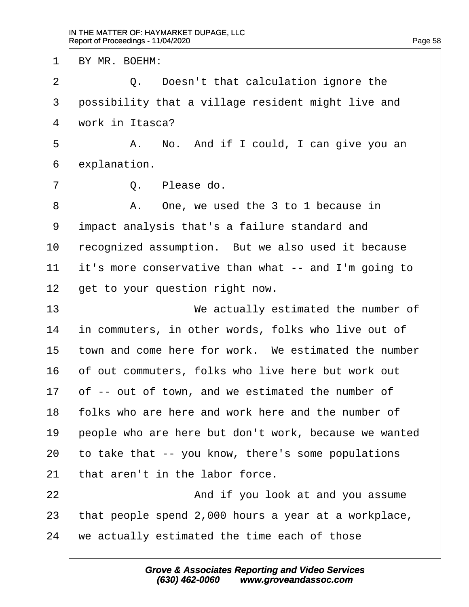1 | BY MR. BOEHM: 2 |  $\qquad$  0. Doesn't that calculation ignore the 3 possibility that a village resident might live and  $4 \mid$  work in Itasca? 5 A. No. And if I could, I can give you an  $6$  explanation.  $7$   $\begin{array}{ccc} 7 & \end{array}$   $0.$   $P$   $1$   $e$  ase  $d$   $o.$ 8 | A. One, we used the 3 to 1 because in 9 | impact analysis that's a failure standard and 10 recognized assumption. But we also used it because 11  $\vert$  it's more conservative than what -- and I'm going to  $12$   $\vert$  get to your question right now. 13· · · · · · · · · · ·We actually estimated the number of  $14$   $\vert$  in commuters, in other words, folks who live out of  $15$  town and come here for work. We estimated the number 16 of out commuters, folks who live here but work out  $17$  of -- out of town, and we estimated the number of 18 | folks who are here and work here and the number of 19 people who are here but don't work, because we wanted 20  $\vert$  to take that -- you know, there's some populations  $21$  | that aren't in the labor force. 22 | **And if you look at and you assume** 23 | that people spend 2,000 hours a year at a workplace,  $24$   $\parallel$  we actually estimated the time each of those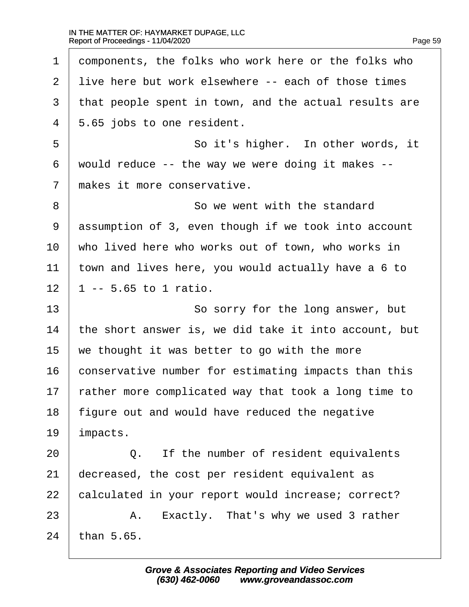$\Gamma$ 

| $\mathbf 1$ | components, the folks who work here or the folks who    |
|-------------|---------------------------------------------------------|
| 2           | live here but work elsewhere -- each of those times     |
| 3           | that people spent in town, and the actual results are   |
| 4           | 5.65 jobs to one resident.                              |
| 5           | So it's higher. In other words, it                      |
| 6           | would reduce $-$ - the way we were doing it makes $-$ - |
| 7           | makes it more conservative.                             |
| 8           | So we went with the standard                            |
| 9           | assumption of 3, even though if we took into account    |
| 10          | who lived here who works out of town, who works in      |
| 11          | town and lives here, you would actually have a 6 to     |
| 12          | $1 - - 5.65$ to 1 ratio.                                |
|             |                                                         |
| 13          | So sorry for the long answer, but                       |
| 14          | the short answer is, we did take it into account, but   |
| 15          | we thought it was better to go with the more            |
| 16          | conservative number for estimating impacts than this    |
| 17          | rather more complicated way that took a long time to    |
| 18          | figure out and would have reduced the negative          |
| 19          | impacts.                                                |
| 20          | If the number of resident equivalents<br>Q.             |
| 21          | decreased, the cost per resident equivalent as          |
| 22          | calculated in your report would increase; correct?      |
| 23          | Exactly. That's why we used 3 rather<br>Α.              |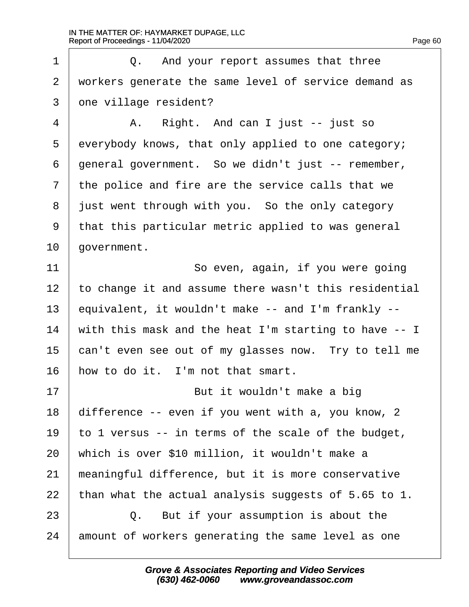1 |  $Q.$  And your report assumes that three 2 | workers generate the same level of service demand as  $3 \mid$  one village resident?

4 | A. Right. And can I just -- just so  $5$  everybody knows, that only applied to one category;  $6$  | general government. So we didn't just  $-$  remember,  $7$   $\vert$  the police and fire are the service calls that we 8 iust went through with you. So the only category 9 | that this particular metric applied to was general  $10$  aovernment.

11 | So even, again, if you were going  $\mid$  to change it and assume there wasn't this residential 13 equivalent, it wouldn't make  $-$  and I'm frankly  $\mid$  with this mask and the heat I'm starting to have  $-$ - I  $\vert$  can't even see out of my glasses now. Try to tell me  $\vert$  how to do it. I'm not that smart.

17 | **But it wouldn't make a big** 18 | difference  $-$ - even if you went with a, you know, 2 19  $\vert$  to 1 versus -- in terms of the scale of the budget, 20 | which is over \$10 million, it wouldn't make a  $21$   $\parallel$  meaningful difference, but it is more conservative 22 | than what the actual analysis suggests of  $5.65$  to 1. 23 | C. But if your assumption is about the

24 amount of workers generating the same level as one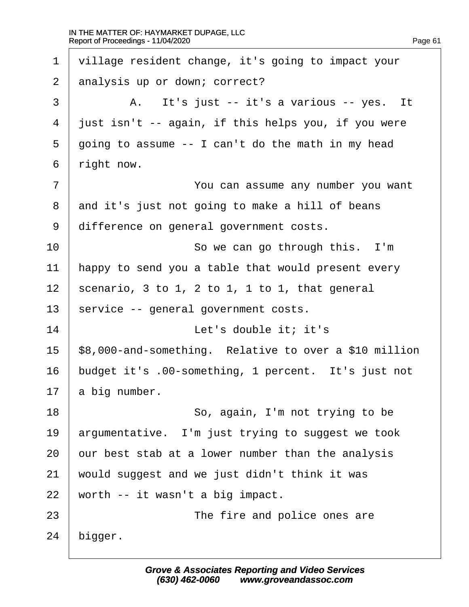| $\mathbf 1$    | village resident change, it's going to impact your            |
|----------------|---------------------------------------------------------------|
| 2              | analysis up or down; correct?                                 |
| $\mathsf{3}$   | A. It's just -- it's a various -- yes. It                     |
| $\overline{4}$ | just isn't -- again, if this helps you, if you were           |
| 5              | going to assume -- I can't do the math in my head             |
| 6              | right now.                                                    |
| 7              | You can assume any number you want                            |
| 8              | and it's just not going to make a hill of beans               |
| 9              | difference on general government costs.                       |
| 10             | So we can go through this. I'm                                |
| 11             | happy to send you a table that would present every            |
| 12             | scenario, $3$ to $1$ , $2$ to $1$ , $1$ to $1$ , that general |
| 13             | service -- general government costs.                          |
| 14             | Let's double it; it's                                         |
| 15             | \$8,000-and-something. Relative to over a \$10 million        |
| 16             | budget it's .00-something, 1 percent. It's just not           |
| 17             | a big number.                                                 |
| 18             | So, again, I'm not trying to be                               |
| 19             | argumentative. I'm just trying to suggest we took             |
| 20             | our best stab at a lower number than the analysis             |
| 21             | would suggest and we just didn't think it was                 |
| 22             | worth -- it wasn't a big impact.                              |
| 23             | The fire and police ones are                                  |
| 24             | bigger.                                                       |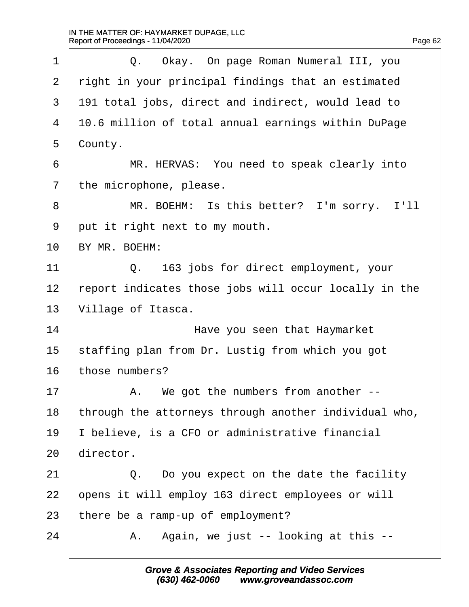| $\mathbf 1$    | Okay. On page Roman Numeral III, you<br>$Q_{\bullet}$ |
|----------------|-------------------------------------------------------|
| 2              | right in your principal findings that an estimated    |
| 3              | 191 total jobs, direct and indirect, would lead to    |
| $\overline{4}$ | 10.6 million of total annual earnings within DuPage   |
| 5              | County.                                               |
| 6              | MR. HERVAS: You need to speak clearly into            |
| 7              | the microphone, please.                               |
| 8              | MR. BOEHM: Is this better? I'm sorry. I'll            |
| 9              | put it right next to my mouth.                        |
| 10             | BY MR. BOEHM:                                         |
| 11             | 163 jobs for direct employment, your<br>$\circ$ .     |
| 12             | report indicates those jobs will occur locally in the |
| 13             | Village of Itasca.                                    |
| 14             | Have you seen that Haymarket                          |
| 15             | staffing plan from Dr. Lustig from which you got      |
| 16             | those numbers?                                        |
| 17             | We got the numbers from another $-$ -<br>А.           |
| 18             | through the attorneys through another individual who, |
| 19             | I believe, is a CFO or administrative financial       |
| 20             | director.                                             |
| 21             | Do you expect on the date the facility<br>Q.          |
| 22             | opens it will employ 163 direct employees or will     |
| 23             | there be a ramp-up of employment?                     |
| 24             | Again, we just -- looking at this --<br>Α.            |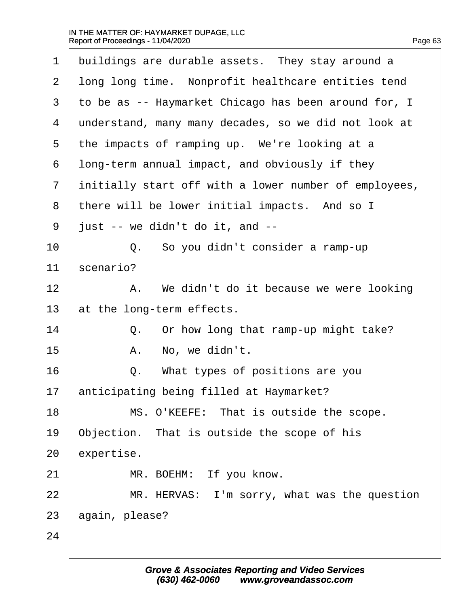| $\mathbf 1$ | buildings are durable assets. They stay around a      |
|-------------|-------------------------------------------------------|
| 2           | long long time. Nonprofit healthcare entities tend    |
| 3           | to be as -- Haymarket Chicago has been around for, I  |
| 4           | understand, many many decades, so we did not look at  |
| 5           | the impacts of ramping up. We're looking at a         |
| 6           | long-term annual impact, and obviously if they        |
| 7           | initially start off with a lower number of employees, |
| 8           | there will be lower initial impacts. And so I         |
| 9           | just -- we didn't do it, and --                       |
| 10          | So you didn't consider a ramp-up<br>Q.                |
| 11          | scenario?                                             |
| 12          | We didn't do it because we were looking<br>Α.         |
| 13          | at the long-term effects.                             |
| 14          | Or how long that ramp-up might take?<br>Q.            |
| 15          | No, we didn't.<br>Α.                                  |
| 16          | What types of positions are you<br>Q.                 |
| 17          | anticipating being filled at Haymarket?               |
| 18          | MS. O'KEEFE: That is outside the scope.               |
| 19          | Objection. That is outside the scope of his           |
| 20          | expertise.                                            |
| 21          | MR. BOEHM: If you know.                               |
| 22          | MR. HERVAS: I'm sorry, what was the question          |
| 23          | again, please?                                        |
| 24          |                                                       |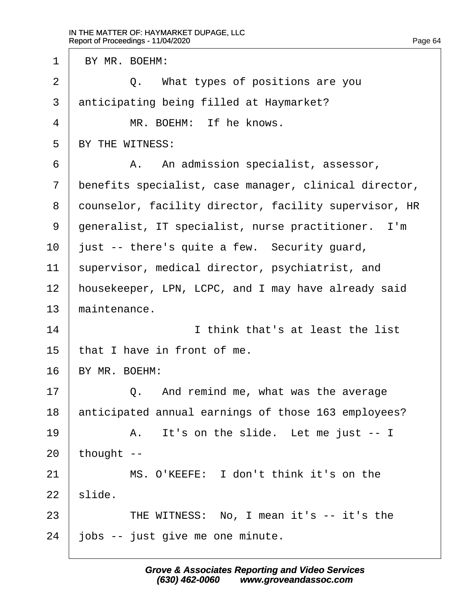1 | BY MR. BOEHM: 2 |  $Q.$  What types of positions are you 3 anticipating being filled at Haymarket? 4 WR. BOEHM: If he knows.  $5$  RY THE WITNESS: 6 | A. An admission specialist, assessor, 7 | benefits specialist, case manager, clinical director, 8 | counselor, facility director, facility supervisor, HR 9 | generalist, IT specialist, nurse practitioner. I'm  $10$  | just -- there's quite a few. Security quard, 11 | supervisor, medical director, psychiatrist, and 12 | housekeeper, LPN, LCPC, and I may have already said  $13$  maintenance. 14 and 14 and 10 in think that's at least the list  $15$  that I have in front of me. 16 | BY MR. BOEHM: 17· · · · · ·Q.· ·And remind me, what was the average 18 anticipated annual earnings of those 163 employees? 19 a. It's on the slide. Let me just -- I  $20$  | thought --21· · · · · ·MS. O'KEEFE:· I don't think it's on the  $22$  slide. 23 THE WITNESS: No, I mean it's -- it's the  $24$   $\mid$  jobs  $-$  just give me one minute.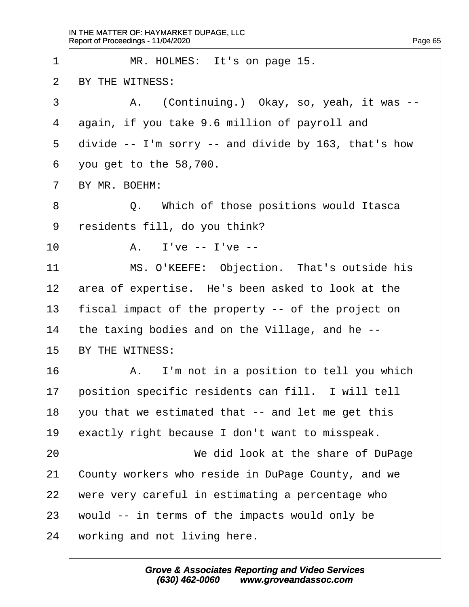$\Gamma$ 

| $\mathbf{1}$ | MR. HOLMES: It's on page 15.                             |
|--------------|----------------------------------------------------------|
| 2            | BY THE WITNESS:                                          |
| 3            | (Continuing.) Okay, so, yeah, it was --<br>Α.            |
| 4            | again, if you take 9.6 million of payroll and            |
| 5            | divide $--$ I'm sorry $--$ and divide by 163, that's how |
| 6            | you get to the 58,700.                                   |
| 7            | BY MR. BOEHM:                                            |
| $8\,$        | Q. Which of those positions would Itasca                 |
| 9            | residents fill, do you think?                            |
| 10           | A. I've $-$ I've $-$                                     |
| 11           | MS. O'KEEFE: Objection. That's outside his               |
| 12           | area of expertise. He's been asked to look at the        |
| 13           | fiscal impact of the property -- of the project on       |
| 14           | the taxing bodies and on the Village, and he --          |
| 15           | BY THE WITNESS:                                          |
| 16           | A. I'm not in a position to tell you which               |
| 17           | position specific residents can fill. I will tell        |
| 18           | you that we estimated that -- and let me get this        |
| 19           | exactly right because I don't want to misspeak.          |
| 20           | We did look at the share of DuPage                       |
| 21           | County workers who reside in DuPage County, and we       |
| 22           | were very careful in estimating a percentage who         |
| 23           | would -- in terms of the impacts would only be           |
| 24           | working and not living here.                             |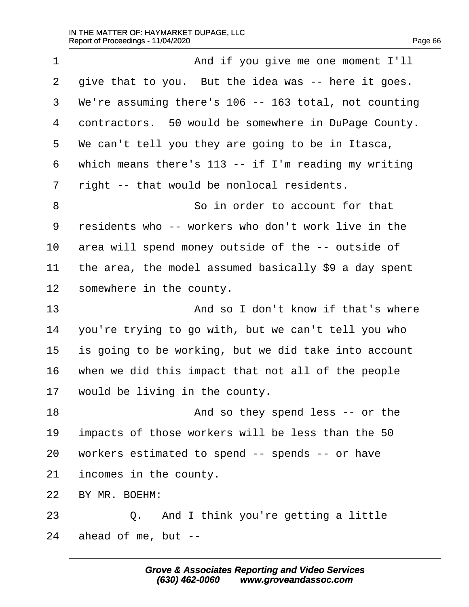$\Gamma$ 

| $\mathbf 1$                                  | And if you give me one moment I'll                    |
|----------------------------------------------|-------------------------------------------------------|
| 2                                            | give that to you. But the idea was -- here it goes.   |
| 3                                            | We're assuming there's 106 -- 163 total, not counting |
| 4                                            | contractors. 50 would be somewhere in DuPage County.  |
| 5                                            | We can't tell you they are going to be in Itasca,     |
| 6                                            | which means there's 113 -- if I'm reading my writing  |
| 7                                            | right -- that would be nonlocal residents.            |
| 8                                            | So in order to account for that                       |
| 9                                            | residents who -- workers who don't work live in the   |
| 10                                           | area will spend money outside of the -- outside of    |
| 11                                           | the area, the model assumed basically \$9 a day spent |
| 12                                           | somewhere in the county.                              |
|                                              |                                                       |
|                                              | And so I don't know if that's where                   |
|                                              | you're trying to go with, but we can't tell you who   |
|                                              | is going to be working, but we did take into account  |
|                                              | when we did this impact that not all of the people    |
|                                              | would be living in the county.                        |
|                                              | And so they spend less -- or the                      |
|                                              | impacts of those workers will be less than the 50     |
| 13<br>14<br>15<br>16<br>17<br>18<br>19<br>20 | workers estimated to spend -- spends -- or have       |
| 21                                           | incomes in the county.                                |
| 22                                           | BY MR. BOEHM:                                         |
| 23                                           | And I think you're getting a little<br>$Q_{\bullet}$  |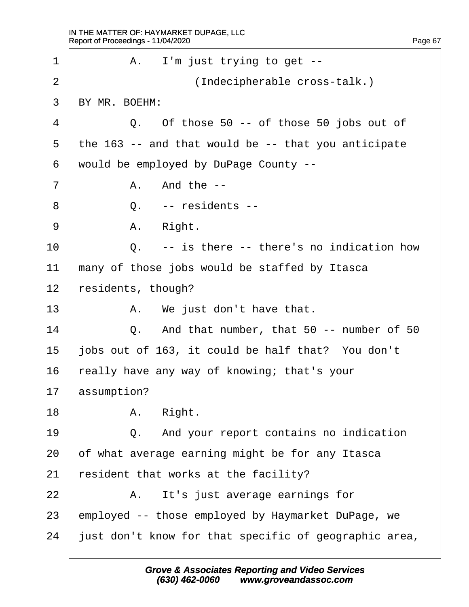1 | A. I'm just trying to get --2 | (Indecipherable cross-talk.) 3 RY MR. BOEHM:  $4$  0. Of those 50 -- of those 50 jobs out of 5 | the 163 -- and that would be -- that you anticipate  $6$  would be employed by DuPage County -- $7$   $\parallel$   $\parallel$   $\parallel$   $\parallel$   $\perp$   $\parallel$   $\perp$   $\parallel$ 8 | 0. -- residents -- $9 \mid$  A. Right. 10· · · · · ·Q.· ·-- is there -- there's no indication how  $11$   $\parallel$  many of those jobs would be staffed by Itasca  $12$  | residents, though? 13 | A. We just don't have that. 14 | Q. And that number, that 50 -- number of 50 15  $\vert$  jobs out of 163, it could be half that? You don't  $16$  really have any way of knowing; that's your  $17$  assumption?  $18$   $A.$   $Right.$ 19 |  $Q.$  And your report contains no indication  $20$  of what average earning might be for any Itasca 21 | resident that works at the facility? 22 | R. It's just average earnings for  $23$  employed -- those employed by Haymarket DuPage, we  $24$  | just don't know for that specific of geographic area,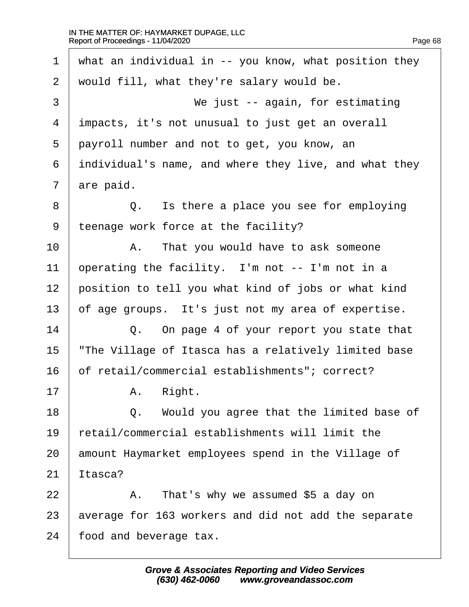$\Gamma$ 

| 1  | what an individual in $-$ you know, what position they |
|----|--------------------------------------------------------|
| 2  | would fill, what they're salary would be.              |
| 3  | We just $-$ again, for estimating                      |
| 4  | impacts, it's not unusual to just get an overall       |
| 5  | payroll number and not to get, you know, an            |
| 6  | individual's name, and where they live, and what they  |
| 7  | are paid.                                              |
| 8  | Q. Is there a place you see for employing              |
| 9  | teenage work force at the facility?                    |
| 10 | That you would have to ask someone<br>Α.               |
| 11 | operating the facility. I'm not -- I'm not in a        |
| 12 | position to tell you what kind of jobs or what kind    |
| 13 | of age groups. It's just not my area of expertise.     |
| 14 | Q. On page 4 of your report you state that             |
| 15 | "The Village of Itasca has a relatively limited base   |
| 16 | of retail/commercial establishments"; correct?         |
| 17 | A. Right.                                              |
| 18 | Would you agree that the limited base of<br>Q.         |
| 19 | retail/commercial establishments will limit the        |
| 20 | amount Haymarket employees spend in the Village of     |
| 21 | Itasca?                                                |
| 22 | That's why we assumed \$5 a day on<br>Α.               |
| 23 | average for 163 workers and did not add the separate   |
| 24 | food and beverage tax.                                 |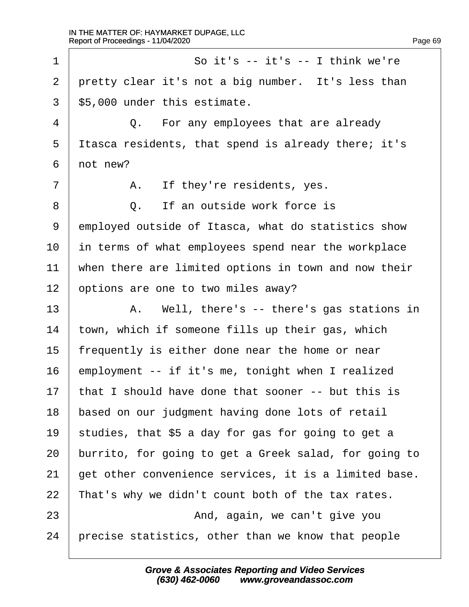·1· · · · · · · · · · ·So it's -- it's -- I think we're 2 | pretty clear it's not a big number. It's less than  $3$  | \$5,000 under this estimate. 4 0. For any employees that are already  $5$  Itasca residents, that spend is already there; it's  $6$  | not new? 7 | A. If they're residents, yes. 8 0. If an outside work force is 9 employed outside of Itasca, what do statistics show  $10$  in terms of what employees spend near the workplace  $11$   $\parallel$  when there are limited options in town and now their 12 options are one to two miles away? 13 A. Well, there's -- there's gas stations in  $14$  town, which if someone fills up their gas, which  $15$  | frequently is either done near the home or near  $16$  employment -- if it's me, tonight when I realized  $17$  that I should have done that sooner -- but this is 18 based on our judgment having done lots of retail 19 | studies, that \$5 a day for gas for going to get a 20 | burrito, for going to get a Greek salad, for going to  $21$   $\vert$  get other convenience services, it is a limited base.  $22$  | That's why we didn't count both of the tax rates. 23 | **And, again, we can't give you**  $24$   $\mid$  precise statistics, other than we know that people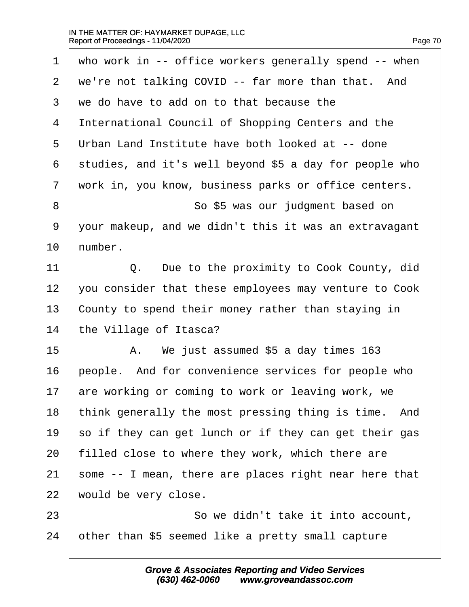| $\mathbf 1$ | who work in $--$ office workers generally spend $--$ when |
|-------------|-----------------------------------------------------------|
| 2           | we're not talking COVID -- far more than that. And        |
| 3           | we do have to add on to that because the                  |
| 4           | International Council of Shopping Centers and the         |
| 5           | Urban Land Institute have both looked at -- done          |
| 6           | studies, and it's well beyond \$5 a day for people who    |
| 7           | work in, you know, business parks or office centers.      |
| 8           | So \$5 was our judgment based on                          |
| 9           | your makeup, and we didn't this it was an extravagant     |
| 10          | number.                                                   |
| 11          | Due to the proximity to Cook County, did<br>Q.            |
| 12          | you consider that these employees may venture to Cook     |
| 13          | County to spend their money rather than staying in        |
| 14          | the Village of Itasca?                                    |
| 15          | We just assumed \$5 a day times 163<br>Α.                 |
| 16          | people. And for convenience services for people who       |
| 17          | are working or coming to work or leaving work, we         |
| 18          | think generally the most pressing thing is time.<br>And   |
| 19          | so if they can get lunch or if they can get their gas     |
| 20          | filled close to where they work, which there are          |
| 21          | some -- I mean, there are places right near here that     |
| 22          | would be very close.                                      |
| 23          | So we didn't take it into account,                        |
| 24          | other than \$5 seemed like a pretty small capture         |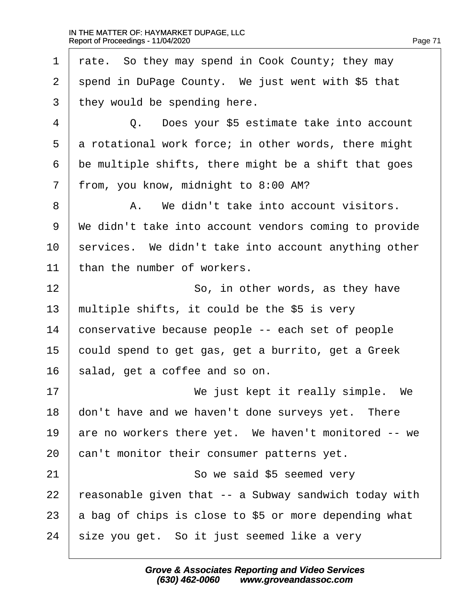rate. So they may spend in Cook County; they may spend in DuPage County. We just went with \$5 that they would be spending here. 4 | C. Does your \$5 estimate take into account a rotational work force; in other words, there might be multiple shifts, there might be a shift that goes 7 | from, you know, midnight to 8:00 AM? 8 A. We didn't take into account visitors. 9 | We didn't take into account vendors coming to provide services. We didn't take into account anything other 11 than the number of workers. 12 | **So, in other words, as they have**  | multiple shifts, it could be the \$5 is very conservative because people -- each set of people 15 could spend to get gas, get a burrito, get a Greek salad, get a coffee and so on. 17 | **We just kept it really simple.** We don't have and we haven't done surveys yet. There are no workers there yet. We haven't monitored  $-$ - we  $\vert$  can't monitor their consumer patterns yet. 21 | So we said \$5 seemed very  $\vert$  reasonable given that  $-$  a Subway sandwich today with  $\vert$  a bag of chips is close to \$5 or more depending what  $\mid$  size you get. So it just seemed like a very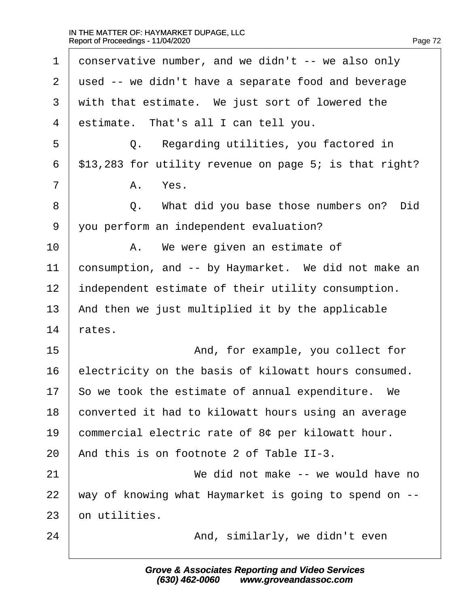$\Gamma$ 

| $\mathbf 1$    | conservative number, and we didn't $--$ we also only   |
|----------------|--------------------------------------------------------|
| 2              | used -- we didn't have a separate food and beverage    |
| 3              | with that estimate. We just sort of lowered the        |
| $\overline{4}$ | estimate. That's all I can tell you.                   |
| 5              | Q. Regarding utilities, you factored in                |
| 6              | \$13,283 for utility revenue on page 5; is that right? |
| 7              | Yes.<br>Α.                                             |
| 8              | What did you base those numbers on?<br>Did<br>Q.       |
| 9              | you perform an independent evaluation?                 |
| 10             | We were given an estimate of<br>Α.                     |
| 11             | consumption, and -- by Haymarket. We did not make an   |
| 12             | independent estimate of their utility consumption.     |
| 13             | And then we just multiplied it by the applicable       |
| 14             | rates.                                                 |
| 15             | And, for example, you collect for                      |
| 16             | electricity on the basis of kilowatt hours consumed.   |
| 17             | So we took the estimate of annual expenditure.<br>We   |
| 18             | converted it had to kilowatt hours using an average    |
| 19             | commercial electric rate of 8¢ per kilowatt hour.      |
| 20             | And this is on footnote 2 of Table II-3.               |
| 21             | We did not make -- we would have no                    |
| 22             | way of knowing what Haymarket is going to spend on --  |
| 23             | on utilities.                                          |
| 24             | And, similarly, we didn't even                         |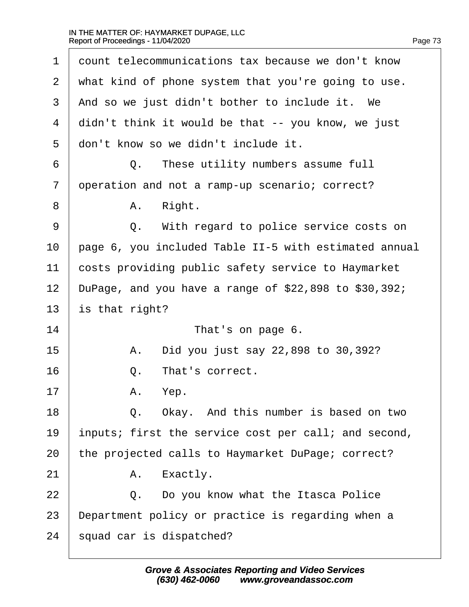$\Gamma$ 

| 1                                            | count telecommunications tax because we don't know       |
|----------------------------------------------|----------------------------------------------------------|
| 2                                            | what kind of phone system that you're going to use.      |
| 3                                            | And so we just didn't bother to include it. We           |
| $\overline{4}$                               | didn't think it would be that -- you know, we just       |
| 5                                            | don't know so we didn't include it.                      |
| 6                                            | These utility numbers assume full<br>О.                  |
| 7                                            | operation and not a ramp-up scenario; correct?           |
| 8                                            | Right.<br>Α.                                             |
| 9                                            | Q. With regard to police service costs on                |
| 10                                           | page 6, you included Table II-5 with estimated annual    |
| 11                                           | costs providing public safety service to Haymarket       |
| 12                                           | DuPage, and you have a range of $$22,898$ to $$30,392$ ; |
|                                              |                                                          |
|                                              | is that right?                                           |
|                                              | That's on page 6.                                        |
|                                              | Did you just say 22,898 to 30,392?<br>Α.                 |
|                                              | That's correct.<br>Q.                                    |
|                                              | Α.<br>Yep.                                               |
|                                              | Okay. And this number is based on two<br>Q.              |
|                                              | inputs; first the service cost per call; and second,     |
| 13<br>14<br>15<br>16<br>17<br>18<br>19<br>20 | the projected calls to Haymarket DuPage; correct?        |
| 21                                           | Exactly.<br>Α.                                           |
| 22                                           | Do you know what the Itasca Police<br>Q.                 |
| 23                                           | Department policy or practice is regarding when a        |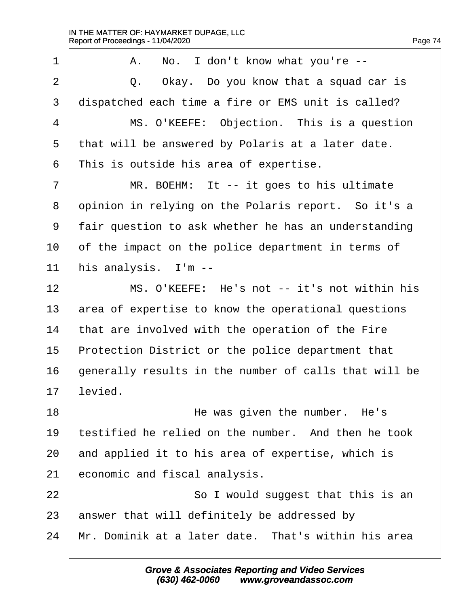1 | A. No. I don't know what you're --·2· · · · · ·Q.· ·Okay.· Do you know that a squad car is 3 dispatched each time a fire or EMS unit is called? 4 | MS. O'KEEFE: Objection. This is a question  $5$  | that will be answered by Polaris at a later date.  $6$  | This is outside his area of expertise. 7 | MR. BOEHM: It -- it goes to his ultimate 8 opinion in relying on the Polaris report. So it's a 9 | fair question to ask whether he has an understanding  $10$   $\vert$  of the impact on the police department in terms of  $11$  | his analysis. I'm  $-$ -12 | MS. O'KEEFE: He's not -- it's not within his 13 area of expertise to know the operational questions  $14$  | that are involved with the operation of the Fire  $15$  Protection District or the police department that  $16$   $\vert$  generally results in the number of calls that will be  $17$  levied. 18 and 18 and 18 and 18 and 18 and 18 and 18 and 18 and 18 and 18 and 18 and 18 and 18 and 18 and 18 and 18 and 1  $19$   $\mid$  testified he relied on the number. And then he took  $20$  and applied it to his area of expertise, which is  $21$  economic and fiscal analysis. 22 | **So I would suggest that this is an**  $23$  answer that will definitely be addressed by  $24$   $\mid$  Mr. Dominik at a later date. That's within his area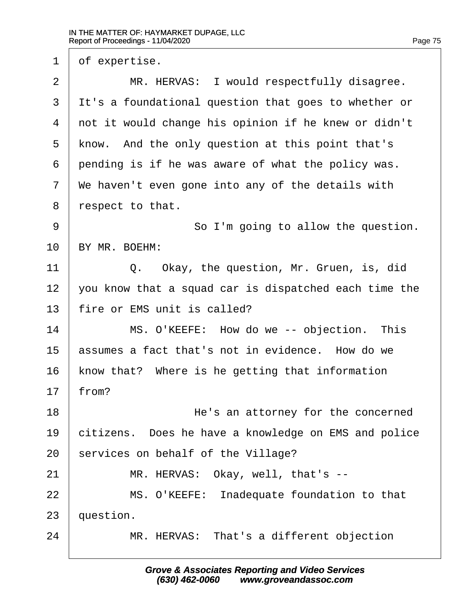$1 \mid$  of expertise.

2 | MR. HERVAS: I would respectfully disagree. 3 I It's a foundational question that goes to whether or  $4$   $\mid$  not it would change his opinion if he knew or didn't  $5$  know. And the only question at this point that's  $6$  pending is if he was aware of what the policy was.  $7$   $\mid$  We haven't even gone into any of the details with  $8$  | respect to that. 9 | So I'm going to allow the question.  $10$  RY MR. BOEHM: 11 | C. Okay, the question, Mr. Gruen, is, did  $12$   $\mid$  you know that a squad car is dispatched each time the  $13$  | fire or EMS unit is called? 14· · · · · ·MS. O'KEEFE:· How do we -- objection.· This 15  $\vert$  assumes a fact that's not in evidence. How do we  $16$  | know that? Where is he getting that information  $17$  from? 18 **I 18** · *I I I I I I I I I I I I I I I I I I I I I I I I I I I I I I I* 19· ·citizens.· Does he have a knowledge on EMS and police  $20$  services on behalf of the Village? 21 | MR. HERVAS: Okay, well, that's --22 | MS. O'KEEFE: Inadequate foundation to that  $23$  | question. 24 | MR. HERVAS: That's a different objection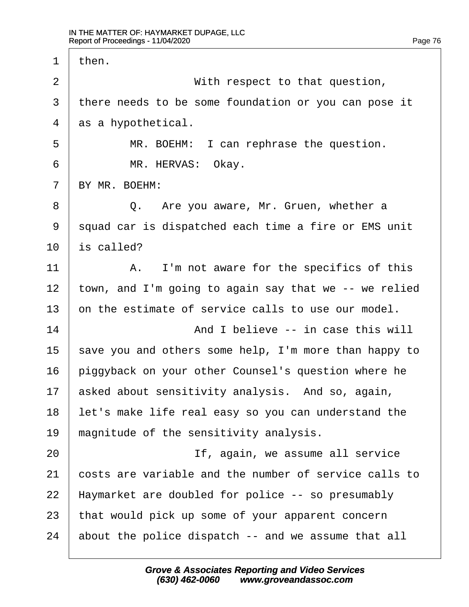$\Gamma$ 

| 1  | then.                                                 |
|----|-------------------------------------------------------|
| 2  | With respect to that question,                        |
| 3  | there needs to be some foundation or you can pose it  |
| 4  | as a hypothetical.                                    |
| 5  | MR. BOEHM: I can rephrase the question.               |
| 6  | MR. HERVAS: Okay.                                     |
| 7  | BY MR. BOEHM:                                         |
| 8  | Are you aware, Mr. Gruen, whether a<br>Q.             |
| 9  | squad car is dispatched each time a fire or EMS unit  |
| 10 | is called?                                            |
| 11 | I'm not aware for the specifics of this<br>Α.         |
| 12 | town, and I'm going to again say that we -- we relied |
| 13 | on the estimate of service calls to use our model.    |
| 14 | And I believe -- in case this will                    |
| 15 | save you and others some help, I'm more than happy to |
| 16 | piggyback on your other Counsel's question where he   |
| 17 | asked about sensitivity analysis. And so, again,      |
| 18 | let's make life real easy so you can understand the   |
| 19 | magnitude of the sensitivity analysis.                |
| 20 | If, again, we assume all service                      |
| 21 | costs are variable and the number of service calls to |
| 22 | Haymarket are doubled for police -- so presumably     |
| 23 | that would pick up some of your apparent concern      |
| 24 | about the police dispatch -- and we assume that all   |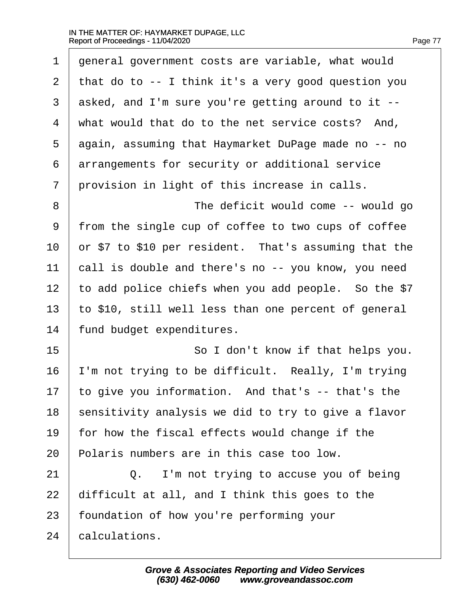$\Gamma$ 

| $\mathbf 1$    | general government costs are variable, what would     |
|----------------|-------------------------------------------------------|
| $\overline{2}$ | that do to -- I think it's a very good question you   |
| 3              | asked, and I'm sure you're getting around to it --    |
| $\overline{4}$ | what would that do to the net service costs? And,     |
| 5              | again, assuming that Haymarket DuPage made no -- no   |
| 6              | arrangements for security or additional service       |
| 7              | provision in light of this increase in calls.         |
| $8\,$          | The deficit would come -- would go                    |
| 9              | from the single cup of coffee to two cups of coffee   |
| 10             | or \$7 to \$10 per resident. That's assuming that the |
| 11             | call is double and there's no -- you know, you need   |
| 12             | to add police chiefs when you add people. So the \$7  |
| 13             | to \$10, still well less than one percent of general  |
| 14             | fund budget expenditures.                             |
| 15             | So I don't know if that helps you.                    |
| 16             | I'm not trying to be difficult. Really, I'm trying    |
| 17             | to give you information. And that's -- that's the     |
| 18             | sensitivity analysis we did to try to give a flavor   |
| 19             | for how the fiscal effects would change if the        |
| 20             | Polaris numbers are in this case too low.             |
| 21             | I'm not trying to accuse you of being<br>$Q$ .        |
| 22             | difficult at all, and I think this goes to the        |
| 23             | foundation of how you're performing your              |
| 24             | calculations.                                         |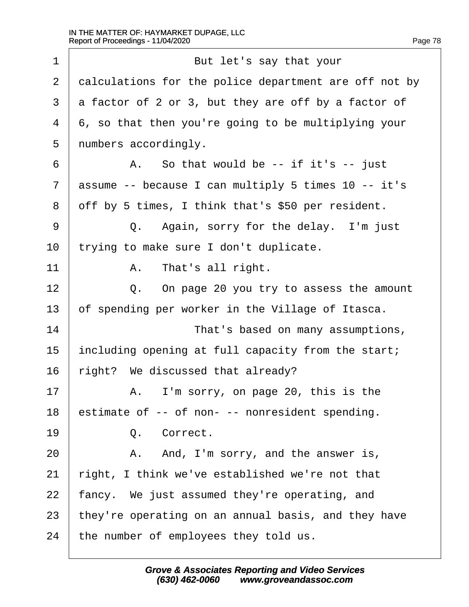$\Gamma$ 

| $\mathbf{1}$ | But let's say that your                               |
|--------------|-------------------------------------------------------|
| 2            | calculations for the police department are off not by |
| 3            | a factor of 2 or 3, but they are off by a factor of   |
| 4            | 6, so that then you're going to be multiplying your   |
| 5            | numbers accordingly.                                  |
| 6            | So that would be $-$ - if it's $-$ - just<br>Α.       |
| 7            | assume -- because I can multiply 5 times 10 -- it's   |
| 8            | off by 5 times, I think that's \$50 per resident.     |
| 9            | Q. Again, sorry for the delay. I'm just               |
| $10 \,$      | trying to make sure I don't duplicate.                |
| 11           | That's all right.<br>Α.                               |
| 12           | On page 20 you try to assess the amount<br>$Q$ .      |
| 13           | of spending per worker in the Village of Itasca.      |
| 14           | That's based on many assumptions,                     |
| 15           | including opening at full capacity from the start;    |
| 16           | right? We discussed that already?                     |
| 17           | I'm sorry, on page 20, this is the<br>А.              |
| 18           | estimate of -- of non- -- nonresident spending.       |
| 19           | Q. Correct.                                           |
| 20           | A. And, I'm sorry, and the answer is,                 |
| 21           | right, I think we've established we're not that       |
| 22           | fancy. We just assumed they're operating, and         |
| 23           | they're operating on an annual basis, and they have   |
| 24           | the number of employees they told us.                 |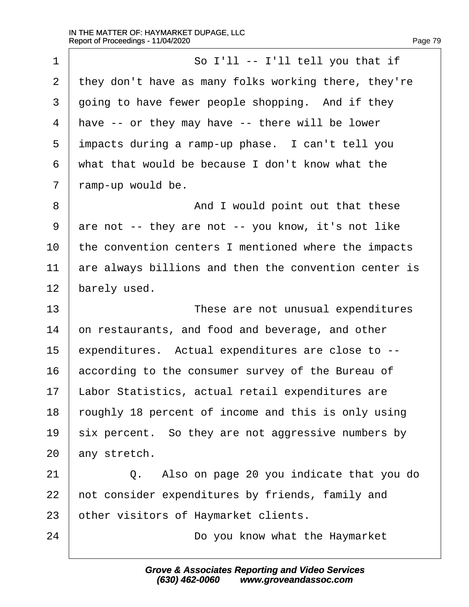1 | So I'll -- I'll tell you that if 2  $\vert$  they don't have as many folks working there, they're  $3$   $\vert$  going to have fewer people shopping. And if they  $4$  have -- or they may have -- there will be lower 5 impacts during a ramp-up phase. I can't tell you  $6$  what that would be because I don't know what the  $7$  | ramp-up would be. 8 | And I would point out that these  $9$  are not -- they are not -- you know, it's not like  $10$  the convention centers I mentioned where the impacts  $11$   $\vert$  are always billions and then the convention center is  $12$  barely used. 13· · · · · · · · · · ·These are not unusual expenditures  $14$   $\vert$  on restaurants, and food and beverage, and other  $15$  expenditures. Actual expenditures are close to  $-$ - $16$  according to the consumer survey of the Bureau of 17 | Labor Statistics, actual retail expenditures are 18 roughly 18 percent of income and this is only using  $19$  six percent. So they are not aggressive numbers by  $20$  any stretch. 21 | Q. Also on page 20 you indicate that you do 22 | not consider expenditures by friends, family and 23 other visitors of Haymarket clients. 24 a · · · · · · · · · · · Do you know what the Haymarket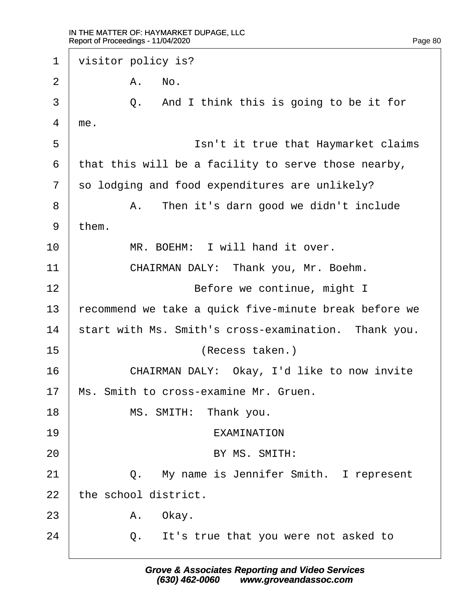$\Gamma$ 

| 1  | visitor policy is?                                    |
|----|-------------------------------------------------------|
| 2  | No.<br>Α.                                             |
| 3  | And I think this is going to be it for<br>Q.          |
| 4  | me.                                                   |
| 5  | Isn't it true that Haymarket claims                   |
| 6  | that this will be a facility to serve those nearby,   |
| 7  | so lodging and food expenditures are unlikely?        |
| 8  | Then it's darn good we didn't include<br>Α.           |
| 9  | them.                                                 |
| 10 | MR. BOEHM: I will hand it over.                       |
| 11 | CHAIRMAN DALY: Thank you, Mr. Boehm.                  |
| 12 | Before we continue, might I                           |
| 13 | recommend we take a quick five-minute break before we |
| 14 | start with Ms. Smith's cross-examination. Thank you.  |
| 15 | (Recess taken.)                                       |
| 16 | CHAIRMAN DALY: Okay, I'd like to now invite           |
| 17 | Ms. Smith to cross-examine Mr. Gruen.                 |
| 18 | MS. SMITH: Thank you.                                 |
| 19 | EXAMINATION                                           |
| 20 | BY MS. SMITH:                                         |
| 21 | My name is Jennifer Smith. I represent<br>$Q$ .       |
| 22 | the school district.                                  |
| 23 | A. Okay.                                              |
| 24 | Q. It's true that you were not asked to               |
|    |                                                       |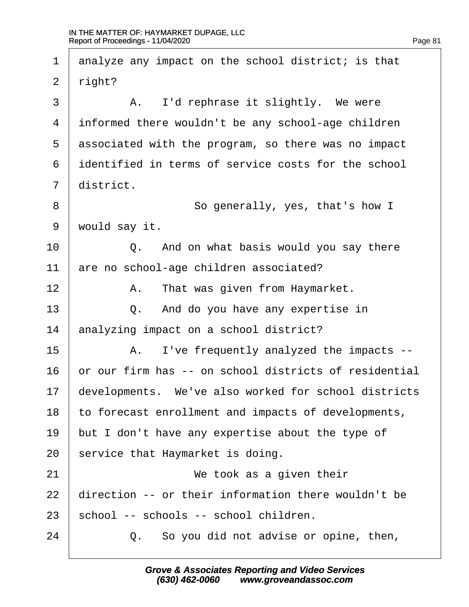$2 \mid$  right? 3 | A. I'd rephrase it slightly. We were informed there wouldn't be any school-age children associated with the program, so there was no impact identified in terms of service costs for the school  $\vert$  district. 8 | So generally, yes, that's how I 9 | would say it. 10 | 0. And on what basis would you say there are no school-age children associated? 12 | R. That was given from Haymarket. **0.** And do you have any expertise in 14 analyzing impact on a school district? 15 | A. I've frequently analyzed the impacts --  $\vert$  or our firm has -- on school districts of residential developments. We've also worked for school districts to forecast enrollment and impacts of developments, | but I don't have any expertise about the type of service that Haymarket is doing. 21 | **We took as a given their**   $\mid$  direction -- or their information there wouldn't be school -- schools -- school children. **0.** So you did not advise or opine, then,

1 analyze any impact on the school district; is that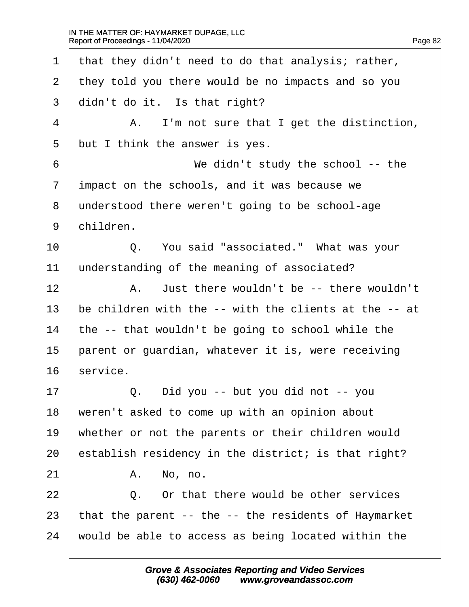16

 $\Gamma$ 

| $\mathbf 1$    | that they didn't need to do that analysis; rather,         |
|----------------|------------------------------------------------------------|
| 2              | they told you there would be no impacts and so you         |
| 3              | didn't do it. Is that right?                               |
| $\overline{4}$ | I'm not sure that I get the distinction,<br>Α.             |
| 5              | but I think the answer is yes.                             |
| 6              | We didn't study the school $-$ - the                       |
| 7              | impact on the schools, and it was because we               |
| 8              | understood there weren't going to be school-age            |
| 9              | children.                                                  |
| 10             | You said "associated." What was your<br>Q.                 |
| 11             | understanding of the meaning of associated?                |
| 12             | Just there wouldn't be -- there wouldn't<br>Α.             |
| 13             | be children with the -- with the clients at the -- at      |
| 14             | the -- that wouldn't be going to school while the          |
| 15             | parent or guardian, whatever it is, were receiving         |
| 16             | service.                                                   |
| 17             | Did you -- but you did not -- you<br>Q.                    |
| 18             | weren't asked to come up with an opinion about             |
| 19             | whether or not the parents or their children would         |
| 20             | establish residency in the district; is that right?        |
| 21             | No, no.<br>Α.                                              |
| 22             | Or that there would be other services<br>Q.                |
| 23             | that the parent $-$ - the $-$ - the residents of Haymarket |
| 24             | would be able to access as being located within the        |
|                |                                                            |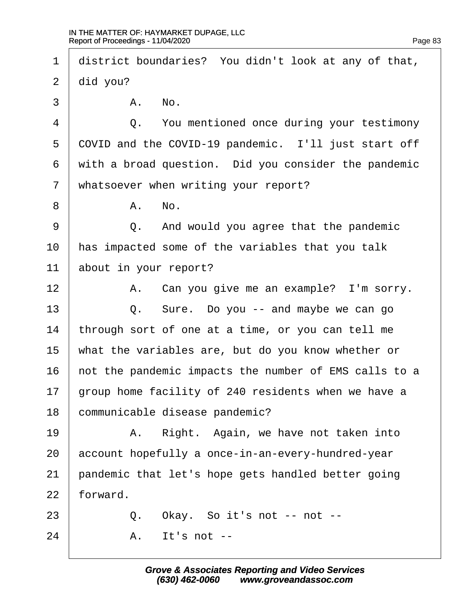1 district boundaries? You didn't look at any of that,  $2$   $\mid$  did you?  $\begin{array}{ccc} 3 & \vert & \text{A.} & \text{No.} \end{array}$ 4 **4** 0. You mentioned once during your testimony 5 COVID and the COVID-19 pandemic. I'll just start off  $6$  with a broad question. Did you consider the pandemic 7 | whatsoever when writing your report?  $8$   $\parallel$   $\blacksquare$   $\blacksquare$   $\blacksquare$   $\blacksquare$   $\blacksquare$   $\blacksquare$   $\blacksquare$   $\blacksquare$   $\blacksquare$   $\blacksquare$   $\blacksquare$   $\blacksquare$   $\blacksquare$   $\blacksquare$   $\blacksquare$   $\blacksquare$   $\blacksquare$   $\blacksquare$   $\blacksquare$   $\blacksquare$   $\blacksquare$   $\blacksquare$   $\blacksquare$   $\blacksquare$   $\blacksquare$   $\blacksquare$   $\blacksquare$   $\blacksquare$   $\blacksquare$   $\blacksquare$   $\$ 9 |  $Q$ . And would you agree that the pandemic  $10$   $\mid$  has impacted some of the variables that you talk  $11$  about in your report? 12 | A. Can you give me an example? I'm sorry. 13 | Q. Sure. Do you -- and maybe we can go  $14$  | through sort of one at a time, or you can tell me 15  $\vert$  what the variables are, but do you know whether or  $16$   $\vert$  not the pandemic impacts the number of EMS calls to a 17  $\vert$  group home facility of 240 residents when we have a 18 communicable disease pandemic? 19 | The Right. Again, we have not taken into  $20$  account hopefully a once-in-an-every-hundred-year 21  $\vert$  pandemic that let's hope gets handled better going  $22$  forward.  $23$   $\vert$  0. Okay. So it's not -- not -- $24$   $\overline{\phantom{a}}$   $\overline{\phantom{a}}$   $\overline{\phantom{a}}$   $\overline{\phantom{a}}$   $\overline{\phantom{a}}$   $\overline{\phantom{a}}$   $\overline{\phantom{a}}$   $\overline{\phantom{a}}$   $\overline{\phantom{a}}$   $\overline{\phantom{a}}$   $\overline{\phantom{a}}$   $\overline{\phantom{a}}$   $\overline{\phantom{a}}$   $\overline{\phantom{a}}$   $\overline{\phantom{a}}$   $\overline{\phantom{a}}$   $\overline{\phantom{a}}$   $\overline{\phantom{a}}$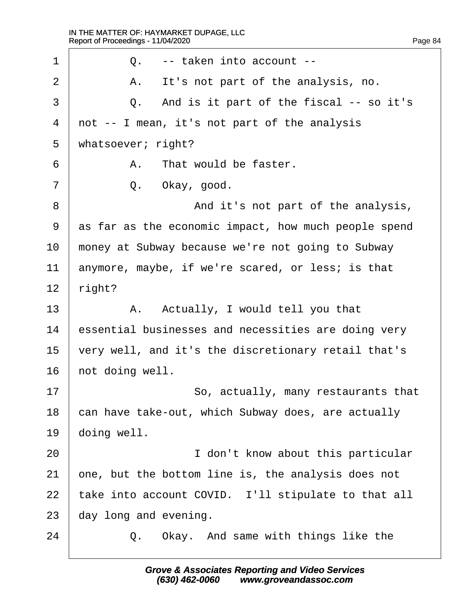·1· · · · · ·Q.· ·-- taken into account -- ·2· · · · · ·A.· ·It's not part of the analysis, no. 3 0. And is it part of the fiscal -- so it's  $4 \mid$  not -- I mean, it's not part of the analysis 5 | whatsoever; right?  $\begin{array}{ccc} 6 & | & A. & \text{That would be faster.} \end{array}$  $7$   $\vert$  0. Okay, good. 8 | And it's not part of the analysis, 9 as far as the economic impact, how much people spend 10 money at Subway because we're not going to Subway  $11$  anymore, maybe, if we're scared, or less; is that  $12$  | right? 13 | A. Actually, I would tell you that 14 essential businesses and necessities are doing very  $15$   $\vert$  very well, and it's the discretionary retail that's  $16$  not doing well. 17 | So, actually, many restaurants that 18 can have take-out, which Subway does, are actually  $19$  doing well. 20 | interest in the state of the state of the state of the state of the state of the state of the state of the state of the state of the state of the state of the state of the state of the state of the state of the state  $21$   $\vert$  one, but the bottom line is, the analysis does not 22  $\vert$  take into account COVID. I'll stipulate to that all  $23$  day long and evening. 24 **0.** Okay. And same with things like the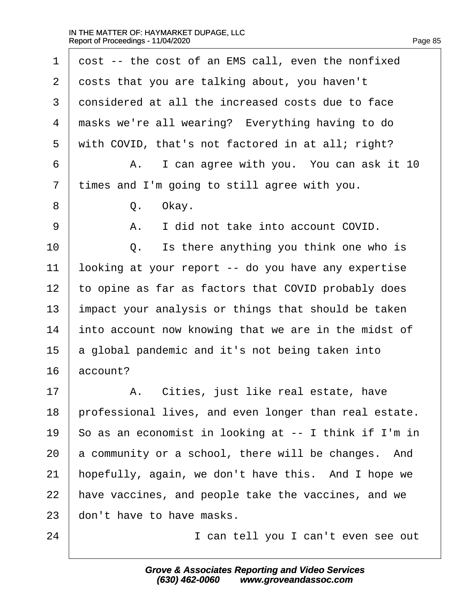$\Gamma$ 

| $\mathbf 1$ | cost -- the cost of an EMS call, even the nonfixed    |
|-------------|-------------------------------------------------------|
| 2           | costs that you are talking about, you haven't         |
| 3           | considered at all the increased costs due to face     |
| 4           | masks we're all wearing? Everything having to do      |
| 5           | with COVID, that's not factored in at all; right?     |
| 6           | I can agree with you. You can ask it 10<br>Α.         |
| 7           | times and I'm going to still agree with you.          |
| 8           | Okay.<br>Q.                                           |
| 9           | I did not take into account COVID.<br>Α.              |
| 10          | Is there anything you think one who is<br>Q.          |
| 11          | looking at your report -- do you have any expertise   |
| 12          | to opine as far as factors that COVID probably does   |
| 13          | impact your analysis or things that should be taken   |
| 14          | into account now knowing that we are in the midst of  |
| 15          | a global pandemic and it's not being taken into       |
| 16          | account?                                              |
| 17          | Cities, just like real estate, have<br>Α.             |
| 18          | professional lives, and even longer than real estate. |
| 19          | So as an economist in looking at -- I think if I'm in |
| 20          | a community or a school, there will be changes. And   |
| 21          | hopefully, again, we don't have this. And I hope we   |
| 22          | have vaccines, and people take the vaccines, and we   |
| 23          | don't have to have masks.                             |
| 24          | I can tell you I can't even see out                   |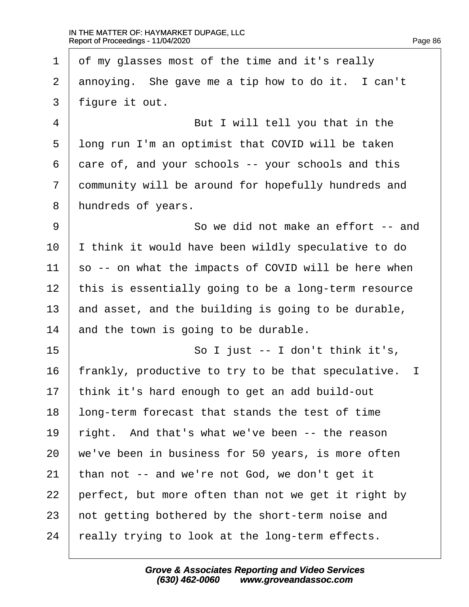| $\mathbf 1$    | of my glasses most of the time and it's really                     |
|----------------|--------------------------------------------------------------------|
| 2              | annoying. She gave me a tip how to do it. I can't                  |
| 3              | figure it out.                                                     |
| $\overline{4}$ | But I will tell you that in the                                    |
| 5              | long run I'm an optimist that COVID will be taken                  |
| 6              | care of, and your schools -- your schools and this                 |
| 7              | community will be around for hopefully hundreds and                |
| 8              | hundreds of years.                                                 |
| $\overline{9}$ | So we did not make an effort -- and                                |
| 10             | I think it would have been wildly speculative to do                |
| 11             | so -- on what the impacts of COVID will be here when               |
| 12             | this is essentially going to be a long-term resource               |
| 13             | and asset, and the building is going to be durable,                |
| 14             | and the town is going to be durable.                               |
| 15             | So I just $-$ I don't think it's,                                  |
| 16             | frankly, productive to try to be that speculative.<br>$\mathbf{I}$ |
| 17             | think it's hard enough to get an add build-out                     |
| 18             | long-term forecast that stands the test of time                    |
| 19             | right. And that's what we've been -- the reason                    |
| 20             | we've been in business for 50 years, is more often                 |
| 21             | than not $-$ and we're not God, we don't get it                    |
| 22             | perfect, but more often than not we get it right by                |
| 23             | not getting bothered by the short-term noise and                   |
| 24             | really trying to look at the long-term effects.                    |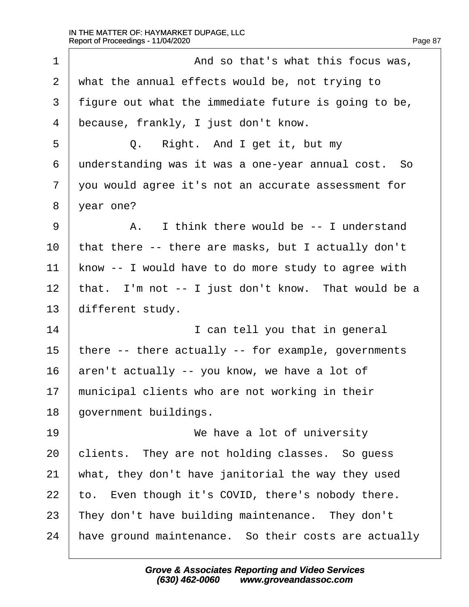1 | And so that's what this focus was,  $\vert$  what the annual effects would be, not trying to | figure out what the immediate future is going to be, because, frankly, I just don't know. 5 0. Right. And I get it, but my understanding was it was a one-year annual cost. So 7 | you would agree it's not an accurate assessment for 8 | year one? 9 A. I think there would be -- I understand | that there -- there are masks, but I actually don't | know  $-$  I would have to do more study to agree with | that. I'm not  $-$  I just don't know. That would be a different study. 14 | interest in the state of the state of the state of the state of the state of the state of the state of th  $\vert$  there -- there actually -- for example, governments aren't actually -- you know, we have a lot of municipal clients who are not working in their 18 | government buildings. 19 | **We have a lot of university**  clients. They are not holding classes. So quess  $\vert$  what, they don't have janitorial the way they used  $\vert$  to. Even though it's COVID, there's nobody there. | They don't have building maintenance. They don't  $\mid$  have ground maintenance. So their costs are actually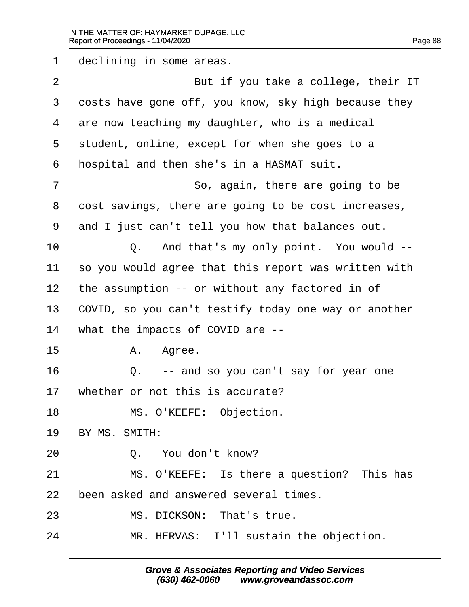| $\mathbf 1$    | declining in some areas.                             |
|----------------|------------------------------------------------------|
| $\overline{2}$ | But if you take a college, their IT                  |
| 3              | costs have gone off, you know, sky high because they |
| 4              | are now teaching my daughter, who is a medical       |
| 5              | student, online, except for when she goes to a       |
| 6              | hospital and then she's in a HASMAT suit.            |
| 7              | So, again, there are going to be                     |
| 8              | cost savings, there are going to be cost increases,  |
| 9              | and I just can't tell you how that balances out.     |
| 10             | Q. And that's my only point. You would --            |
| 11             | so you would agree that this report was written with |
| 12             | the assumption -- or without any factored in of      |
| 13             | COVID, so you can't testify today one way or another |
| 14             | what the impacts of COVID are $-$ -                  |
| 15             | Α.<br>Agree.                                         |
| 16             | -- and so you can't say for year one<br>Q.           |
| 17             | whether or not this is accurate?                     |
| 18             | MS. O'KEEFE: Objection.                              |
| 19             | BY MS. SMITH:                                        |
| 20             | Q. You don't know?                                   |
| 21             | MS. O'KEEFE: Is there a question? This has           |
| 22             | been asked and answered several times.               |
| 23             | MS. DICKSON: That's true.                            |
| 24             | MR. HERVAS: I'll sustain the objection.              |
|                |                                                      |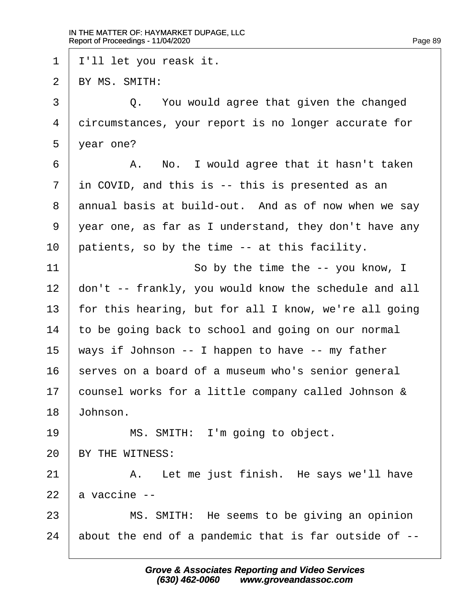| 1  | I'll let you reask it.                                   |
|----|----------------------------------------------------------|
| 2  | BY MS. SMITH:                                            |
| 3  | Q. You would agree that given the changed                |
| 4  | circumstances, your report is no longer accurate for     |
| 5  | year one?                                                |
| 6  | No. I would agree that it hasn't taken<br>Α.             |
| 7  | in COVID, and this is -- this is presented as an         |
| 8  | annual basis at build-out. And as of now when we say     |
| 9  | year one, as far as I understand, they don't have any    |
| 10 | patients, so by the time -- at this facility.            |
| 11 | So by the time the $--$ you know, I                      |
| 12 | don't -- frankly, you would know the schedule and all    |
| 13 | for this hearing, but for all I know, we're all going    |
| 14 | to be going back to school and going on our normal       |
| 15 | ways if Johnson $-$ - I happen to have $-$ - my father   |
| 16 | serves on a board of a museum who's senior general       |
| 17 | counsel works for a little company called Johnson &      |
| 18 | Johnson.                                                 |
| 19 | MS. SMITH: I'm going to object.                          |
| 20 | BY THE WITNESS:                                          |
| 21 | Let me just finish. He says we'll have<br>Α.             |
| 22 | a vaccine --                                             |
| 23 | MS. SMITH: He seems to be giving an opinion              |
| 24 | about the end of a pandemic that is far outside of $-$ - |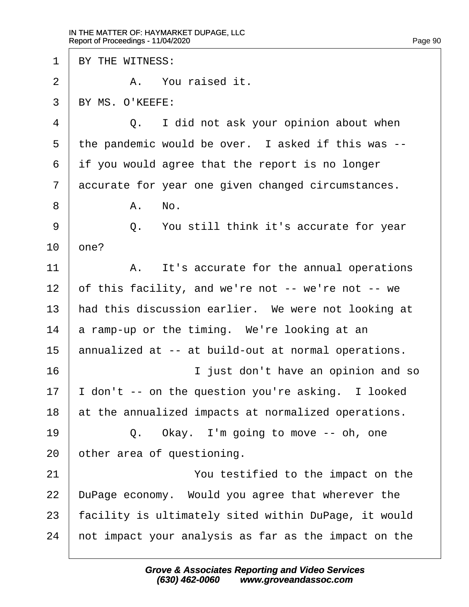1 | BY THE WITNESS: ·2· · · · · ·A.· ·You raised it.  $3$  RY MS. O'KEEFE: 4 0. I did not ask your opinion about when  $5$  | the pandemic would be over. I asked if this was -- $6$  if you would agree that the report is no longer 7 accurate for year one given changed circumstances.  $8$   $\parallel$   $\blacksquare$   $\blacksquare$   $\blacksquare$   $\blacksquare$   $\blacksquare$   $\blacksquare$   $\blacksquare$   $\blacksquare$   $\blacksquare$   $\blacksquare$   $\blacksquare$   $\blacksquare$   $\blacksquare$   $\blacksquare$   $\blacksquare$   $\blacksquare$   $\blacksquare$   $\blacksquare$   $\blacksquare$   $\blacksquare$   $\blacksquare$   $\blacksquare$   $\blacksquare$   $\blacksquare$   $\blacksquare$   $\blacksquare$   $\blacksquare$   $\blacksquare$   $\blacksquare$   $\blacksquare$   $\$ 9 |  $Q$ . You still think it's accurate for year  $10 \mid$  one? 11· · · · · ·A.· ·It's accurate for the annual operations  $12$  of this facility, and we're not -- we're not -- we 13 | had this discussion earlier. We were not looking at  $14$  a ramp-up or the timing. We're looking at an 15  $\vert$  annualized at -- at build-out at normal operations. 16 and so in the vertex in the south of the south of the south of the south of the south of the 16 in the 16 in the 16 in the 16 in the 16 in the 16 in the 16 in the 16 in the 16 in the 16 in the 16 in the 16 in the 16 in  $17$  | I don't -- on the question you're asking. I looked  $18$  at the annualized impacts at normalized operations.  $19$   $\vert$  0. Okay. I'm going to move -- oh, one  $20$  | other area of questioning. 21 | **The State of State You testified to the impact on the**  $22$  | DuPage economy. Would you agree that wherever the 23 | facility is ultimately sited within DuPage, it would  $24$   $\mid$  not impact your analysis as far as the impact on the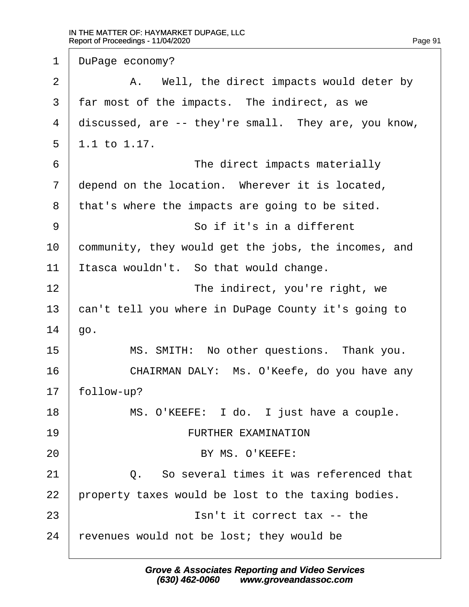1 | DuPage economy? 2 | The Mell, the direct impacts would deter by  $3$  | far most of the impacts. The indirect, as we 4 discussed, are  $-$ - they're small. They are, you know,  $5 \mid 1.1 \text{ to } 1.17.$ ·6· · · · · · · · · · ·The direct impacts materially  $7$   $\vert$  depend on the location. Wherever it is located,  $8$  | that's where the impacts are going to be sited. 9 | So if it's in a different  $10$  community, they would get the jobs, the incomes, and  $11$  | Itasca wouldn't. So that would change. 12 | **The indirect, you're right, we** 13 can't tell you where in DuPage County it's going to  $14$  | go. 15 | MS. SMITH: No other questions. Thank you. 16 CHAIRMAN DALY: Ms. O'Keefe, do you have any  $17$  follow-up? 18 | MS. O'KEEFE: I do. I just have a couple. 19· · · · · · · · · · FURTHER EXAMINATION 20 | BY MS. O'KEEFE:  $21$   $\vert$   $0.$  So several times it was referenced that 22  $\vert$  property taxes would be lost to the taxing bodies.  $23$   $\begin{array}{ccc} \end{array}$   $\begin{array}{ccc} \end{array}$   $\begin{array}{ccc} \end{array}$  Isn't it correct tax -- the  $24$  revenues would not be lost; they would be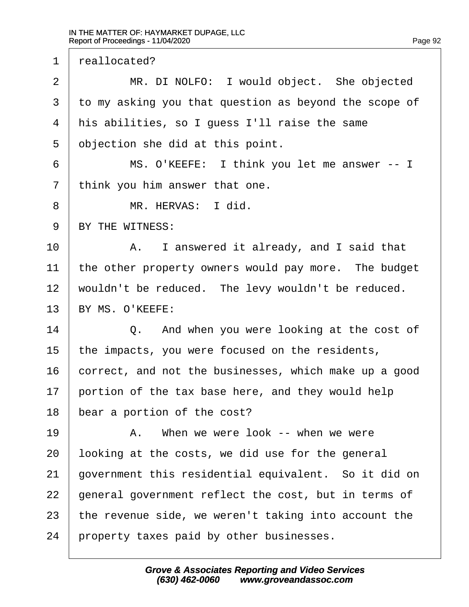1 | reallocated? 2 | MR. DI NOLFO: I would object. She objected  $3·$  to my asking you that question as beyond the scope of  $4$  his abilities, so I quess I'll raise the same  $5$  objection she did at this point. ·6· · · · · ·MS. O'KEEFE:· I think you let me answer -- I  $7$  | think you him answer that one. 8 | MR. HERVAS: I did. 9 BY THE WITNESS: 10 A. I answered it already, and I said that  $11$   $\pm$  the other property owners would pay more. The budget  $12$  wouldn't be reduced. The levy wouldn't be reduced. 13 | BY MS. O'KEEFE: 14 **0.** And when you were looking at the cost of 15  $\vert$  the impacts, you were focused on the residents,  $16$   $\vert$  correct, and not the businesses, which make up a good  $17$  portion of the tax base here, and they would help 18 | bear a portion of the cost? 19· · · · · ·A.· ·When we were look -- when we were  $20$  alooking at the costs, we did use for the general  $21$  | government this residential equivalent. So it did on  $22$  | general government reflect the cost, but in terms of 23  $\vert$  the revenue side, we weren't taking into account the  $24$  | property taxes paid by other businesses.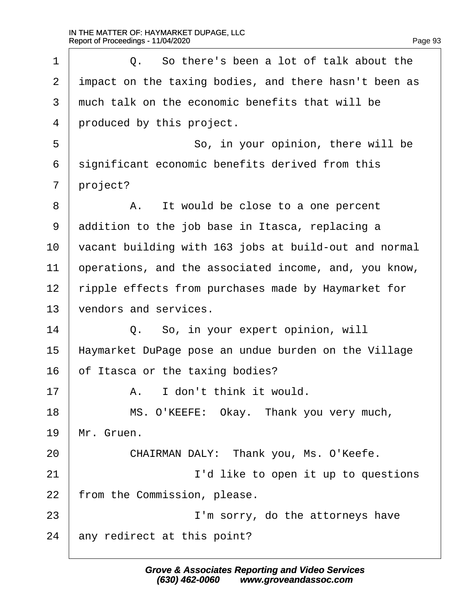1 0. So there's been a lot of talk about the  $2$   $\vert$  impact on the taxing bodies, and there hasn't been as  $3 \pm 3$  much talk on the economic benefits that will be 4 produced by this project. 5 | So, in your opinion, there will be  $6$  significant economic benefits derived from this 7 project? 8 | A. It would be close to a one percent 9 addition to the job base in Itasca, replacing a  $10$   $\vert$  vacant building with 163 jobs at build-out and normal  $11$  | operations, and the associated income, and, you know, 12 | ripple effects from purchases made by Haymarket for 13 vendors and services. 14 | Q. So, in your expert opinion, will 15 | Haymarket DuPage pose an undue burden on the Village  $16$  of Itasca or the taxing bodies? 17 | A. I don't think it would. 18 | MS. O'KEEFE: Okay. Thank you very much,  $19$  | Mr. Gruen. 20 CHAIRMAN DALY: Thank you, Ms. O'Keefe. 21 | South T'd like to open it up to questions  $22$  | from the Commission, please. 23 | **I'm sorry, do the attorneys have**  $24$  any redirect at this point?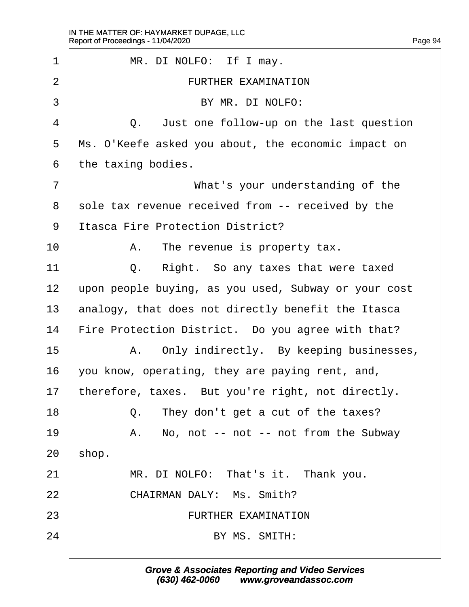1 | MR. DI NOLFO: If I may. ·2· · · · · · · · · · FURTHER EXAMINATION 3 | BY MR. DI NOLFO: 4 0. Just one follow-up on the last question 5 | Ms. O'Keefe asked you about, the economic impact on  $6$  | the taxing bodies. ·7· · · · · · · · · · ·What's your understanding of the 8 sole tax revenue received from -- received by the 9 | Itasca Fire Protection District? 10 | A. The revenue is property tax. 11 | 0. Right. So any taxes that were taxed 12 | upon people buying, as you used, Subway or your cost 13  $\vert$  analogy, that does not directly benefit the Itasca 14 | Fire Protection District. Do you agree with that? 15 A. Only indirectly. By keeping businesses,  $16$  vou know, operating, they are paying rent, and, 17 | therefore, taxes. But you're right, not directly. 18 **18** 0. They don't get a cut of the taxes? 19 | A. No, not -- not -- not from the Subway  $20$  | shop. 21 | MR. DI NOLFO: That's it. Thank you. 22 · 22 · CHAIRMAN DALY: Ms. Smith? 23 · · · · · · · · · · · · · · · · FURTHER EXAMINATION  $24$   $\qquad \qquad$  BY MS. SMITH: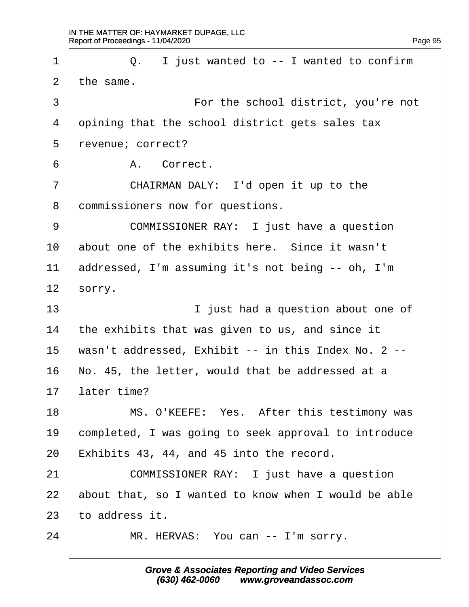$\Gamma$ 

| $\mathbf 1$ | I just wanted to -- I wanted to confirm<br>Q.        |
|-------------|------------------------------------------------------|
| 2           | the same.                                            |
| 3           | For the school district, you're not                  |
| 4           | opining that the school district gets sales tax      |
| 5           | revenue; correct?                                    |
| 6           | A. Correct.                                          |
| 7           | CHAIRMAN DALY: I'd open it up to the                 |
| 8           | commissioners now for questions.                     |
| 9           | COMMISSIONER RAY: I just have a question             |
| 10          | about one of the exhibits here. Since it wasn't      |
| 11          | addressed, I'm assuming it's not being -- oh, I'm    |
| 12          | sorry.                                               |
| 13          | I just had a question about one of                   |
| 14          | the exhibits that was given to us, and since it      |
| 15          | wasn't addressed, Exhibit -- in this Index No. 2 --  |
| 16          | No. 45, the letter, would that be addressed at a     |
| 17          | later time?                                          |
| 18          | MS. O'KEEFE: Yes. After this testimony was           |
| 19          | completed, I was going to seek approval to introduce |
| 20          | Exhibits 43, 44, and 45 into the record.             |
| 21          | COMMISSIONER RAY: I just have a question             |
| 22          | about that, so I wanted to know when I would be able |
| 23          | to address it.                                       |
| 24          | MR. HERVAS: You can -- I'm sorry.                    |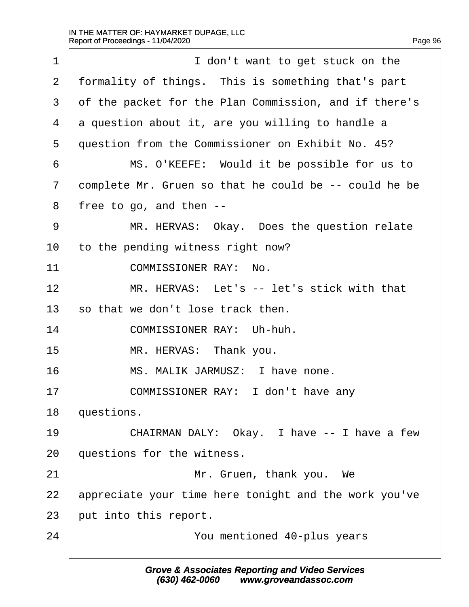| Page 96 |
|---------|
|---------|

| $\mathbf 1$    | I don't want to get stuck on the                      |
|----------------|-------------------------------------------------------|
| $\overline{2}$ | formality of things. This is something that's part    |
| 3              | of the packet for the Plan Commission, and if there's |
| 4              | a question about it, are you willing to handle a      |
| 5              | question from the Commissioner on Exhibit No. 45?     |
| 6              | MS. O'KEEFE: Would it be possible for us to           |
| 7              | complete Mr. Gruen so that he could be -- could he be |
| 8              | free to go, and then $-$ -                            |
| 9              | MR. HERVAS: Okay. Does the question relate            |
| 10             | to the pending witness right now?                     |
| 11             | COMMISSIONER RAY: No.                                 |
| 12             | MR. HERVAS: Let's -- let's stick with that            |
| 13             | so that we don't lose track then.                     |
| 14             | COMMISSIONER RAY: Uh-huh.                             |
| 15             | MR. HERVAS: Thank you.                                |
| 16             | MS. MALIK JARMUSZ: I have none.                       |
| 17             | COMMISSIONER RAY: I don't have any                    |
| 18             | questions.                                            |
| 19             | CHAIRMAN DALY: Okay. I have -- I have a few           |
| 20             | questions for the witness.                            |
| 21             | Mr. Gruen, thank you. We                              |
| 22             | appreciate your time here tonight and the work you've |
| 23             | put into this report.                                 |
| 24             | You mentioned 40-plus years                           |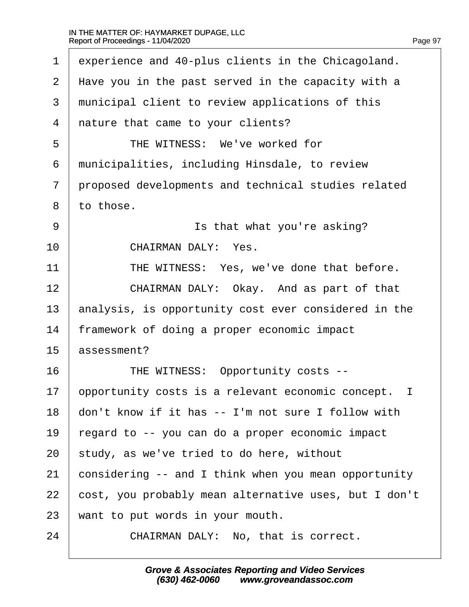$\Gamma$ 

| $\mathbf 1$    | experience and 40-plus clients in the Chicagoland.      |
|----------------|---------------------------------------------------------|
| 2              | Have you in the past served in the capacity with a      |
| 3              | municipal client to review applications of this         |
| $\overline{4}$ | nature that came to your clients?                       |
| 5              | THE WITNESS: We've worked for                           |
| 6              | municipalities, including Hinsdale, to review           |
| 7              | proposed developments and technical studies related     |
| 8              | to those.                                               |
| 9              | Is that what you're asking?                             |
| 10             | CHAIRMAN DALY: Yes.                                     |
| 11             | THE WITNESS: Yes, we've done that before.               |
| 12             | CHAIRMAN DALY: Okay. And as part of that                |
| 13             | analysis, is opportunity cost ever considered in the    |
| 14             | framework of doing a proper economic impact             |
| 15             | assessment?                                             |
| 16             | THE WITNESS: Opportunity costs --                       |
| 17             | opportunity costs is a relevant economic concept.<br>I. |
| 18             | don't know if it has -- I'm not sure I follow with      |
| 19             | regard to -- you can do a proper economic impact        |
| 20             | study, as we've tried to do here, without               |
| 21             | considering -- and I think when you mean opportunity    |
| 22             | cost, you probably mean alternative uses, but I don't   |
| 23             | want to put words in your mouth.                        |
| 24             | CHAIRMAN DALY: No, that is correct.                     |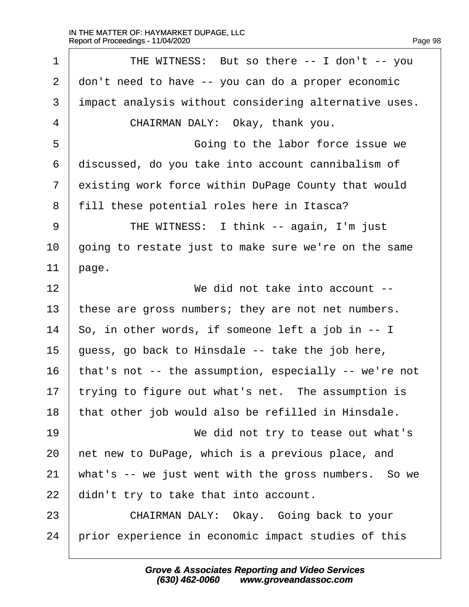1 | THE WITNESS: But so there -- I don't -- you  $2$   $\vert$  don't need to have  $\vert$ - you can do a proper economic  $3$  impact analysis without considering alternative uses. 4 CHAIRMAN DALY: Okay, thank you. 5 | Going to the labor force issue we  $6$  discussed, do you take into account cannibalism of 7 existing work force within DuPage County that would 8 | fill these potential roles here in Itasca? ·9· · · · · ·THE WITNESS:· I think -- again, I'm just  $10$   $\vert$  going to restate just to make sure we're on the same  $11$  | page. 12· · · · · · · · · · ·We did not take into account -- 13 | these are gross numbers; they are not net numbers. 14  $\vert$  So, in other words, if someone left a job in -- I 15  $\vert$  quess, go back to Hinsdale -- take the job here, 16  $\vert$  that's not -- the assumption, especially -- we're not  $17$  trying to figure out what's net. The assumption is  $18$   $\vert$  that other job would also be refilled in Hinsdale. 19· · · · · · · · · · ·We did not try to tease out what's  $20$  | net new to DuPage, which is a previous place, and 21 | what's  $-$  we just went with the gross numbers. So we  $22$  didn't try to take that into account. 23 CHAIRMAN DALY: Okay. Going back to your 24 prior experience in economic impact studies of this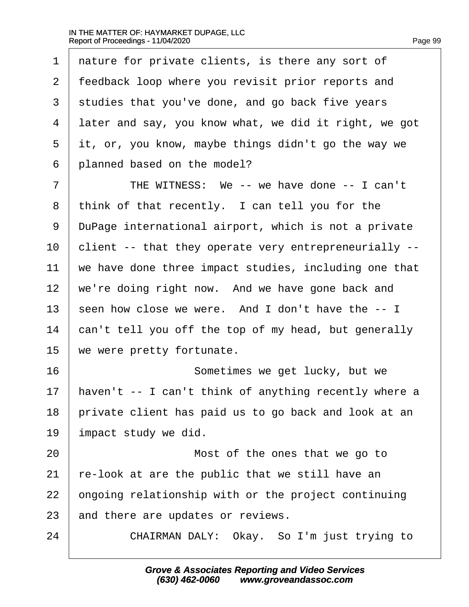$\Gamma$ 

| $\mathbf 1$ | nature for private clients, is there any sort of      |
|-------------|-------------------------------------------------------|
| 2           | feedback loop where you revisit prior reports and     |
| 3           | studies that you've done, and go back five years      |
| 4           | later and say, you know what, we did it right, we got |
| 5           | it, or, you know, maybe things didn't go the way we   |
| 6           | planned based on the model?                           |
| 7           | THE WITNESS: We -- we have done -- I can't            |
| 8           | think of that recently. I can tell you for the        |
| 9           | DuPage international airport, which is not a private  |
| $10 \,$     | client -- that they operate very entrepreneurially -- |
| 11          | we have done three impact studies, including one that |
| 12          | we're doing right now. And we have gone back and      |
| 13          | seen how close we were. And I don't have the -- I     |
| 14          | can't tell you off the top of my head, but generally  |
| 15          | we were pretty fortunate.                             |
| 16          | Sometimes we get lucky, but we                        |
| 17          | haven't -- I can't think of anything recently where a |
| 18          | private client has paid us to go back and look at an  |
| 19          | impact study we did.                                  |
| 20          | Most of the ones that we go to                        |
| 21          | re-look at are the public that we still have an       |
| 22          | ongoing relationship with or the project continuing   |
| 23          | and there are updates or reviews.                     |
| 24          | Okay. So I'm just trying to<br>CHAIRMAN DALY:         |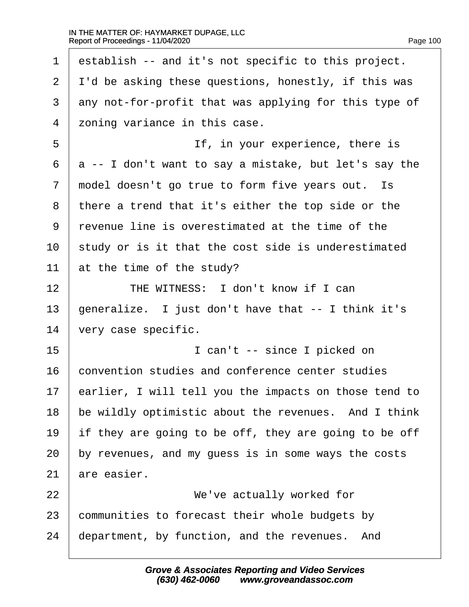$\Gamma$ 

| $\mathbf 1$    | establish -- and it's not specific to this project.   |
|----------------|-------------------------------------------------------|
| $\overline{2}$ | I'd be asking these questions, honestly, if this was  |
| 3              | any not-for-profit that was applying for this type of |
| 4              | zoning variance in this case.                         |
| 5              | If, in your experience, there is                      |
| 6              | a -- I don't want to say a mistake, but let's say the |
| 7              | model doesn't go true to form five years out.<br>Is   |
| 8              | there a trend that it's either the top side or the    |
| 9              | revenue line is overestimated at the time of the      |
| $10 \,$        | study or is it that the cost side is underestimated   |
| 11             | at the time of the study?                             |
| 12             | THE WITNESS: I don't know if I can                    |
| 13             | generalize. I just don't have that -- I think it's    |
| 14             | very case specific.                                   |
| 15             | I can't -- since I picked on                          |
| 16             | convention studies and conference center studies      |
| 17             | earlier, I will tell you the impacts on those tend to |
| 18             | be wildly optimistic about the revenues. And I think  |
| 19             | if they are going to be off, they are going to be off |
| 20             | by revenues, and my guess is in some ways the costs   |
| 21             | are easier.                                           |
| 22             | We've actually worked for                             |
| 23             | communities to forecast their whole budgets by        |
| 24             | department, by function, and the revenues.<br>And     |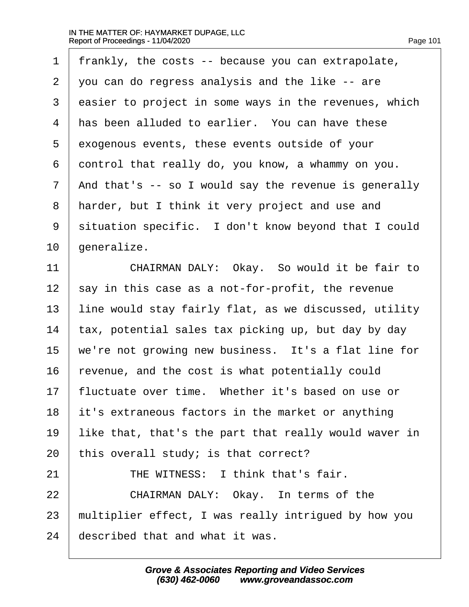| $\mathbf 1$ | frankly, the costs -- because you can extrapolate,     |
|-------------|--------------------------------------------------------|
| 2           | you can do regress analysis and the like -- are        |
| 3           | easier to project in some ways in the revenues, which  |
| 4           | has been alluded to earlier. You can have these        |
| 5           | exogenous events, these events outside of your         |
| 6           | control that really do, you know, a whammy on you.     |
| 7           | And that's $-$ so I would say the revenue is generally |
| 8           | harder, but I think it very project and use and        |
| $\mathsf 9$ | situation specific. I don't know beyond that I could   |
| 10          | generalize.                                            |
| 11          | CHAIRMAN DALY: Okay. So would it be fair to            |
| 12          | say in this case as a not-for-profit, the revenue      |
| 13          | line would stay fairly flat, as we discussed, utility  |
| 14          | tax, potential sales tax picking up, but day by day    |
| 15          | we're not growing new business. It's a flat line for   |
| 16          | revenue, and the cost is what potentially could        |
| 17          | fluctuate over time. Whether it's based on use or      |
| 18          | it's extraneous factors in the market or anything      |
| 19          | like that, that's the part that really would waver in  |
| 20          | this overall study; is that correct?                   |
| 21          | THE WITNESS: I think that's fair.                      |
| 22          | CHAIRMAN DALY: Okay. In terms of the                   |
| 23          | multiplier effect, I was really intrigued by how you   |
| 24          | described that and what it was.                        |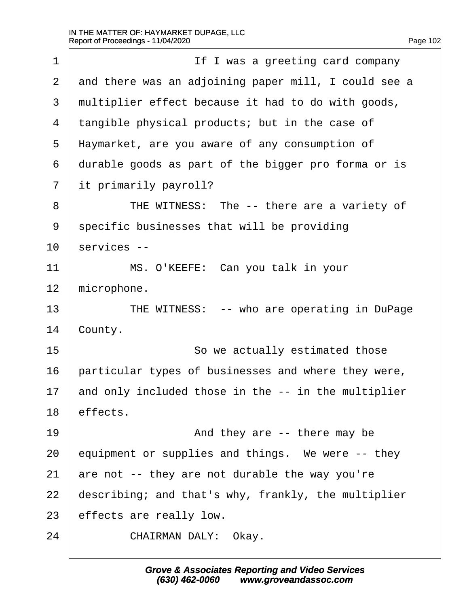| $\mathbf 1$ | If I was a greeting card company                     |
|-------------|------------------------------------------------------|
| 2           | and there was an adjoining paper mill, I could see a |
| 3           | multiplier effect because it had to do with goods,   |
| 4           | tangible physical products; but in the case of       |
| 5           | Haymarket, are you aware of any consumption of       |
| 6           | durable goods as part of the bigger pro forma or is  |
| 7           | it primarily payroll?                                |
| 8           | THE WITNESS: The -- there are a variety of           |
| 9           | specific businesses that will be providing           |
| 10          | services --                                          |
| 11          | MS. O'KEEFE: Can you talk in your                    |
| 12          | microphone.                                          |
| 13          | THE WITNESS: -- who are operating in DuPage          |
| 14          | County.                                              |
| 15          | So we actually estimated those                       |
| 16          | particular types of businesses and where they were,  |
| 17          | and only included those in the -- in the multiplier  |
| 18          | effects.                                             |
| 19          | And they are $-$ there may be                        |
| 20          | equipment or supplies and things. We were -- they    |
| 21          | are not -- they are not durable the way you're       |
| 22          | describing; and that's why, frankly, the multiplier  |
| 23          | effects are really low.                              |
| 24          | CHAIRMAN DALY: Okay.                                 |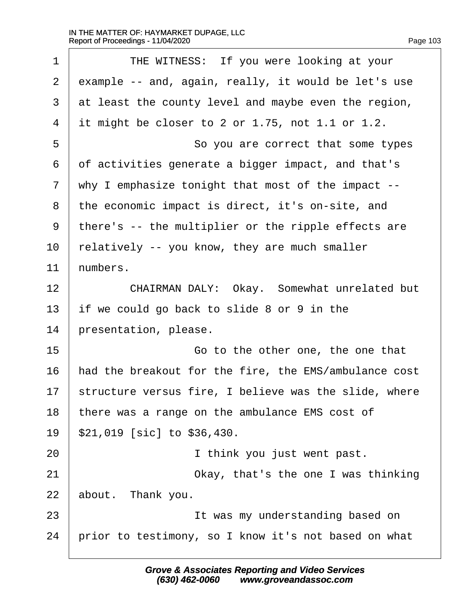$\Gamma$ 

| $\mathbf 1$ | THE WITNESS: If you were looking at your              |
|-------------|-------------------------------------------------------|
| 2           | example -- and, again, really, it would be let's use  |
| 3           | at least the county level and maybe even the region,  |
| 4           | it might be closer to 2 or 1.75, not 1.1 or 1.2.      |
| 5           | So you are correct that some types                    |
| 6           | of activities generate a bigger impact, and that's    |
| 7           | why I emphasize tonight that most of the impact $-$ - |
| 8           | the economic impact is direct, it's on-site, and      |
| 9           | there's -- the multiplier or the ripple effects are   |
| 10          | relatively -- you know, they are much smaller         |
| 11          | numbers.                                              |
| 12          | CHAIRMAN DALY: Okay. Somewhat unrelated but           |
| 13          | if we could go back to slide 8 or 9 in the            |
| 14          | presentation, please.                                 |
| 15          | Go to the other one, the one that                     |
| 16          | had the breakout for the fire, the EMS/ambulance cost |
| 17          | structure versus fire, I believe was the slide, where |
| 18          | there was a range on the ambulance EMS cost of        |
| 19          | \$21,019 [sic] to \$36,430.                           |
| 20          | I think you just went past.                           |
| 21          | Okay, that's the one I was thinking                   |
| 22          | about. Thank you.                                     |
| 23          | It was my understanding based on                      |
| 24          | prior to testimony, so I know it's not based on what  |
|             |                                                       |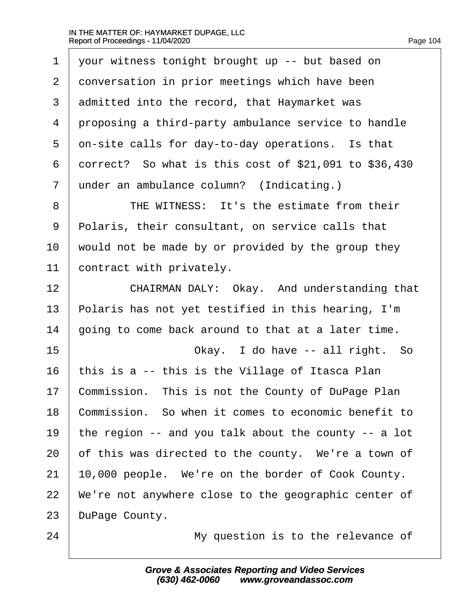$\Gamma$ 

| $\mathbf{1}$   | your witness tonight brought up -- but based on            |
|----------------|------------------------------------------------------------|
| 2              | conversation in prior meetings which have been             |
| 3              | admitted into the record, that Haymarket was               |
| $\overline{4}$ | proposing a third-party ambulance service to handle        |
| 5              | on-site calls for day-to-day operations. Is that           |
| 6              | correct? So what is this cost of $$21,091$ to $$36,430$    |
| 7              | under an ambulance column? (Indicating.)                   |
| 8              | THE WITNESS: It's the estimate from their                  |
| 9              | Polaris, their consultant, on service calls that           |
| 10             | would not be made by or provided by the group they         |
| 11             | contract with privately.                                   |
| 12             | CHAIRMAN DALY: Okay. And understanding that                |
| 13             | Polaris has not yet testified in this hearing, I'm         |
| 14             | going to come back around to that at a later time.         |
| 15             | Okay. I do have -- all right. So                           |
| 16             | this is a -- this is the Village of Itasca Plan            |
| 17             | Commission. This is not the County of DuPage Plan          |
| 18             | Commission. So when it comes to economic benefit to        |
| 19             | the region $-$ - and you talk about the county $-$ - a lot |
| 20             | of this was directed to the county. We're a town of        |
| 21             | 10,000 people. We're on the border of Cook County.         |
| 22             | We're not anywhere close to the geographic center of       |
| 23             | DuPage County.                                             |
| 24             | My question is to the relevance of                         |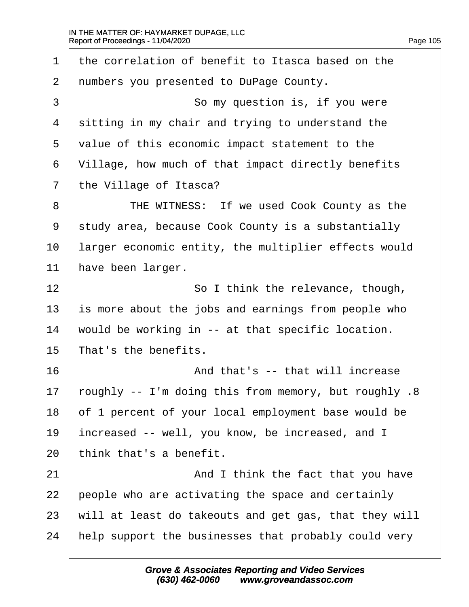| $\mathbf 1$    | the correlation of benefit to Itasca based on the     |
|----------------|-------------------------------------------------------|
| 2              | numbers you presented to DuPage County.               |
| $\mathfrak{Z}$ | So my question is, if you were                        |
| 4              | sitting in my chair and trying to understand the      |
| 5              | value of this economic impact statement to the        |
| 6              | Village, how much of that impact directly benefits    |
| 7              | the Village of Itasca?                                |
| 8              | THE WITNESS: If we used Cook County as the            |
| 9              | study area, because Cook County is a substantially    |
| 10             | larger economic entity, the multiplier effects would  |
| 11             | have been larger.                                     |
| 12             | So I think the relevance, though,                     |
| 13             | is more about the jobs and earnings from people who   |
| 14             | would be working in -- at that specific location.     |
| 15             | That's the benefits.                                  |
| 16             | And that's -- that will increase                      |
| 17             | roughly -- I'm doing this from memory, but roughly .8 |
| 18             | of 1 percent of your local employment base would be   |
| 19             | increased -- well, you know, be increased, and I      |
| 20             | think that's a benefit.                               |
| 21             | And I think the fact that you have                    |
| 22             | people who are activating the space and certainly     |
| 23             | will at least do takeouts and get gas, that they will |
| 24             | help support the businesses that probably could very  |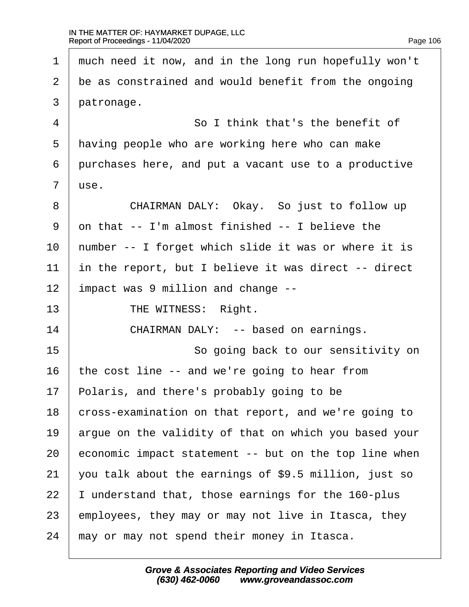1 much need it now, and in the long run hopefully won't  $2$   $\vert$  be as constrained and would benefit from the ongoing  $3$  | patronage. 4 a so I think that's the benefit of 5 | having people who are working here who can make  $6$  purchases here, and put a vacant use to a productive  $7$   $\vert$  use. 8 CHAIRMAN DALY: Okay. So just to follow up  $9$  on that  $-$  I'm almost finished  $-$  I believe the  $10$  | number -- I forget which slide it was or where it is  $11$  in the report, but I believe it was direct -- direct  $12$  | impact was 9 million and change  $-$ -13 | THE WITNESS: Right. 14 CHAIRMAN DALY: -- based on earnings. 15 and 15 and 15 and 15 and 15 and 15 and 15 and 15 and 15 and 16 and 16 and 16 and 16 and 16 and 16 and 16 and 16 and 16 and 16 and 16 and 16 and 16 and 16 and 16 and 16 and 16 and 16 and 16 and 16 and 16 and 16 and 16 an 16 the cost line  $-$  and we're going to hear from  $17$  Polaris, and there's probably going to be 18 cross-examination on that report, and we're going to  $19$  argue on the validity of that on which you based your 20  $\vert$  economic impact statement  $-$ - but on the top line when 21 vou talk about the earnings of \$9.5 million, just so  $22$  | I understand that, those earnings for the 160-plus 23  $\vert$  employees, they may or may not live in Itasca, they  $24$   $\mid$  may or may not spend their money in Itasca.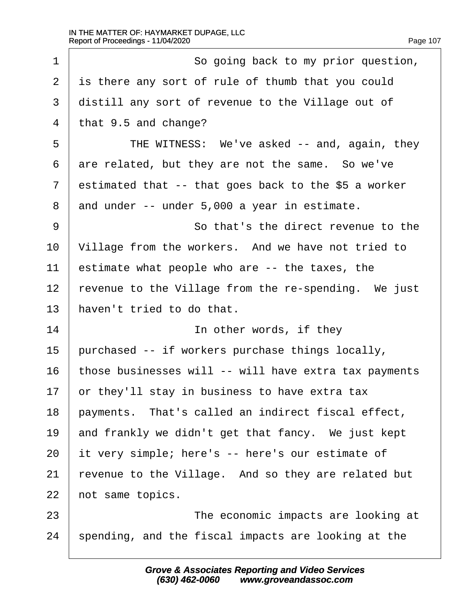$\Gamma$ 

| $\mathbf 1$ | So going back to my prior question,                   |
|-------------|-------------------------------------------------------|
| 2           | is there any sort of rule of thumb that you could     |
| 3           | distill any sort of revenue to the Village out of     |
| 4           | that 9.5 and change?                                  |
| 5           | THE WITNESS: We've asked -- and, again, they          |
| 6           | are related, but they are not the same. So we've      |
| 7           | estimated that -- that goes back to the \$5 a worker  |
| 8           | and under -- under 5,000 a year in estimate.          |
| 9           | So that's the direct revenue to the                   |
| 10          | Village from the workers. And we have not tried to    |
| 11          | estimate what people who are -- the taxes, the        |
| 12          | revenue to the Village from the re-spending. We just  |
| 13          | haven't tried to do that.                             |
| 14          | In other words, if they                               |
| 15          | purchased -- if workers purchase things locally,      |
| 16          | those businesses will -- will have extra tax payments |
| 17          | or they'll stay in business to have extra tax         |
| 18          | payments. That's called an indirect fiscal effect,    |
| 19          | and frankly we didn't get that fancy. We just kept    |
| 20          | it very simple; here's -- here's our estimate of      |
| 21          | revenue to the Village. And so they are related but   |
| 22          | not same topics.                                      |
| 23          | The economic impacts are looking at                   |
| 24          | spending, and the fiscal impacts are looking at the   |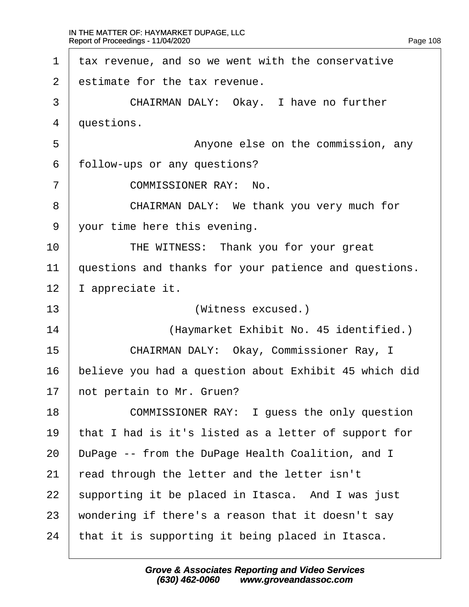<span id="page-108-0"></span> $1$   $\vert$  tax revenue, and so we went with the conservative 2  $\vert$  estimate for the tax revenue. 3 CHAIRMAN DALY: Okay. I have no further 4 | questions. 5 | Anyone else on the commission, any 6 | follow-ups or any questions? 7 | COMMISSIONER RAY: No. 8 CHAIRMAN DALY: We thank you very much for 9 | your time here this evening. 10 THE WITNESS: Thank you for your great  $11$   $\vert$  questions and thanks for your patience and questions.  $12$  | I appreciate it. 13 | **Witness excused.**) 14· · · · · · · · ·(Haymarket Exhibit No. 45 identified.) 15· · · · · ·CHAIRMAN DALY:· Okay, Commissioner Ray, I 16 believe you had a question about Exhibit 45 which did  $17$  not pertain to Mr. Gruen? 18 COMMISSIONER RAY: I quess the only question  $19$  | that I had is it's listed as a letter of support for 20 DuPage -- from the DuPage Health Coalition, and I  $21$   $\vert$  read through the letter and the letter isn't  $22$  supporting it be placed in Itasca. And I was just 23 | wondering if there's a reason that it doesn't say  $24$  | that it is supporting it being placed in Itasca.

> **Grove & Associates Reporting and Video Services (630) 462-0060· · · · www.groveandassoc.com**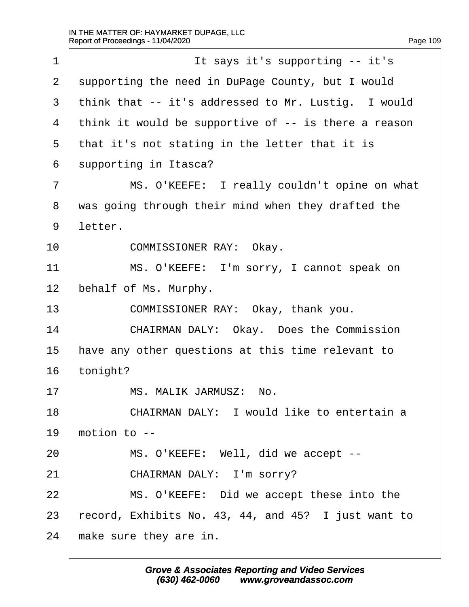<span id="page-109-0"></span>

| $\mathbf 1$    | It says it's supporting -- it's                         |
|----------------|---------------------------------------------------------|
| $\overline{2}$ | supporting the need in DuPage County, but I would       |
| 3              | think that -- it's addressed to Mr. Lustig. I would     |
| 4              | think it would be supportive of $-$ - is there a reason |
| 5              | that it's not stating in the letter that it is          |
| 6              | supporting in Itasca?                                   |
| 7              | MS. O'KEEFE: I really couldn't opine on what            |
| 8              | was going through their mind when they drafted the      |
| 9              | letter.                                                 |
| 10             | COMMISSIONER RAY: Okay.                                 |
| 11             | MS. O'KEEFE: I'm sorry, I cannot speak on               |
| 12             | behalf of Ms. Murphy.                                   |
| 13             | COMMISSIONER RAY: Okay, thank you.                      |
| 14             | CHAIRMAN DALY: Okay. Does the Commission                |
| 15             | have any other questions at this time relevant to       |
| 16             | tonight?                                                |
| 17             | MS. MALIK JARMUSZ:<br>No.                               |
| 18             | CHAIRMAN DALY: I would like to entertain a              |
| 19             | motion to $-$                                           |
| 20             | MS. O'KEEFE: Well, did we accept --                     |
| 21             | CHAIRMAN DALY: I'm sorry?                               |
| 22             | MS. O'KEEFE: Did we accept these into the               |
| 23             | record, Exhibits No. 43, 44, and 45? I just want to     |
| 24             | make sure they are in.                                  |

**Grove & Associates Reporting and Video Services (630) 462-0060· · · · www.groveandassoc.com**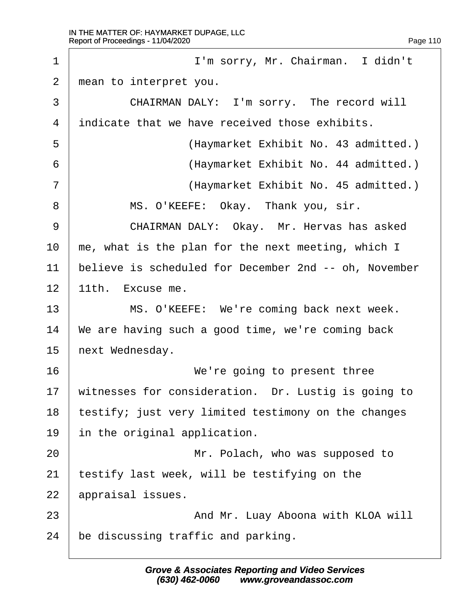<span id="page-110-0"></span>1 | I'm sorry, Mr. Chairman. I didn't 2 | mean to interpret you. 3 CHAIRMAN DALY: I'm sorry. The record will  $4$  indicate that we have received those exhibits. ·5· · · · · · · · · · (Haymarket Exhibit No. 43 admitted.) 6 | (Haymarket Exhibit No. 44 admitted.) 7 | (Haymarket Exhibit No. 45 admitted.) 8 | MS. O'KEEFE: Okay. Thank you, sir. 9 CHAIRMAN DALY: Okay. Mr. Hervas has asked  $10$   $\mid$  me, what is the plan for the next meeting, which I 11 believe is scheduled for December 2nd -- oh, November  $12$  | 11th. Excuse me. 13 | MS. O'KEEFE: We're coming back next week.  $14$  | We are having such a good time, we're coming back  $15$  next Wednesday. 16 **I We're going to present three**  $17$  witnesses for consideration. Dr. Lustig is going to 18 | testify; just very limited testimony on the changes  $19$  | in the original application. 20 | **Interpreterate State Mr. Polach, who was supposed to**  $21$  | testify last week, will be testifying on the  $22$  | appraisal issues. 23 | And Mr. Luay Aboona with KLOA will  $24$  be discussing traffic and parking.

> **Grove & Associates Reporting and Video Services (630) 462-0060· · · · www.groveandassoc.com**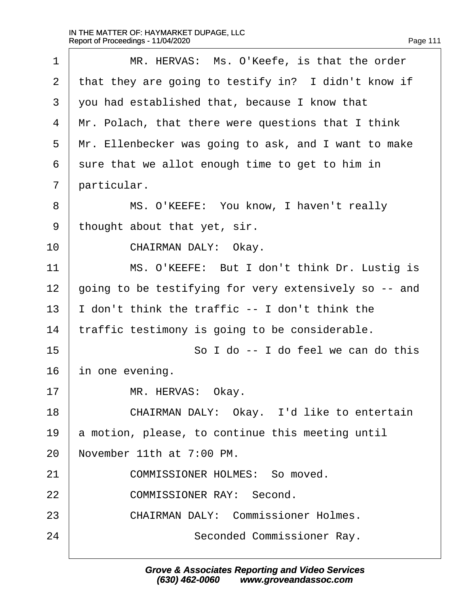| Page 111 |  |  |
|----------|--|--|
|          |  |  |

<span id="page-111-0"></span>

| 1              | MR. HERVAS: Ms. O'Keefe, is that the order            |
|----------------|-------------------------------------------------------|
| 2              | that they are going to testify in? I didn't know if   |
| 3              | you had established that, because I know that         |
| $\overline{4}$ | Mr. Polach, that there were questions that I think    |
| 5              | Mr. Ellenbecker was going to ask, and I want to make  |
| 6              | sure that we allot enough time to get to him in       |
| 7              | particular.                                           |
| 8              | MS. O'KEEFE: You know, I haven't really               |
| 9              | thought about that yet, sir.                          |
| 10             | CHAIRMAN DALY: Okay.                                  |
| 11             | MS. O'KEEFE: But I don't think Dr. Lustig is          |
| 12             | going to be testifying for very extensively so -- and |
| 13             | I don't think the traffic -- I don't think the        |
| 14             | traffic testimony is going to be considerable.        |
| 15             | So I do -- I do feel we can do this                   |
| 16             | in one evening.                                       |
| 17             | MR. HERVAS:<br>Okay.                                  |
| 18             | CHAIRMAN DALY: Okay. I'd like to entertain            |
| 19             | a motion, please, to continue this meeting until      |
| 20             | November 11th at 7:00 PM.                             |
| 21             | COMMISSIONER HOLMES: So moved.                        |
| 22             | COMMISSIONER RAY: Second.                             |
| 23             | CHAIRMAN DALY: Commissioner Holmes.                   |
| 24             | Seconded Commissioner Ray.                            |
|                |                                                       |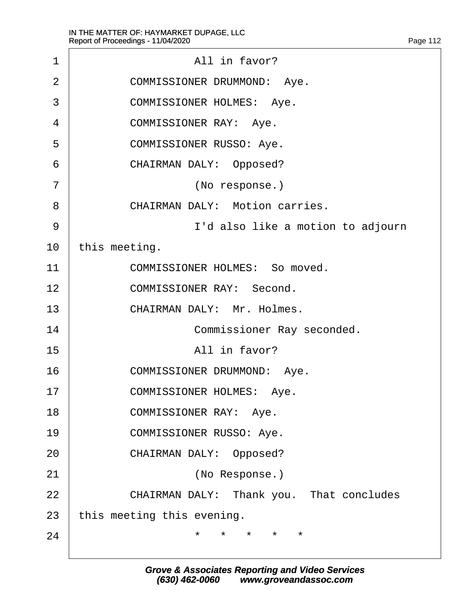$\Gamma$ 

<span id="page-112-0"></span>

| 1              | All in favor?                                  |
|----------------|------------------------------------------------|
| $\overline{2}$ | COMMISSIONER DRUMMOND: Aye.                    |
| 3              | COMMISSIONER HOLMES: Aye.                      |
| 4              | COMMISSIONER RAY: Aye.                         |
| 5              | COMMISSIONER RUSSO: Aye.                       |
| 6              | CHAIRMAN DALY: Opposed?                        |
| 7              | (No response.)                                 |
| 8              | CHAIRMAN DALY: Motion carries.                 |
| 9              | I'd also like a motion to adjourn              |
| 10             | this meeting.                                  |
| 11             | COMMISSIONER HOLMES: So moved.                 |
| 12             | COMMISSIONER RAY: Second.                      |
| 13             | CHAIRMAN DALY: Mr. Holmes.                     |
| 14             | Commissioner Ray seconded.                     |
| 15             | All in favor?                                  |
| 16             | COMMISSIONER DRUMMOND: Aye.                    |
| 17             | COMMISSIONER HOLMES:<br>Aye.                   |
| 18             | COMMISSIONER RAY: Aye.                         |
| 19             | COMMISSIONER RUSSO: Aye.                       |
| 20             | CHAIRMAN DALY: Opposed?                        |
| 21             | (No Response.)                                 |
| 22             | CHAIRMAN DALY: Thank you. That concludes       |
| 23             | this meeting this evening.                     |
| 24             | ¥<br>$\star$<br>$\star$<br>$\star$<br>$^\star$ |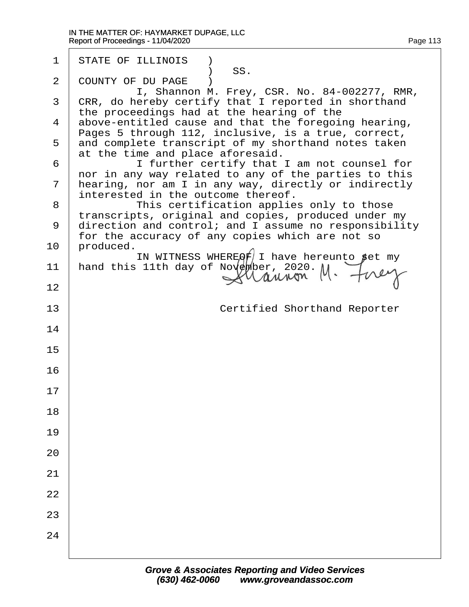| 1  | STATE OF ILLINOIS<br>SS.                                                                                                                         |
|----|--------------------------------------------------------------------------------------------------------------------------------------------------|
| 2  | COUNTY OF DU PAGE                                                                                                                                |
| 3  | I, Shannon M. Frey, CSR. No. 84-002277, RMR,<br>CRR, do hereby certify that I reported in shorthand<br>the proceedings had at the hearing of the |
| 4  | above-entitled cause and that the foregoing hearing,<br>Pages 5 through 112, inclusive, is a true, correct,                                      |
| 5  | and complete transcript of my shorthand notes taken<br>at the time and place aforesaid.                                                          |
| 6  | I further certify that I am not counsel for<br>nor in any way related to any of the parties to this                                              |
| 7  | hearing, nor am I in any way, directly or indirectly<br>interested in the outcome thereof.                                                       |
| 8  | This certification applies only to those<br>transcripts, original and copies, produced under my                                                  |
| 9  | direction and control; and I assume no responsibility<br>for the accuracy of any copies which are not so                                         |
| 10 | produced.<br>IN WITNESS WHEREOF I have hereunto $\beta$ et my                                                                                    |
| 11 | hand this 11th day of November, 2020. $M \cdot \ncong \mathcal{U}$                                                                               |
| 12 |                                                                                                                                                  |
| 13 | Certified Shorthand Reporter                                                                                                                     |
| 14 |                                                                                                                                                  |
| 15 |                                                                                                                                                  |
| 16 |                                                                                                                                                  |
| 17 |                                                                                                                                                  |
| 18 |                                                                                                                                                  |
| 19 |                                                                                                                                                  |
| 20 |                                                                                                                                                  |
| 21 |                                                                                                                                                  |
| 22 |                                                                                                                                                  |
| 23 |                                                                                                                                                  |
| 24 |                                                                                                                                                  |
|    |                                                                                                                                                  |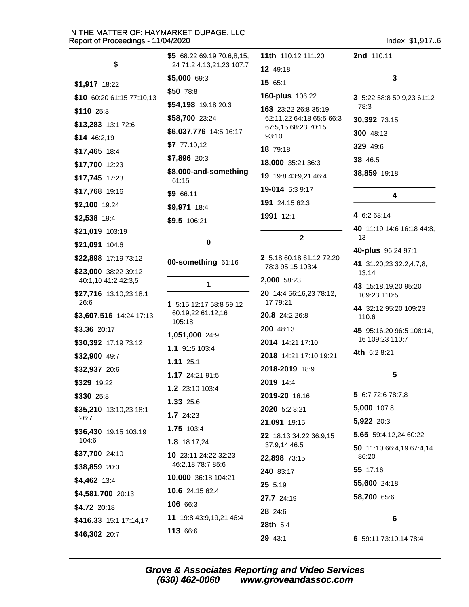**Contract Contract** 

\$

\$5 68:22 69:19 70:6,8,15,

\$5,000 69:3

24 71:2,4,13,21,23 107:7

|                    | Index: \$1,9176 |
|--------------------|-----------------|
| 11th 110:12 111:20 | 2nd 110:11      |
| 12 49:18           |                 |
| 1565:1             |                 |

| \$1,917 18:22                  | \$5,000 69:3                   | 15 65:1                                         | 3                                 |
|--------------------------------|--------------------------------|-------------------------------------------------|-----------------------------------|
| \$10 60:20 61:15 77:10,13      | \$50 78:8                      | 160-plus 106:22                                 | 3 5:22 58:8 59:9,23 61:12         |
| \$110 25:3                     | \$54,198 19:18 20:3            | 163 23:22 26:8 35:19                            | 78:3                              |
| \$13,283 13:1 72:6             | \$58,700 23:24                 | 62:11,22 64:18 65:5 66:3<br>67:5,15 68:23 70:15 | 30,392 73:15                      |
| $$14$ 46:2,19                  | \$6,037,776 14:5 16:17         | 93:10                                           | 300 48:13                         |
| \$17,465 18:4                  | \$77:10,12                     | 18 79:18                                        | 329 49:6                          |
| \$17,700 12:23                 | \$7,896 20:3                   | 18,000 35:21 36:3                               | 38 46:5                           |
| \$17,745 17:23                 | \$8,000-and-something<br>61:15 | 19 19:8 43:9,21 46:4                            | 38,859 19:18                      |
| \$17,768 19:16                 | \$9 66:11                      | 19-014 5:3 9:17                                 | 4                                 |
| \$2,100 19:24                  | \$9,971 18:4                   | 191 24:15 62:3                                  |                                   |
| \$2,538 19:4                   | \$9.5 106:21                   | 1991 12:1                                       | 4 6:2 68:14                       |
| \$21,019 103:19                |                                | $\mathbf{2}$                                    | 40 11:19 14:6 16:18 44:8,<br>13   |
| \$21,091 104:6                 | $\mathbf 0$                    |                                                 | 40-plus 96:24 97:1                |
| \$22,898 17:19 73:12           | 00-something 61:16             | 2 5:18 60:18 61:12 72:20                        | 41 31:20,23 32:2,4,7,8,           |
| \$23,000 38:22 39:12           |                                | 78:3 95:15 103:4                                | 13,14                             |
| 40:1,10 41:2 42:3,5            | 1                              | 2,000 58:23                                     | 43 15:18,19,20 95:20              |
| \$27,716 13:10,23 18:1<br>26:6 | 1 5:15 12:17 58:8 59:12        | 20 14:4 56:16,23 78:12,<br>17 79:21             | 109:23 110:5                      |
| \$3,607,516 14:24 17:13        | 60:19,22 61:12,16<br>105:18    | 20.8 24:2 26:8                                  | 44 32:12 95:20 109:23<br>110:6    |
| \$3.36 20:17                   | 1,051,000 24:9                 | 200 48:13                                       | 45 95:16,20 96:5 108:14,          |
| \$30,392 17:19 73:12           | 1.1 91:5 103:4                 | 2014 14:21 17:10                                | 16 109:23 110:7                   |
| \$32,900 49:7                  | 1.11 25:1                      | 2018 14:21 17:10 19:21                          | 4th 5:2 8:21                      |
| \$32,937 20:6                  | 1.17 24:21 91:5                | 2018-2019 18:9                                  | 5                                 |
| \$329 19:22                    | 1.2 23:10 103:4                | 2019 14:4                                       |                                   |
| \$330 25:8                     | 1.33 25:6                      | 2019-20 16:16                                   | 5 6:7 72:6 78:7,8                 |
| \$35,210 13:10,23 18:1         | 1.7 24:23                      | 2020 5:2 8:21                                   | 5,000 107:8                       |
| 26:7                           | 1.75 103:4                     | 21,091 19:15                                    | 5,922 20:3                        |
| \$36,430 19:15 103:19<br>104:6 | 1.8 18:17,24                   | 22 18:13 34:22 36:9,15                          | 5.65 59:4,12,24 60:22             |
| \$37,700 24:10                 | 10 23:11 24:22 32:23           | 37:9,14 46:5                                    | 50 11:10 66:4,19 67:4,14<br>86:20 |
| \$38,859 20:3                  | 46:2,18 78:7 85:6              | 22,898 73:15                                    | 55 17:16                          |
| \$4,462 13:4                   | 10,000 36:18 104:21            | 240 83:17                                       | 55,600 24:18                      |
| \$4,581,700 20:13              | 10.6 24:15 62:4                | 25 5:19                                         | 58,700 65:6                       |
| \$4.72 20:18                   | 106 66:3                       | 27.7 24:19                                      |                                   |
| \$416.33 15:1 17:14,17         | 11 19:8 43:9,19,21 46:4        | 28 24:6<br>28th 5:4                             | 6                                 |
| \$46,302 20:7                  | 113 66:6                       | 20, 43.1                                        | 6.50.1172.101179.1                |

**Grove & Associates Reporting and Video Services**  $(630)$  462-0060 www.groveandassoc.com

29 43:1

6 59:11 73:10,14 78:4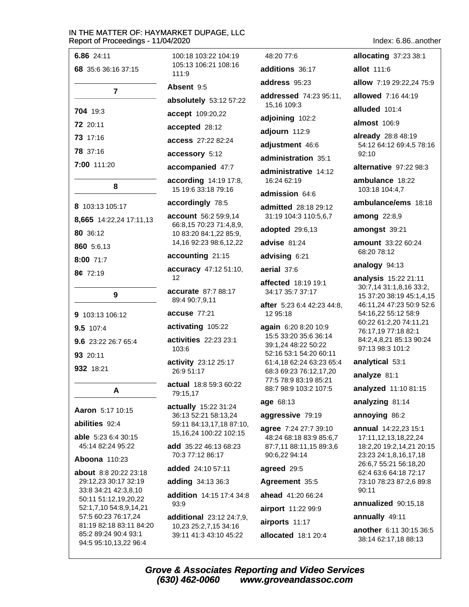| 6.86 24:11                                    | 100:18 103:22 104:19                              | 48:20 77:6                                         | allocating 37:23 38:1                                |
|-----------------------------------------------|---------------------------------------------------|----------------------------------------------------|------------------------------------------------------|
| 68 35:6 36:16 37:15                           | 105:13 106:21 108:16<br>111:9                     | additions 36:17                                    | allot 111:6                                          |
|                                               | Absent 9:5                                        | address 95:23                                      | allow 7:19 29:22,24 75:9                             |
| $\overline{7}$                                | absolutely 53:12 57:22                            | addressed 74:23 95:11,                             | allowed 7:16 44:19                                   |
| 704 19:3                                      | accept 109:20,22                                  | 15,16 109:3                                        | alluded 101:4                                        |
| 72 20:11                                      | accepted 28:12                                    | adjoining 102:2                                    | <b>almost</b> 106:9                                  |
| 73 17:16                                      | access 27:22 82:24                                | adjourn 112:9                                      | already 28:8 48:19                                   |
| 78 37:16                                      | accessory 5:12                                    | adjustment 46:6                                    | 54:12 64:12 69:4,5 78:16<br>92:10                    |
| 7:00 111:20                                   | accompanied 47:7                                  | administration 35:1                                | alternative 97:22 98:3                               |
|                                               | according 14:19 17:8,                             | administrative 14:12<br>16:24 62:19                | ambulance 18:22                                      |
| 8                                             | 15 19:6 33:18 79:16                               | admission 64:6                                     | 103:18 104:4,7                                       |
| 8 103:13 105:17                               | accordingly 78:5                                  | <b>admitted</b> 28:18 29:12                        | ambulance/ems 18:18                                  |
| 8,665 14:22,24 17:11,13                       | account 56:2 59:9,14                              | 31:19 104:3 110:5,6,7                              | among 22:8,9                                         |
| 80 36:12                                      | 66:8,15 70:23 71:4,8,9,<br>10 83:20 84:1,22 85:9, | adopted 29:6,13                                    | amongst 39:21                                        |
| 860 5:6,13                                    | 14,16 92:23 98:6,12,22                            | advise 81:24                                       | <b>amount</b> 33:22 60:24                            |
| 8:00 71:7                                     | accounting 21:15                                  | advising 6:21                                      | 68:20 78:12                                          |
| 8¢ 72:19                                      | accuracy 47:12 51:10,<br>12                       | aerial 37:6                                        | analogy 94:13                                        |
|                                               | <b>accurate</b> 87:7 88:17                        | affected 18:19 19:1                                | analysis 15:22 21:11<br>30:7,14 31:1,8,16 33:2,      |
| $\boldsymbol{9}$                              | 89:4 90:7,9,11                                    | 34:17 35:7 37:17                                   | 15 37:20 38:19 45:1,4,15<br>46:11,24 47:23 50:9 52:6 |
| 9 103:13 106:12                               | accuse 77:21                                      | after 5:23 6:4 42:23 44:8,<br>12 95:18             | 54:16,22 55:12 58:9                                  |
| 9.5 107:4                                     | activating 105:22                                 | again 6:20 8:20 10:9                               | 60:22 61:2,20 74:11,21<br>76:17,19 77:18 82:1        |
| 9.6 23:22 26:7 65:4                           | activities 22:23 23:1                             | 15:5 33:20 35:6 36:14                              | 84:2,4,8,21 85:13 90:24                              |
| 93 20:11                                      | 103:6                                             | 39:1,24 48:22 50:22<br>52:16 53:1 54:20 60:11      | 97:13 98:3 101:2                                     |
| 932 18:21                                     | activity 23:12 25:17<br>26:9 51:17                | 61:4,18 62:24 63:23 65:4<br>68:3 69:23 76:12,17,20 | analytical 53:1                                      |
|                                               | actual 18:8 59:3 60:22                            | 77:5 78:9 83:19 85:21                              | analyze 81:1                                         |
| A                                             | 79:15,17                                          | 88:7 98:9 103:2 107:5                              | analyzed 11:10 81:15                                 |
| Aaron 5:17 10:15                              | actually 15:22 31:24                              | age 68:13                                          | analyzing 81:14                                      |
| abilities 92:4                                | 36:13 52:21 58:13,24<br>59:11 84:13,17,18 87:10,  | aggressive 79:19                                   | annoying 86:2                                        |
| <b>able</b> 5:23 6:4 30:15                    | 15, 16, 24 100: 22 102: 15                        | agree 7:24 27:7 39:10<br>48:24 68:18 83:9 85:6,7   | <b>annual</b> 14:22,23 15:1<br>17:11,12,13,18,22,24  |
| 45:14 82:24 95:22                             | <b>add</b> 35:22 46:13 68:23                      | 87:7,11 88:11,15 89:3,6                            | 18:2,20 19:2,14,21 20:15                             |
| <b>Aboona</b> 110:23                          | 70:3 77:12 86:17                                  | 90:6,22 94:14                                      | 23:23 24:1,8,16,17,18<br>26:6,7 55:21 56:18,20       |
| about 8:8 20:22 23:18                         | added 24:10 57:11                                 | agreed 29:5                                        | 62:4 63:6 64:18 72:17                                |
| 29:12,23 30:17 32:19<br>33:8 34:21 42:3,8,10  | adding 34:13 36:3                                 | Agreement 35:5                                     | 73:10 78:23 87:2,6 89:8<br>90:11                     |
| 50:11 51:12,19,20,22                          | addition 14:15 17:4 34:8<br>93:9                  | ahead 41:20 66:24                                  | annualized 90:15,18                                  |
| 52:1,7,10 54:8,9,14,21<br>57:5 60:23 76:17,24 | additional 23:12 24:7,9,                          | airport 11:22 99:9                                 | annually 49:11                                       |
|                                               |                                                   |                                                    |                                                      |

**additional**  $23:12\,24:7,9$ , airports 11:17 10,23 25:2,7,15 34:16 39:11 41:3 43:10 45:22 allocated 18:1 20:4

81:19 82:18 83:11 84:20

85:2 89:24 90:4 93:1

94:5 95:10,13,22 96:4

another 6:11 30:15 36:5 38:14 62:17,18 88:13

Index: 6.86. another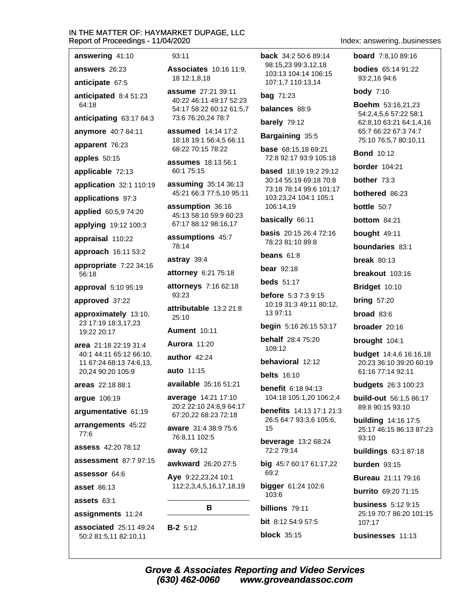answering 41:10

answers 26:23

64:18

anticipate 67:5 anticipated 8:4 51:23

anticipating 63:17 64:3

anymore 40:7 84:11

apparent 76:23

apples 50:15

applicable 72:13

application 32:1 110:19

applications 97:3

applied 60:5,9 74:20

applying 19:12 100:3

appraisal 110:22

approach 16:11 53:2

appropriate 7:22 34:16  $56:18$ 

approval 5:10 95:19

approved 37:22

approximately 13:10, 23 17:19 18:3,17,23 19:22 20:17

area 21:18 22:19 31:4 40:1 44:11 65:12 66:10, 11 67:24 68:13 74:6,13, 20,24 90:20 105:9

areas 22:18 88:1

arque 106:19

argumentative 61:19

arrangements 45:22 77:6

assess 42:20 78:12

assessment 87:7 97:15

assessor 64:6

**asset 86:13** 

assets  $63.1$ 

assignments 11:24

associated 25:11 49:24 50:2 81:5,11 82:10,11

#### $93:11$

**Associates** 10:16 11:9. 18 12:1,8,18

assume 27:21 39:11 40:22 46:11 49:17 52:23 54:17 58:22 60:12 61:5,7 73:6 76:20,24 78:7

assumed 14:14 17:2 18:18 19:1 56:4.5 66:11 68:22 70:15 78:22

**assumes** 18:13 56:1 60:1 75:15

assuming 35:14 36:13 45:21 66:3 77:5,10 95:11

assumption 36:16 45:13 58:10 59:9 60:23 67:17 88:12 98:16,17

assumptions 45:7 78:14

astray 39:4

attorney 6:21 75:18

attorneys 7:16 62:18 93:23

attributable 13:2 21:8  $25:10$ 

**Aument 10:11** 

**Aurora** 11:20

author  $42:24$ 

auto 11:15

available 35:16 51:21

average 14:21 17:10 20:2 22:10 24:8,9 64:17 67:20.22 68:23 72:18

aware 31:4 38:9 75:6 76:8,11 102:5

away 69:12

 $B-2$  5:12

(630) 462-0060

awkward 26:20 27:5

Aye 9:22,23,24 10:1 112:2,3,4,5,16,17,18,19

# B

back 34:2 50:6 89:14 98:15.23 99:3.12.18 103:13 104:14 106:15 107:1,7 110:13,14

**bag** 71:23

balances 88:9

barely 79:12

Bargaining 35:5

**base** 68:15.18 69:21 72:8 92:17 93:9 105:18

**based** 18:19 19:2 29:12 30:14 55:19 69:18 70:8 73:18 78:14 99:6 101:17 103:23,24 104:1 105:1 106:14,19

#### basically 66:11

**basis** 20:15 26:4 72:16 78:23 81:10 89:8

beans  $61:8$ 

bear  $92:18$ 

**beds** 51:17

**before** 5:3 7:3 9:15 10:19 31:3 49:11 80:12, 13 97:11

begin 5:16 26:15 53:17

**behalf** 28:4 75:20 109:12

behavioral 12:12

**belts** 16:10

**benefit** 6:18 94:13 104:18 105:1.20 106:2.4

**benefits** 14:13 17:1 21:3 26:5 64:7 93:3,6 105:6, 15

**beverage** 13:2 68:24 72:2 79:14

big 45:7 60:17 61:17,22 69:2

bigger 61:24 102:6 103:6

billions 79:11 **bit** 8:12 54:9 57:5

www.groveandassoc.com

**block** 35:15

**Grove & Associates Reporting and Video Services** 

#### Index: answering..businesses

**board** 7:8.10 89:16

**bodies** 65:14 91:22 93:2,16 94:6

**body 7:10** 

Boehm 53:16,21,23 54:2,4,5,6 57:22 58:1 62:8,10 63:21 64:1,4,16 65:7 66:22 67:3 74:7 75:10 76:5,7 80:10,11

**Bond** 10:12

**border** 104:21

**bother** 73:3

bothered 86:23

bottle  $50:7$ 

bottom 84:21

bought 49:11

boundaries 83:1

break  $80:13$ 

breakout 103:16

Bridget 10:10

**bring 57:20** 

 $broad 83:6$ 

broader 20:16

brought 104:1

**budget** 14:4,6 16:16,18 20:23 36:10 39:20 60:19 61:16 77:14 92:11

**budgets** 26:3 100:23

89:8 90:15 93:10

**building** 14:16 17:5

**buildings 63:1 87:18** 

**Bureau** 21:11 79:16

**burrito** 69:20 71:15

**business** 5:12 9:15

businesses 11:13

25:19 70:7 86:20 101:15

burden 93:15

 $93.10$ 

 $107:17$ 

**build-out** 56:1.5 86:17

25:17 46:15 86:13 87:23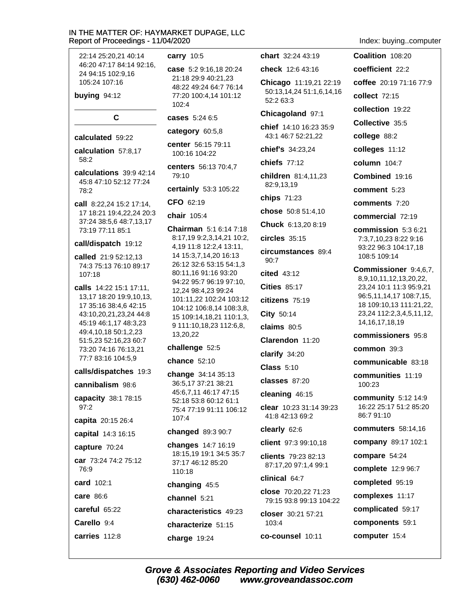22:14 25:20.21 40:14 46:20 47:17 84:14 92:16. 24 94:15 102:9.16 105:24 107:16

buying 94:12

#### C

#### calculated 59:22

calculation 57:8,17 58:2

calculations 39:9 42:14 45:8 47:10 52:12 77:24 78:2

call 8:22.24 15:2 17:14. 17 18:21 19:4,22,24 20:3 37:24 38:5,6 48:7,13,17 73:19 77:11 85:1

#### call/dispatch 19:12

called 21:9 52:12.13 74:3 75:13 76:10 89:17 107:18

calls 14:22 15:1 17:11. 13,17 18:20 19:9,10,13, 17 35:16 38:4.6 42:15 43:10,20,21,23,24 44:8 45:19 46:1,17 48:3,23 49:4,10,18 50:1,2,23 51:5,23 52:16,23 60:7 73:20 74:16 76:13,21 77:7 83:16 104:5,9

#### calls/dispatches 19:3

cannibalism 98:6

capacity 38:1 78:15 97:2

capita 20:15 26:4

capital 14:3 16:15

capture 70:24

car 73:24 74:2 75:12 76:9

card 102:1

care 86:6

careful 65:22

Carello 9:4

carries 112:8

#### carry  $10:5$

case 5:2 9:16.18 20:24 21:18 29:9 40:21,23 48:22 49:24 64:7 76:14 77:20 100:4,14 101:12  $102:4$ 

cases 5:24 6:5

category 60:5,8

center 56:15 79:11 100:16 104:22

centers 56:13 70:4,7 79:10

certainly 53:3 105:22

CFO 62:19

## chair 105:4

**Chairman** 5:1 6:14 7:18 8:17,19 9:2,3,14,21 10:2, 4,19 11:8 12:2,4 13:11, 14 15:3,7,14,20 16:13 26:12 32:6 53:15 54:1,3 80:11,16 91:16 93:20 94:22 95:7 96:19 97:10, 12,24 98:4,23 99:24 101:11,22 102:24 103:12 104:12 106:8,14 108:3,8, 15 109:14,18,21 110:1,3, 9 111:10,18,23 112:6,8, 13,20,22

#### challenge 52:5

chance 52:10

change 34:14 35:13 36:5,17 37:21 38:21 45:6,7,11 46:17 47:15 52:18 53:8 60:12 61:1 75:4 77:19 91:11 106:12  $107:4$ 

#### changed 89:3 90:7

**changes** 14:7 16:19 18:15,19 19:1 34:5 35:7 37:17 46:12 85:20 110:18

#### changing 45:5

channel 5:21

characteristics 49:23

characterize 51:15

charge 19:24

chart 32:24 43:19 check 12:6 43:16

Chicago 11:19,21 22:19

50:13,14,24 51:1,6,14,16 52:2 63:3

#### Chicagoland 97:1

chief 14:10 16:23 35:9 43:1 46:7 52:21,22

chief's 34:23,24

chiefs  $77.12$ 

children 81:4,11,23 82:9,13,19

chips 71:23

chose 50:8 51:4,10

Chuck 6:13,20 8:19

 $circles$  35:15

circumstances 89:4  $90:7$ 

cited 43:12

**Cities 85:17** 

citizens 75:19

City 50:14

claims 80:5

Clarendon 11:20

clarify 34:20

 $Class 5:10$ 

classes 87:20

cleaning  $46:15$ 

clear 10:23 31:14 39:23 41:8 42:13 69:2

#### clearly 62:6

client 97:3 99:10,18

clients 79:23 82:13 87:17,20 97:1,4 99:1

clinical 64:7

close 70:20.22 71:23 79:15 93:8 99:13 104:22

closer 30:21 57:21 103:4

co-counsel 10:11

Index: buying..computer

Coalition 108:20 coefficient 22:2 coffee 20:19 71:16 77:9 collect 72:15 collection 19:22 Collective 35:5 college 88:2 colleges 11:12 column 104:7 Combined 19:16 comment 5:23 comments 7:20 commercial 72:19 commission 5:3 6:21 7:3,7,10,23 8:22 9:16 93:22 96:3 104:17,18 108:5 109:14 Commissioner 9:4,6,7, 8,9,10,11,12,13,20,22, 23,24 10:1 11:3 95:9,21 96:5,11,14,17 108:7,15, 18 109:10.13 111:21.22. 23,24 112:2,3,4,5,11,12, 14, 16, 17, 18, 19 commissioners 95:8  $common$  39:3 communicable 83:18 communities 11:19 100:23 community  $5:12$  14:9 16:22 25:17 51:2 85:20 86:791:10 commuters 58:14,16

company 89:17 102:1

- compare 54:24
- complete 12:9 96:7
- completed 95:19
- complexes 11:17
- complicated 59:17
- components 59:1

computer 15:4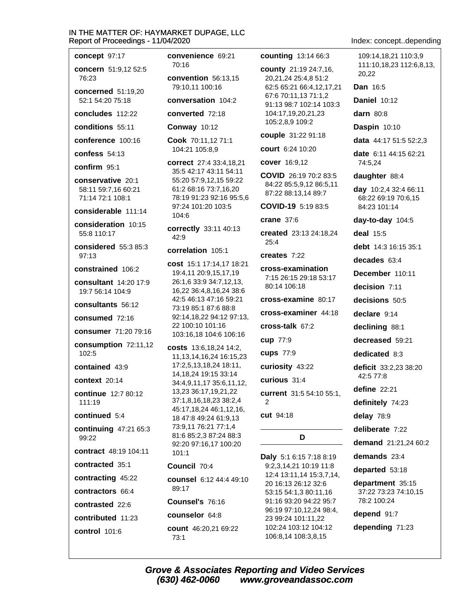concept 97:17

concern 51:9.12 52:5

 $76.23$ concerned 51:19,20 52:1 54:20 75:18

concludes 112:22

conditions 55:11

conference 100:16

confess  $54:13$ 

confirm  $95.1$ 

conservative 20:1 58:11 59:7,16 60:21 71:14 72:1 108:1

considerable 111:14

consideration 10:15 55:8 110:17

considered 55:3 85:3  $97.13$ 

constrained 106:2

consultant 14:20 17:9 19:7 56:14 104:9

consultants 56:12

consumed 72:16

consumer 71:20 79:16

consumption 72:11,12  $102:5$ 

contained 43:9

**context** 20:14

continue 12:7 80:12  $111:19$ 

continued 5:4

continuing 47:21 65:3 99:22

contract 48:19 104:11

contracted 35:1

contracting 45:22

contractors 66:4

contrasted 22:6

contributed 11:23

control 101:6

convenience 69:21 70:16

convention 56:13.15 79:10,11 100:16

conversation 104:2

converted 72:18

**Conway 10:12** 

Cook 70:11,12 71:1 104:21 105:8.9

correct 27:4 33:4.18.21 35:5 42:17 43:11 54:11 55:20 57:9.12.15 59:22 61:2 68:16 73:7,16,20 78:19 91:23 92:16 95:5,6 97:24 101:20 103:5 104:6

correctly 33:11 40:13  $42:9$ 

#### correlation 105:1

cost 15:1 17:14,17 18:21 19:4,11 20:9,15,17,19 26:1,6 33:9 34:7,12,13, 16,22 36:4,8,16,24 38:6 42:5 46:13 47:16 59:21 73:19 85:1 87:6 88:8 92:14,18,22 94:12 97:13, 22 100:10 101:16 103:16.18 104:6 106:16

costs 13:6,18,24 14:2, 11, 13, 14, 16, 24 16: 15, 23 17:2,5,13,18,24 18:11, 14, 18, 24 19: 15 33: 14 34:4,9,11,17 35:6,11,12, 13,23 36:17,19,21,22 37:1,8,16,18,23 38:2,4 45:17,18,24 46:1,12,16, 18 47:8 49:24 61:9,13 73:9,11 76:21 77:1,4 81:6 85:2.3 87:24 88:3 92:20 97:16,17 100:20  $101:1$ 

#### Council 70:4

counsel 6:12 44:4 49:10  $89.17$ Counsel's 76:16

counselor 64:8

(630) 462-0060

count 46:20,21 69:22  $73:1$ 

counting 13:14 66:3

county 21:19 24:7,16, 20,21,24 25:4,8 51:2 62:5 65:21 66:4,12,17,21 67:6 70:11,13 71:1,2 91:13 98:7 102:14 103:3 104:17,19,20,21,23 105:2,8,9 109:2

couple 31:22 91:18

court 6:24 10:20

cover 16:9,12

COVID 26:19 70:2 83:5 84:22 85:5.9.12 86:5.11 87:22 88:13,14 89:7

COVID-19 5:19 83:5

crane  $37:6$ 

created 23:13 24:18.24  $25:4$ 

creates  $7:22$ 

cross-examination 7:15 26:15 29:18 53:17 80:14 106:18

cross-examine 80:17

cross-examiner 44:18

cross-talk 67:2

cup 77:9

cups 77:9

curiosity 43:22

curious 31:4

current 31:5 54:10 55:1,  $\mathcal{P}$ 

cut 94:18

**Grove & Associates Reporting and Video Services** 

# D

Daly 5:1 6:15 7:18 8:19 9:2,3,14,21 10:19 11:8 12:4 13:11,14 15:3,7,14, 20 16:13 26:12 32:6 53:15 54:1,3 80:11,16 91:16 93:20 94:22 95:7 96:19 97:10,12,24 98:4, 23 99:24 101:11,22 102:24 103:12 104:12 106:8,14 108:3,8,15

www.groveandassoc.com

Index: concept..depending

109:14.18.21 110:3.9 111:10,18,23 112:6,8,13, 20.22

**Dan 16:5** 

**Daniel 10:12** 

darn  $80:8$ 

Daspin 10:10

data 44:17 51:5 52:2,3

date 6:11 44:15 62:21 74:5,24

daughter 88:4

day 10:2,4 32:4 66:11 68:22 69:19 70:6,15 84:23 101:14

 $day-to-day$  104:5

**deal** 15:5

debt 14:3 16:15 35:1

decades  $63.4$ 

December 110:11

decision 7:11

decisions 50:5

declare 9:14

declining 88:1

decreased 59:21

dedicated 8:3

deficit 33:2,23 38:20 42:5 77:8

define  $22:21$ 

definitely 74:23

delay 78:9

deliberate 7:22

demand 21:21,24 60:2

demands 23:4

departed 53:18

department 35:15 37:22 73:23 74:10.15 78.2 100.24

depend 91:7

depending 71:23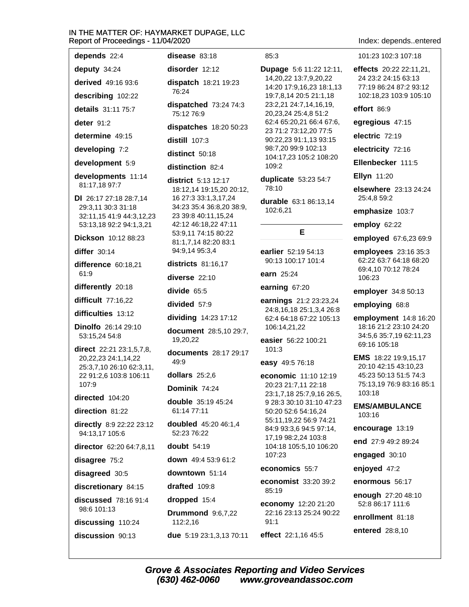depends 22:4 deputy 34:24

derived 49:16 93:6

describing 102:22

details 31:11 75:7

deter  $91.2$ 

determine 49:15

developing 7:2

development 5:9

developments 11:14 81:17,18 97:7

DI 26:17 27:18 28:7,14 29:3,11 30:3 31:18 32:11,15 41:9 44:3,12,23 53:13,18 92:2 94:1,3,21

Dickson 10:12 88:23

differ  $30:14$ 

difference 60:18,21 61:9

differently 20:18

difficult 77:16,22

difficulties 13:12

**Dinolfo** 26:14 29:10 53:15.24 54:8

direct 22:21 23:1,5,7,8, 20, 22, 23 24: 1, 14, 22 25:3,7,10 26:10 62:3,11, 22 91:2,6 103:8 106:11 107:9

directed 104:20

direction 81:22

directly 8:9 22:22 23:12 94:13.17 105:6

director 62:20 64:7,8,11

disagree 75:2

disagreed 30:5

discretionary 84:15

**discussed** 78:16 91:4 98:6 101:13

discussing 110:24

discussion 90:13

disease 83:18 disorder 12:12 dispatch 18:21 19:23 76:24

dispatched 73:24 74:3 75:12 76:9

dispatches 18:20 50:23

distill 107:3

distinct 50:18

distinction 82:4

district 5:13 12:17 18:12,14 19:15,20 20:12, 16 27:3 33:1,3,17,24 34:23 35:4 36:8,20 38:9, 23 39:8 40:11,15,24 42:12 46:18,22 47:11 53:9.11 74:15 80:22 81:1,7,14 82:20 83:1 94:9,14 95:3,4

districts 81:16,17

diverse 22:10

divide  $65:5$ 

divided 57:9

dividina 14:23 17:12

document 28:5,10 29:7, 19,20,22

documents 28:17 29:17 49:9

dollars  $25:2,6$ 

Dominik 74:24

double 35:19 45:24 61:14 77:11

doubled 45:20 46:1,4 52:23 76:22

**doubt** 54:19

down 49:4 53:9 61:2

downtown 51:14

drafted 109:8

dropped 15:4

Drummond 9:6,7,22 112:2,16 due 5:19 23:1,3,13 70:11  $85:3$ 

Dupage 5:6 11:22 12:11, 14,20,22 13:7,9,20,22 14:20 17:9,16,23 18:1,13 19:7,8,14 20:5 21:1,18 23:2,21 24:7,14,16,19, 20,23,24 25:4,8 51:2 62:4 65:20,21 66:4 67:6, 23 71:2 73:12,20 77:5 90:22,23 91:1,13 93:15 98:7,20 99:9 102:13 104:17,23 105:2 108:20 109:2

duplicate 53:23 54:7 78:10

durable 63:1 86:13,14 102:6,21

# E.

earlier 52:19 54:13 90:13 100:17 101:4

earn 25:24

earning 67:20

earnings 21:2 23:23,24 24:8.16.18 25:1.3.4 26:8 62:4 64:18 67:22 105:13 106:14,21,22

easier 56:22 100:21  $101:3$ 

easy 49:5 76:18

economic 11:10 12:19 20:23 21:7.11 22:18 23:1,7,18 25:7,9,16 26:5, 9 28:3 30:10 31:10 47:23 50:20 52:6 54:16.24 55:11,19,22 56:9 74:21 84:9 93:3,6 94:5 97:14, 17,19 98:2,24 103:8 104:18 105:5,10 106:20 107:23

#### economics 55:7

economist 33:20 39:2 85:19

economy 12:20 21:20 22:16 23:13 25:24 90:22  $91:1$ 

effect 22:1,16 45:5

Index: depends..entered

101:23 102:3 107:18

effects 20:22 22:11,21, 24 23:2 24:15 63:13 77:19 86:24 87:2 93:12 102:18,23 103:9 105:10

effort 86:9

egregious 47:15

electric 72:19

electricity 72:16

Ellenbecker 111:5

Ellyn 11:20

elsewhere 23:13 24:24 25:4.8 59:2

emphasize 103:7

employ 62:22

employed 67:6,23 69:9

employees 23:16 35:3 62:22 63:7 64:18 68:20 69:4,10 70:12 78:24 106:23

employer 34:8 50:13

employing 68:8

employment 14:8 16:20 18:16 21:2 23:10 24:20 34:5.6 35:7.19 62:11.23 69:16 105:18

**EMS** 18:22 19:9.15.17 20:10 42:15 43:10.23 45:23 50:13 51:5 74:3 75:13,19 76:9 83:16 85:1 103:18

**EMS/AMBULANCE** 103:16

encourage 13:19

end 27:9 49:2 89:24

engaged 30:10

enjoyed 47:2

enormous 56:17

enough 27:20 48:10 52:8 86:17 111:6

enrollment 81:18

entered 28:8,10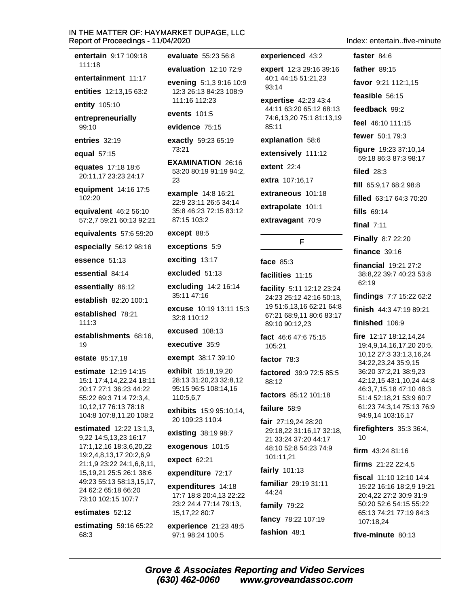entertain 9:17 109:18 111:18 entertainment 11:17 entities 12:13,15 63:2 entity 105:10 entrepreneurially  $99:10$ entries 32:19 equal 57:15 equates 17:18 18:6 20:11,17 23:23 24:17 equipment 14:16 17:5 102:20 equivalent 46:2 56:10 57:2,7 59:21 60:13 92:21 equivalents 57:6 59:20 especially 56:12 98:16 essence 51:13 essential 84:14 essentially 86:12 establish 82:20 100:1 established 78:21  $111:3$ establishments 68:16. 19 estate 85:17,18 estimate 12:19 14:15 15:1 17:4,14,22,24 18:11 20:17 27:1 36:23 44:22 55:22 69:3 71:4 72:3,4, 10.12.17 76:13 78:18 104:8 107:8,11,20 108:2 estimated 12:22 13:1,3, 9,22 14:5,13,23 16:17 17:1,12,16 18:3,6,20,22 19:2,4,8,13,17 20:2,6,9 21:1,9 23:22 24:1,6,8,11, 15, 19, 21 25: 5 26: 1 38: 6

49:23 55:13 58:13,15,17, 24 62:2 65:18 66:20 73:10 102:15 107:7

### estimates 52:12

estimating 59:16 65:22 68:3

evaluate 55:23 56:8 evaluation  $12:10$  72:9

evening 5:1,3 9:16 10:9 12:3 26:13 84:23 108:9 111:16 112:23

#### events 101:5

evidence 75:15

exactly 59:23 65:19 73:21

**EXAMINATION 26:16** 53:20 80:19 91:19 94:2, 23

example 14:8 16:21 22:9 23:11 26:5 34:14 35:8 46:23 72:15 83:12 87:15 103:2

except 88:5

exceptions 5:9

exciting 13:17

excluded 51:13

excluding 14:2 16:14 35:11 47:16

excuse 10:19 13:11 15:3 32:8 110:12

excused 108:13

executive 35:9

exempt 38:17 39:10

exhibit 15:18,19,20 28:13 31:20,23 32:8,12 95:15 96:5 108:14,16 110:5.6.7

exhibits 15:9 95:10.14. 20 109:23 110:4

existing 38:19 98:7

exogenous 101:5

expect 62:21

expenditure 72:17

expenditures 14:18 17:7 18:8 20:4,13 22:22 23:2 24:4 77:14 79:13. 15,17,22 80:7

experience 21:23 48:5 97:1 98:24 100:5

experienced 43:2

expert 12:3 29:16 39:16 40:1 44:15 51:21,23  $93:14$ 

expertise 42:23 43:4 44:11 63:20 65:12 68:13 74:6.13.20 75:1 81:13.19 85:11

explanation 58:6

extensively 111:12

extent  $22:4$ 

extra 107:16,17

extraneous 101:18

extrapolate 101:1

extravagant 70:9

# F

face  $85:3$ 

facilities 11:15

facility 5:11 12:12 23:24 24:23 25:12 42:16 50:13. 19 51:6.13.16 62:21 64:8 67:21 68:9,11 80:6 83:17 89:10 90:12,23

fact 46:6 47:6 75:15 105:21

factor 78:3

factored 39:9 72:5 85:5  $88.12$ 

factors 85:12 101:18

failure 58:9

fair 27:19,24 28:20 29:18,22 31:16,17 32:18, 21 33:24 37:20 44:17 48:10 52:8 54:23 74:9 101:11.21

fairly 101:13

familiar 29:19 31:11 44:24

family  $79:22$ 

fashion 48:1

fancy 78:22 107:19

Index entertain five-minute

faster 84:6 father 89:15 favor 9:21 112:1.15 feasible 56:15 feedback 99:2 feel 46:10 111:15 fewer 50:1 79:3 figure 19:23 37:10,14 59:18 86:3 87:3 98:17 filed  $28:3$ fill 65:9,17 68:2 98:8 filled 63:17 64:3 70:20 fills 69:14 final  $7:11$ **Finally 8:7 22:20** finance  $39:16$ financial 19:21 27:2 38:8,22 39:7 40:23 53:8 62:19 findings 7:7 15:22 62:2 finish  $44:347:1989:21$ finished 106:9 fire 12:17 18:12,14,24 19:4,9,14,16,17,20 20:5, 10,12 27:3 33:1,3,16,24 34:22,23,24 35:9,15 36:20 37:2,21 38:9,23 42:12,15 43:1,10,24 44:8 46:3,7,15,18 47:10 48:3 51:4 52:18,21 53:9 60:7 61:23 74:3.14 75:13 76:9 94:9,14 103:16,17 firefighters 35:3 36:4,  $10$ 

firm  $43:2481:16$ 

firms 21:22 22:4,5

fiscal 11:10 12:10 14:4 15:22 16:16 18:2,9 19:21 20:4.22 27:2 30:9 31:9 50:20 52:6 54:15 55:22 65:13 74:21 77:19 84:3 107:18,24

five-minute 80:13

**Grove & Associates Reporting and Video Services** (630) 462-0060 www.groveandassoc.com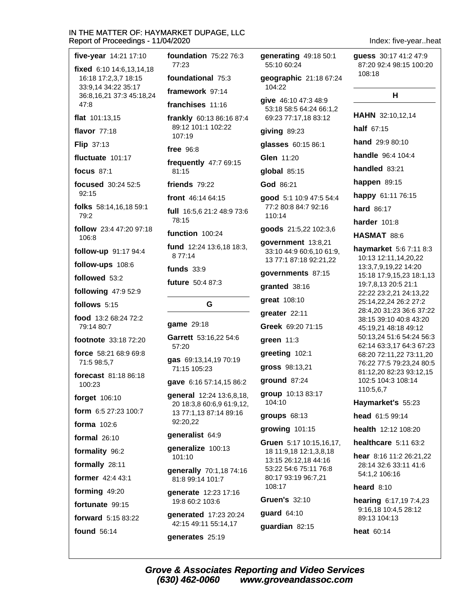| Report of Proceedings - 11/04/2020<br>Index: five-yearheat |                                                       |                                                 |                                                       |  |
|------------------------------------------------------------|-------------------------------------------------------|-------------------------------------------------|-------------------------------------------------------|--|
| five-year 14:21 17:10<br>fixed 6:10 14:6,13,14,18          | foundation 75:22 76:3<br>77:23                        | generating 49:18 50:1<br>55:10 60:24            | guess 30:17 41:2 47:9<br>87:20 92:4 98:15 100:20      |  |
| 16:18 17:2,3,7 18:15                                       | foundational 75:3                                     | geographic 21:18 67:24                          | 108:18                                                |  |
| 33:9,14 34:22 35:17<br>36:8,16,21 37:3 45:18,24            | framework 97:14                                       | 104:22                                          | н                                                     |  |
| 47:8                                                       | franchises 11:16                                      | give 46:10 47:3 48:9<br>53:18 58:5 64:24 66:1,2 |                                                       |  |
| flat 101:13,15                                             | frankly 60:13 86:16 87:4                              | 69:23 77:17,18 83:12                            | HAHN 32:10,12,14                                      |  |
| flavor 77:18                                               | 89:12 101:1 102:22<br>107:19                          | giving 89:23                                    | half 67:15                                            |  |
| <b>Flip 37:13</b>                                          | free $96:8$                                           | glasses 60:15 86:1                              | hand 29:9 80:10                                       |  |
| fluctuate 101:17                                           | frequently 47:7 69:15                                 | Glen 11:20                                      | handle 96:4 104:4                                     |  |
| <b>focus</b> 87:1                                          | 81:15                                                 | global 85:15                                    | handled 83:21                                         |  |
| focused 30:24 52:5                                         | friends 79:22                                         | God 86:21                                       | happen 89:15                                          |  |
| 92:15                                                      | front 46:14 64:15                                     | good 5:1 10:9 47:5 54:4                         | happy 61:11 76:15                                     |  |
| folks 58:14,16,18 59:1<br>79:2                             | full 16:5,6 21:2 48:9 73:6                            | 77:2 80:8 84:7 92:16<br>110:14                  | hard 86:17                                            |  |
| follow 23:4 47:20 97:18                                    | 78:15                                                 | goods 21:5,22 102:3,6                           | <b>harder</b> 101:8                                   |  |
| 106:8                                                      | function 100:24                                       | government 13:8,21                              | HASMAT 88:6                                           |  |
| follow-up 91:17 94:4                                       | fund 12:24 13:6,18 18:3,<br>8 77:14                   | 33:10 44:9 60:6,10 61:9,                        | haymarket 5:6 7:11 8:3<br>10:13 12:11,14,20,22        |  |
| follow-ups 108:6                                           | funds $33:9$                                          | 13 77:1 87:18 92:21,22                          | 13:3,7,9,19,22 14:20                                  |  |
| followed 53:2                                              | future 50:4 87:3                                      | governments 87:15                               | 15:18 17:9,15,23 18:1,13<br>19:7,8,13 20:5 21:1       |  |
| following 47:9 52:9                                        |                                                       | granted 38:16                                   | 22:22 23:2,21 24:13,22                                |  |
| follows 5:15                                               | G                                                     | great 108:10                                    | 25:14,22,24 26:2 27:2<br>28:4,20 31:23 36:6 37:22     |  |
| food 13:2 68:24 72:2                                       | game 29:18                                            | greater 22:11                                   | 38:15 39:10 40:8 43:20                                |  |
| 79:14 80:7                                                 | Garrett 53:16,22 54:6                                 | Greek 69:20 71:15                               | 45:19,21 48:18 49:12<br>50:13,24 51:6 54:24 56:3      |  |
| footnote 33:18 72:20                                       | 57:20                                                 | green $11:3$                                    | 62:14 63:3,17 64:3 67:23                              |  |
| force 58:21 68:9 69:8<br>71:5 98:5,7                       | gas 69:13,14,19 70:19                                 | greeting 102:1                                  | 68:20 72:11,22 73:11,20<br>76:22 77:5 79:23,24 80:5   |  |
| <b>forecast</b> 81:18 86:18                                | 71:15 105:23                                          | gross 98:13,21                                  | 81:12,20 82:23 93:12,15                               |  |
| 100:23                                                     | gave 6:16 57:14,15 86:2                               | ground 87:24                                    | 102:5 104:3 108:14<br>110:5,6,7                       |  |
| forget 106:10                                              | general 12:24 13:6,8,18,<br>20 18:3,8 60:6,9 61:9,12, | group 10:13 83:17<br>104:10                     | Haymarket's 55:23                                     |  |
| form 6:5 27:23 100:7                                       | 13 77:1,13 87:14 89:16                                | groups $68:13$                                  | head 61:5 99:14                                       |  |
| <b>forma</b> 102:6                                         | 92:20,22                                              | growing 101:15                                  | health 12:12 108:20                                   |  |
| formal $26:10$                                             | generalist 64:9                                       | Gruen 5:17 10:15,16,17,                         | healthcare 5:11 63:2                                  |  |
| formality 96:2                                             | generalize 100:13<br>101:10                           | 18 11:9,18 12:1,3,8,18                          | hear 8:16 11:2 26:21,22                               |  |
| formally 28:11                                             | generally 70:1,18 74:16                               | 13:15 26:12,18 44:16<br>53:22 54:6 75:11 76:8   | 28:14 32:6 33:11 41:6                                 |  |
| former 42:4 43:1                                           | 81:8 99:14 101:7                                      | 80:17 93:19 96:7,21<br>108:17                   | 54:1,2 106:16                                         |  |
| forming 49:20                                              | generate 12:23 17:16                                  | <b>Gruen's 32:10</b>                            | heard $8:10$                                          |  |
| fortunate 99:15                                            | 19:8 60:2 103:6                                       | guard 64:10                                     | <b>hearing</b> 6:17,19 7:4,23<br>9:16,18 10:4,5 28:12 |  |
| forward 5:15 83:22                                         | generated 17:23 20:24<br>42:15 49:11 55:14,17         | guardian 82:15                                  | 89:13 104:13                                          |  |
| found 56:14                                                | generates 25:19                                       |                                                 | heat 60:14                                            |  |
|                                                            |                                                       |                                                 |                                                       |  |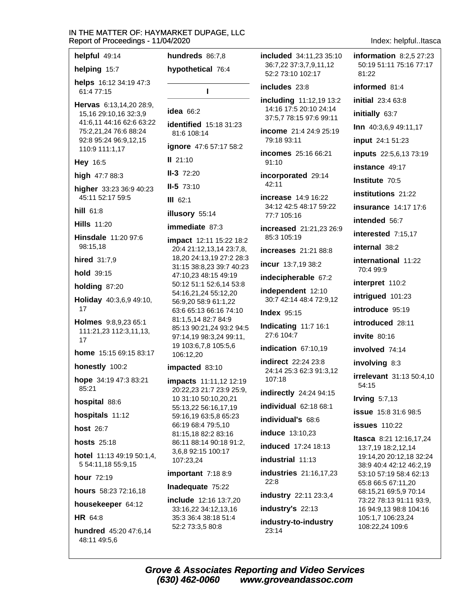| helpful 49:14                                                              | hundreds 86:7,8                                                            |  |  |
|----------------------------------------------------------------------------|----------------------------------------------------------------------------|--|--|
| helping 15:7                                                               | hypothetical 76:4                                                          |  |  |
| helps 16:12 34:19 47:3<br>61:4 77:15                                       | ı                                                                          |  |  |
| Hervas 6:13,14,20 28:9,<br>15,16 29:10,16 32:3,9                           | idea $66:2$                                                                |  |  |
| 41:6,11 44:16 62:6 63:22<br>75:2,21,24 76:6 88:24<br>92:8 95:24 96:9,12,15 | identified 15:18 31:23<br>81:6 108:14                                      |  |  |
| 110:9 111:1,17                                                             | <b>ignore</b> 47:6 57:17 58:2                                              |  |  |
| Hey 16:5                                                                   | $II$ 21:10                                                                 |  |  |
| high 47:7 88:3                                                             | $II-3$ 72:20                                                               |  |  |
| higher 33:23 36:9 40:23                                                    | $II-5$ 73:10                                                               |  |  |
| 45:11 52:17 59:5                                                           | $III$ 62:1                                                                 |  |  |
| hill 61:8                                                                  | illusory 55:14                                                             |  |  |
| <b>Hills 11:20</b>                                                         | immediate 87:3                                                             |  |  |
| Hinsdale 11:20 97:6<br>98:15,18                                            | impact 12:11 15:22 18:2<br>20:4 21:12,13,14 23:7,8,                        |  |  |
| hired 31:7,9                                                               | 18,20 24:13,19 27:2 28:3<br>31:15 38:8,23 39:7 40:23                       |  |  |
| hold 39:15                                                                 | 47:10,23 48:15 49:19                                                       |  |  |
| holding 87:20                                                              | 50:12 51:1 52:6,14 53:8<br>54:16,21,24 55:12,20                            |  |  |
| Holiday 40:3,6,9 49:10,<br>17                                              | 56:9,20 58:9 61:1,22<br>63:6 65:13 66:16 74:10                             |  |  |
| Holmes 9:8,9,23 65:1<br>111:21,23 112:3,11,13,<br>17                       | 81:1,5,14 82:7 84:9<br>85:13 90:21,24 93:2 94:5<br>97:14,19 98:3,24 99:11, |  |  |
| home 15:15 69:15 83:17                                                     | 19 103:6,7,8 105:5,6<br>106:12,20                                          |  |  |
| honestly 100:2                                                             | impacted 83:10                                                             |  |  |
| hope 34:19 47:3 83:21<br>85:21                                             | impacts 11:11,12 12:19<br>20:22,23 21:7 23:9 25:9,                         |  |  |
| hospital 88:6                                                              | 10 31:10 50:10,20,21<br>55:13,22 56:16,17,19                               |  |  |
| hospitals 11:12                                                            | 59:16,19 63:5,8 65:23                                                      |  |  |
| <b>host 26:7</b>                                                           | 66:19 68:4 79:5,10<br>81:15,18 82:2 83:16                                  |  |  |
| <b>hosts</b> 25:18                                                         | 86:11 88:14 90:18 91:2,                                                    |  |  |
| hotel 11:13 49:19 50:1,4,<br>5 54:11,18 55:9,15                            | 3,6,8 92:15 100:17<br>107:23,24                                            |  |  |
| hour 72:19                                                                 | important 7:18 8:9                                                         |  |  |
| hours 58:23 72:16,18                                                       | Inadequate 75:22                                                           |  |  |
| housekeeper 64:12                                                          | include 12:16 13:7,20<br>33:16,22 34:12,13,16                              |  |  |
| <b>HR</b> 64:8                                                             | 35:3 36:4 38:18 51:4                                                       |  |  |
| <b>hundred</b> $45:20$ $47:6,14$<br>48:11 49:5,6                           | 52:2 73:3,5 80:8                                                           |  |  |

**included** 34:11,23 35:10 36:7.22 37:3.7.9.11.12 52:2 73:10 102:17 81:22 includes 23:8 including 11:12,19 13:2 14:16 17:5 20:10 24:14 37:5.7 78:15 97:6 99:11 income 21:4 24:9 25:19 79:18 93:11 incomes 25:16 66:21  $91:10$ incorporated 29:14 42:11 increase 14:9 16:22 34:12 42:5 48:17 59:22 77:7 105:16 increased 21:21,23 26:9 85:3 105:19 increases 21:21 88:8 incur 13:7,19 38:2 indecipherable 67:2 independent 12:10 30:7 42:14 48:4 72:9,12 **Index 95:15** Indicating 11:7 16:1 27:6 104:7 indication 67:10.19 indirect 22:24 23:8 24:14 25:3 62:3 91:3,12 107:18 54:15 indirectly 24:24 94:15 **individual** 62:18 68:1 individual's 68.6 **induce** 13:10,23 induced 17:24 18:13 industrial 11:13 industries 21:16,17,23  $22:8$ industry 22:11 23:3,4 industry's 22:13 industry-to-industry 108:22,24 109:6 23:14

Index: helpful..ltasca

information  $8:2.5$  27:23 50:19 51:11 75:16 77:17 informed 81:4 initial 23:4 63:8 initially 63:7 Inn 40:3,6,9 49:11,17 input 24:1 51:23 inputs 22:5,6,13 73:19 instance 49:17 Institute 70:5 institutions 21:22 **insurance** 14:17 17:6 intended 56:7 interested 7:15,17 internal 38:2 international 11:22 70:4 99:9 interpret 110:2 intrigued 101:23 introduce 95:19 introduced 28:11  $invite$  80:16 involved 74:14 involving 8:3 **irrelevant** 31:13 50:4,10 Irving  $5:7,13$ **issue** 15:8 31:6 98:5 **issues** 110:22 **Itasca** 8:21 12:16,17,24 13:7,19 18:2,12,14 19:14,20 20:12,18 32:24 38:9 40:4 42:12 46:2,19 53:10 57:19 58:4 62:13 65:8 66:5 67:11,20 68:15,21 69:5,9 70:14 73:22 78:13 91:11 93:9, 16 94:9,13 98:8 104:16 105:1,7 106:23,24

**Grove & Associates Reporting and Video Services** (630) 462-0060 www.groveandassoc.com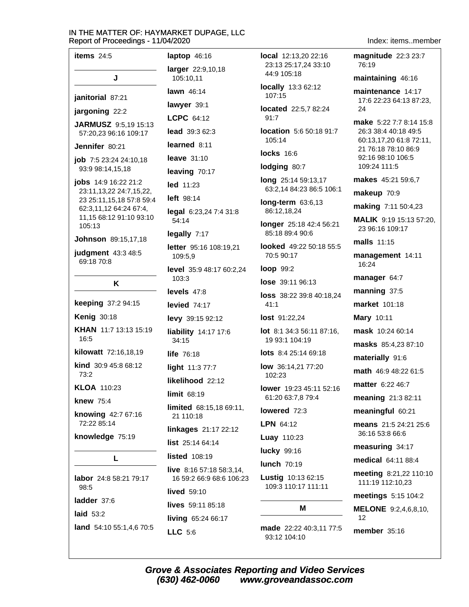| items $24:5$                                                | laptop $46:16$                                 |
|-------------------------------------------------------------|------------------------------------------------|
| J                                                           | larger 22:9,10,18<br>105:10,11                 |
| janitorial 87:21                                            | lawn 46:14                                     |
| jargoning 22:2                                              | lawyer 39:1                                    |
| JARMUSZ 9:5,19 15:13                                        | LCPC 64:12                                     |
| 57:20,23 96:16 109:17                                       | <b>lead</b> $39:362:3$                         |
| Jennifer 80:21                                              | learned 8:11                                   |
| <b>job</b> 7:5 23:24 24:10,18                               | leave $31:10$                                  |
| 93:9 98:14,15,18                                            | leaving 70:17                                  |
| jobs 14:9 16:22 21:2<br>23:11, 13, 22 24: 7, 15, 22,        | led 11:23                                      |
| 23 25:11,15,18 57:8 59:4                                    | left 98:14                                     |
| 62:3,11,12 64:24 67:4,<br>11,15 68:12 91:10 93:10<br>105:13 | legal 6:23,24 7:4<br>54:14                     |
| Johnson 89:15,17,18                                         | legally 7:17                                   |
| judgment 43:3 48:5<br>69:18 70:8                            | letter 95:16 108:1<br>109:5,9                  |
| Κ                                                           | level 35:9 48:17 6<br>103:3                    |
|                                                             | levels 47:8                                    |
| keeping 37:2 94:15                                          | levied $74:17$                                 |
| <b>Kenig 30:18</b>                                          | levy 39:15 92:12                               |
| <b>KHAN</b> 11:7 13:13 15:19<br>16:5                        | liability 14:17 17<br>34:15                    |
| kilowatt 72:16,18,19                                        | life $76:18$                                   |
| kind 30:9 45:8 68:12<br>73:2                                | light 11:3 77:7                                |
|                                                             | likelihood 22:12                               |
| KLOA 110:23                                                 | <b>limit 68:19</b>                             |
| <b>knew 75:4</b><br>knowing 42:7 67:16<br>72:22 85:14       | <b>limited</b> 68:15,18<br>21 110:18           |
|                                                             | <b>linkages</b> 21:17 2                        |
| knowledge 75:19                                             | list 25:14 64:14                               |
| L                                                           | <b>listed</b> 108:19                           |
| labor 24:8 58:21 79:17                                      | <b>live</b> $8:1657:1858$<br>16 59:2 66:9 68:6 |
| 98:5                                                        | <b>lived</b> 59:10                             |
| ladder 37:6                                                 | lives 59:11 85:18                              |
| laid 53:2                                                   | living 65:24 66:1                              |
| land 54:10 55:1,4,6 70:5                                    | LLC 5:6                                        |

 $31:8$  $9,21$ 30:2.24 :6 69:11,  $2:12$  $3:3,14$ 106:23

local 12:13,20 22:16 23:13 25:17.24 33:10 44:9 105:18

**locally** 13:3 62:12 107:15

located 22:5,7 82:24  $91:7$ 

location 5:6 50:18 91:7 105:14

**locks** 16:6

lodging 80:7

long 25:14 59:13,17 63:2,14 84:23 86:5 106:1

long-term 63:6,13 86:12,18,24

longer 25:18 42:4 56:21 85:18 89:4 90:6

looked 49:22 50:18 55:5 70:5 90:17

loop 99:2

lose 39:11 96:13

loss 38:22 39:8 40:18,24  $41:1$ 

lost 91:22.24

lot 8:1 34:3 56:11 87:16, 19 93:1 104:19

lots 8:4 25:14 69:18

low 36:14,21 77:20 102:23

lower 19:23 45:11 52:16 61:20 63:7.8 79:4

lowered 72:3

LPN 64:12

Luay 110:23

lucky 99:16

**lunch 70:19** 

Lustig 10:13 62:15 109:3 110:17 111:11

made 22:22 40:3,11 77:5 93:12 104:10

М

Index: items..member

magnitude 22:3 23:7 76:19

maintaining 46:16

maintenance 14:17 17:6 22:23 64:13 87:23, 24

make 5:22 7:7 8:14 15:8 26:3 38:4 40:18 49:5 60:13,17,20 61:8 72:11, 21 76:18 78:10 86:9 92:16 98:10 106:5 109:24 111:5

makes 45:21 59:6,7

makeup 70:9

making 7:11 50:4,23

MALIK 9:19 15:13 57:20, 23 96:16 109:17

malls 11:15

management 14:11 16:24

manager 64:7

manning 37:5

market 101:18

Mary 10:11

mask 10:24 60:14

masks 85:4,23 87:10

materially 91:6

math 46:9 48:22 61:5

matter 6:22 46:7

meaning 21:3 82:11

meaningful 60:21

means 21:5 24:21 25:6 36:16 53:8 66:6

measuring 34:17

medical 64:11 88:4

meeting 8:21,22 110:10 111:19 112:10,23

meetings 5:15 104:2

**MELONE** 9:2,4,6,8,10,  $12$ 

member 35:16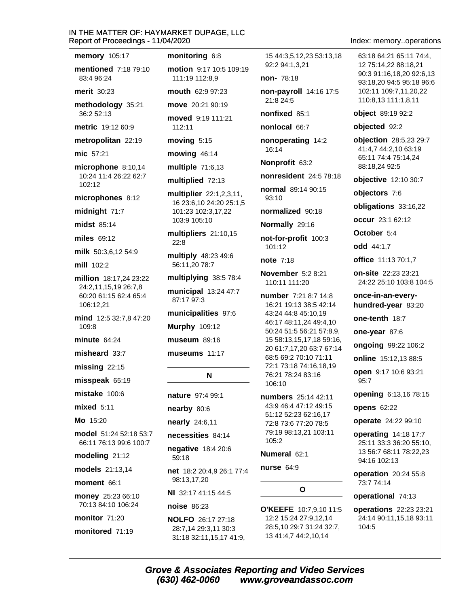memory 105:17 **mentioned** 7:18 79:10 83:4.96:24 **merit** 30:23

methodology 35:21 36:2 52:13

metric 19:12 60:9

metropolitan 22:19

mic 57:21

microphone 8:10,14 10:24 11:4 26:22 62:7  $102:12$ 

microphones 8:12

midnight 71:7

midst 85:14

miles  $69:12$ 

milk 50:3.6.12 54:9

mill 102:2

million 18:17,24 23:22 24:2,11,15,19 26:7,8 60:20 61:15 62:4 65:4 106:12,21

mind 12:5 32:7,8 47:20  $109:8$ 

minute 64.24

misheard 33:7

 $missing$  22:15

misspeak 65:19

mistake 100:6

 $mixed$  5:11

Mo 15:20

model 51:24 52:18 53:7 66:11 76:13 99:6 100:7

modeling 21:12

models 21:13.14

moment 66:1

money 25:23 66:10 70:13 84:10 106:24

monitor 71:20

monitored 71:19

# monitoring  $6:8$

motion 9:17 10:5 109:19 111:19 112:8.9 mouth 62:9 97:23

move 20:21 90:19

moved 9:19 111:21 112:11

moving 5:15

mowing  $46:14$ 

multiple 71:6,13

multiplied 72:13

multiplier 22:1,2,3,11, 16 23:6,10 24:20 25:1,5 101:23 102:3,17,22 103:9 105:10

multipliers 21:10,15  $22:8$ 

multiply 48:23 49:6 56:11,20 78:7

multiplying 38:5 78:4

municipal 13:24 47:7 87:17 97:3

municipalities 97:6

**Murphy 109:12** 

museum 89:16

## museums 11:17

# N

nature 97:4 99:1

nearby 80:6

nearly 24:6,11

necessities 84:14

negative 18:4 20:6

 $59:18$ 

net 18:2 20:4,9 26:1 77:4 98:13.17.20

NI 32:17 41:15 44:5

noise 86:23

(630) 462-0060

**NOLFO** 26:17 27:18 28:7,14 29:3,11 30:3 31:18 32:11,15,17 41:9, 15 44:3.5.12.23 53:13.18 92:2 94:1.3.21

non- 78:18

non-payroll 14:16 17:5 21:8 24:5

nonfixed 85:1

nonlocal 66:7

nonoperating 14:2 16:14

Nonprofit 63:2

nonresident 24:5 78:18

normal 89:14 90:15

93:10

normalized 90:18

Normally 29:16

not-for-profit 100:3 101:12

note  $7.18$ 

**November** 5:2 8:21 110:11 111:20

number 7:21 8:7 14:8 16:21 19:13 38:5 42:14 43:24 44:8 45:10.19 46:17 48:11,24 49:4,10 50:24 51:5 56:21 57:8,9, 15 58:13,15,17,18 59:16, 20 61:7,17,20 63:7 67:14 68:5 69:2 70:10 71:11 72:1 73:18 74:16,18,19 76:21 78:24 83:16 106:10

numbers 25:14 42:11 43:9 46:4 47:12 49:15 51:12 52:23 62:16,17 72:8 73:6 77:20 78:5 79:19 98:13,21 103:11 105:2

# Numeral 62:1

nurse 64:9

**Grove & Associates Reporting and Video Services** 

 $\mathbf{o}$ 

**O'KEEFE** 10:7,9,10 11:5 12:2 15:24 27:9,12,14 28:5,10 29:7 31:24 32:7, 13 41:4,7 44:2,10,14

www.groveandassoc.com

Index: memory..operations

63:18 64:21 65:11 74:4. 12 75:14.22 88:18.21 90:3 91:16,18,20 92:6,13 93:18,20 94:5 95:18 96:6 102:11 109:7,11,20,22 110:8,13 111:1,8,11

object 89:19 92:2

objected 92:2

objection 28:5,23 29:7 41:4,7 44:2,10 63:19 65:11 74:4 75:14,24 88:18,24 92:5

**objective** 12:10 30:7

objectors 7:6

obligations 33:16,22

occur 23:1 62:12

October 5:4

odd 44:1.7

office 11:13 70:1,7

on-site 22:23 23:21 24:22 25:10 103:8 104:5

once-in-an-everyhundred-year 83:20

one-tenth 18:7

one-year 87:6

ongoing 99:22 106:2

online 15:12,13 88:5

open 9:17 10:6 93:21 95:7

**opening** 6:13,16 78:15

**opens 62:22** 

94:16 102:13

73:7 74:14

104:5

operate 24:22 99:10 operating 14:18 17:7

25:11 33:3 36:20 55:10,

13 56:7 68:11 78:22.23

**operation** 20:24 55:8

operations 22:23 23:21

24:14 90:11,15,18 93:11

operational 74:13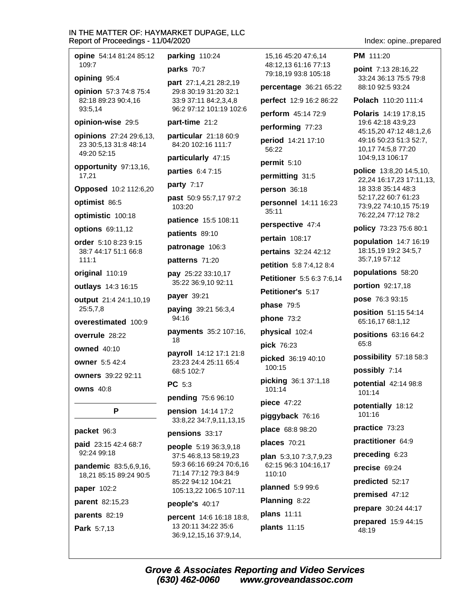| opine 54:14 81:24 85:12                          | parking 110:24                                    | 15,16 45:20 47:6,14                          |
|--------------------------------------------------|---------------------------------------------------|----------------------------------------------|
| 109:7                                            | parks 70:7                                        | 48:12,13 61:16 77:13<br>79:18,19 93:8 105:18 |
| opining 95:4                                     | part 27:1,4,21 28:2,19                            | percentage 36:21 65                          |
| opinion 57:3 74:8 75:4<br>82:18 89:23 90:4,16    | 29:8 30:19 31:20 32:1<br>33:9 37:11 84:2,3,4,8    | perfect 12:9 16:2 86:                        |
| 93:5,14                                          | 96:2 97:12 101:19 102:6                           | perform 45:14 72:9                           |
| opinion-wise 29:5                                | part-time 21:2                                    | performing 77:23                             |
| opinions 27:24 29:6,13,<br>23 30:5,13 31:8 48:14 | particular 21:18 60:9<br>84:20 102:16 111:7       | period 14:21 17:10<br>56:22                  |
| 49:20 52:15                                      | particularly 47:15                                | permit 5:10                                  |
| opportunity 97:13,16,<br>17,21                   | parties 6:4 7:15                                  | permitting 31:5                              |
| Opposed 10:2 112:6,20                            | party 7:17                                        | person 36:18                                 |
| optimist 86:5                                    | past 50:9 55:7,17 97:2<br>103:20                  | personnel 14:11 16:                          |
| optimistic 100:18                                | patience 15:5 108:11                              | 35:11                                        |
| options 69:11,12                                 | patients 89:10                                    | perspective 47:4                             |
| order 5:10 8:23 9:15<br>38:7 44:17 51:1 66:8     | patronage 106:3                                   | pertain 108:17                               |
| 111:1                                            | patterns 71:20                                    | pertains 32:24 42:12                         |
| original 110:19                                  | pay 25:22 33:10,17                                | petition 5:8 7:4,12 8:                       |
| outlays 14:3 16:15                               | 35:22 36:9,10 92:11                               | Petitioner 5:5 6:3 7:6                       |
| output 21:4 24:1,10,19                           | payer 39:21                                       | Petitioner's 5:17                            |
| 25:5,7,8                                         | paying 39:21 56:3,4                               | phase 79:5                                   |
| overestimated 100:9                              | 94:16                                             | phone 73:2                                   |
| overrule 28:22                                   | payments 35:2 107:16,<br>18                       | physical 102:4                               |
| <b>owned</b> 40:10                               | payroll 14:12 17:1 21:8                           | pick 76:23                                   |
| <b>owner</b> 5:5 42:4                            | 23:23 24:4 25:11 65:4                             | picked 36:19 40:10<br>100:15                 |
| owners 39:22 92:11                               | 68:5 102:7                                        | picking 36:1 37:1,18                         |
| <b>owns 40:8</b>                                 | <b>PC</b> 5:3                                     | 101:14                                       |
|                                                  | pending 75:6 96:10                                | <b>piece</b> 47:22                           |
| P                                                | pension 14:14 17:2<br>33:8,22 34:7,9,11,13,15     | piggyback 76:16                              |
| packet 96:3                                      | pensions 33:17                                    | place 68:8 98:20                             |
| <b>paid</b> 23:15 42:4 68:7                      | people 5:19 36:3,9,18                             | places $70:21$                               |
| 92:24 99:18                                      | 37:5 46:8,13 58:19,23                             | <b>plan</b> $5:3,10$ $7:3,7,9,23$            |
| pandemic 83:5,6,9,16,<br>18,21 85:15 89:24 90:5  | 59:3 66:16 69:24 70:6,16<br>71:14 77:12 79:3 84:9 | 62:15 96:3 104:16,17<br>110:10               |
| <b>paper</b> 102:2                               | 85:22 94:12 104:21<br>105:13,22 106:5 107:11      | planned 5:9 99:6                             |
| parent 82:15,23                                  | people's 40:17                                    | Planning 8:22                                |
| parents 82:19                                    | narrant $14.616.1818.8$                           | plans 11:11                                  |

percent 14:6 16:18 18:8, 13 20:11 34:22 35:6 36:9,12,15,16 37:9,14,

Park 5:7,13

 $5:22$ 

22

23

4

 $3,14$ 

**plans** 11:11 plants 11:15 Index: opine..prepared

PM 111:20

point 7:13 28:16,22 33:24 36:13 75:5 79:8 88:10 92:5 93:24

Polach 110:20 111:4

Polaris 14:19 17:8.15 19:6 42:18 43:9,23 45:15,20 47:12 48:1,2,6 49:16 50:23 51:3 52:7, 10,17 74:5,8 77:20 104:9,13 106:17

police 13:8,20 14:5,10, 22,24 16:17,23 17:11,13, 18 33:8 35:14 48:3 52:17,22 60:7 61:23 73:9,22 74:10,15 75:19 76:22,24 77:12 78:2

policy 73:23 75:6 80:1

population 14:7 16:19 18:15,19 19:2 34:5,7 35:7,19 57:12

populations 58:20

portion 92:17,18

pose 76:3 93:15

position 51:15 54:14 65:16,17 68:1,12

positions 63:16 64:2 65:8

possibility 57:18 58:3

possibly 7:14

potential 42:14 98:8 101:14

potentially 18:12 101:16

practice 73:23

practitioner 64:9

preceding 6:23

precise 69:24

predicted 52:17

premised 47:12

prepare 30:24 44:17

prepared 15:9 44:15 48:19

**Grove & Associates Reporting and Video Services**  $(630)$  462-0060 www.groveandassoc.com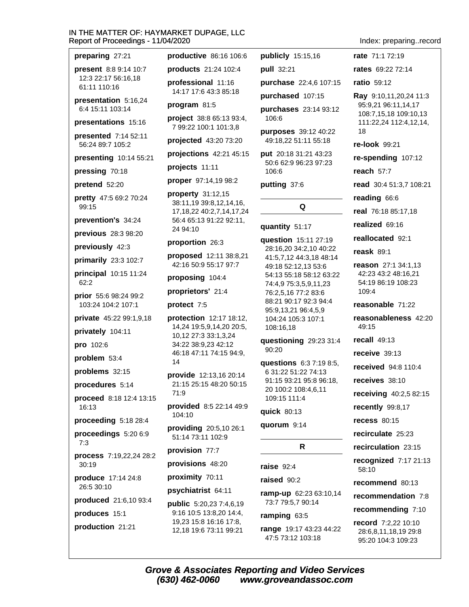| preparing 27:21                             | productive 86:16 106:6                                     | publicly 15:15,16                              | rate 71:1 72:19                              |
|---------------------------------------------|------------------------------------------------------------|------------------------------------------------|----------------------------------------------|
| present 8:8 9:14 10:7                       | products 21:24 102:4                                       | pull 32:21                                     | rates 69:22 72:14                            |
| 12:3 22:17 56:16,18<br>61:11 110:16         | professional 11:16                                         | purchase 22:4,6 107:15                         | <b>ratio</b> 59:12                           |
| presentation 5:16,24                        | 14:17 17:6 43:3 85:18                                      | purchased 107:15                               | Ray 9:10,11,20,24 11:3                       |
| 6:4 15:11 103:14                            | program 81:5                                               | purchases 23:14 93:12                          | 95:9,21 96:11,14,17<br>108:7,15,18 109:10,13 |
| presentations 15:16                         | project 38:8 65:13 93:4,<br>7 99:22 100:1 101:3,8          | 106:6                                          | 111:22,24 112:4,12,14,                       |
| presented 7:14 52:11<br>56:24 89:7 105:2    | projected 43:20 73:20                                      | purposes 39:12 40:22<br>49:18,22 51:11 55:18   | 18<br>re-look 99:21                          |
| presenting 10:14 55:21                      | projections 42:21 45:15                                    | put 20:18 31:21 43:23                          | re-spending 107:12                           |
| pressing 70:18                              | projects 11:11                                             | 50:6 62:9 96:23 97:23<br>106:6                 | reach $57:7$                                 |
| pretend 52:20                               | proper 97:14,19 98:2                                       | putting 37:6                                   | read 30:4 51:3,7 108:21                      |
| pretty 47:5 69:2 70:24                      | property 31:12,15                                          |                                                | reading 66:6                                 |
| 99:15                                       | 38:11,19 39:8,12,14,16,<br>17, 18, 22 40: 2, 7, 14, 17, 24 | Q                                              | real 76:18 85:17,18                          |
| prevention's 34:24                          | 56:4 65:13 91:22 92:11,                                    | quantity 51:17                                 | realized 69:16                               |
| previous 28:3 98:20                         | 24 94:10                                                   | question 15:11 27:19                           | reallocated 92:1                             |
| previously 42:3                             | proportion 26:3                                            | 28:16,20 34:2,10 40:22                         | reask $89:1$                                 |
| primarily 23:3 102:7                        | proposed 12:11 38:8,21<br>42:16 50:9 55:17 97:7            | 41:5,7,12 44:3,18 48:14<br>49:18 52:12,13 53:6 | reason 27:1 34:1,13                          |
| principal 10:15 11:24                       | proposing 104:4                                            | 54:13 55:18 58:12 63:22                        | 42:23 43:2 48:16,21                          |
| 62:2                                        | proprietors' 21:4                                          | 74:4,9 75:3,5,9,11,23<br>76:2,5,16 77:2 83:6   | 54:19 86:19 108:23<br>109:4                  |
| prior 55:6 98:24 99:2<br>103:24 104:2 107:1 | protect 7:5                                                | 88:21 90:17 92:3 94:4                          | reasonable 71:22                             |
| private 45:22 99:1,9,18                     | protection 12:17 18:12,                                    | 95:9,13,21 96:4,5,9<br>104:24 105:3 107:1      | reasonableness 42:20                         |
| privately 104:11                            | 14,24 19:5,9,14,20 20:5,<br>10,12 27:3 33:1,3,24           | 108:16,18                                      | 49:15                                        |
| pro 102:6                                   | 34:22 38:9,23 42:12                                        | questioning 29:23 31:4                         | recall $49:13$                               |
| problem 53:4                                | 46:18 47:11 74:15 94:9,<br>14                              | 90:20                                          | receive $39:13$                              |
| problems 32:15                              | provide 12:13,16 20:14                                     | questions 6:3 7:19 8:5,<br>6 31:22 51:22 74:13 | <b>received</b> 94:8 110:4                   |
| procedures 5:14                             | 21:15 25:15 48:20 50:15                                    | 91:15 93:21 95:8 96:18,<br>20 100:2 108:4,6,11 | receives 38:10                               |
| proceed 8:18 12:4 13:15                     | 71:9                                                       | 109:15 111:4                                   | receiving 40:2,5 82:15                       |
| 16:13                                       | provided 8:5 22:14 49:9<br>104:10                          | quick 80:13                                    | recently 99:8,17                             |
| proceeding 5:18 28:4                        | providing 20:5,10 26:1                                     | quorum 9:14                                    | <b>recess 80:15</b>                          |
| proceedings 5:20 6:9<br>7:3                 | 51:14 73:11 102:9                                          |                                                | recirculate 25:23                            |
| process 7:19,22,24 28:2                     | provision 77:7                                             | R                                              | recirculation 23:15                          |
| 30:19                                       | provisions 48:20                                           | raise $92:4$                                   | recognized 7:17 21:13<br>58:10               |
| produce 17:14 24:8<br>26:5 30:10            | proximity 70:11                                            | raised 90:2                                    | recommend 80:13                              |
|                                             | psychiatrist 64:11                                         | ramp-up 62:23 63:10,14                         | recommendation 7:8                           |
| produced 21:6,10 93:4<br>produces 15:1      | public 5:20,23 7:4,6,19<br>9:16 10:5 13:8,20 14:4,         | 73:7 79:5,7 90:14                              | recommending 7:10                            |
|                                             | 19,23 15:8 16:16 17:8,<br>12,18 19:6 73:11 99:21           | ramping 63:5                                   | record 7:2,22 10:10                          |
| production 21:21                            |                                                            | range 19:17 43:23 44:22<br>47:5 73:12 103:18   | 28:6,8,11,18,19 29:8<br>95:20 104:3 109:23   |

Index: preparing..record

Grove & Associates Reporting and Video Services<br>(630) 462-0060 www.groveandassoc.com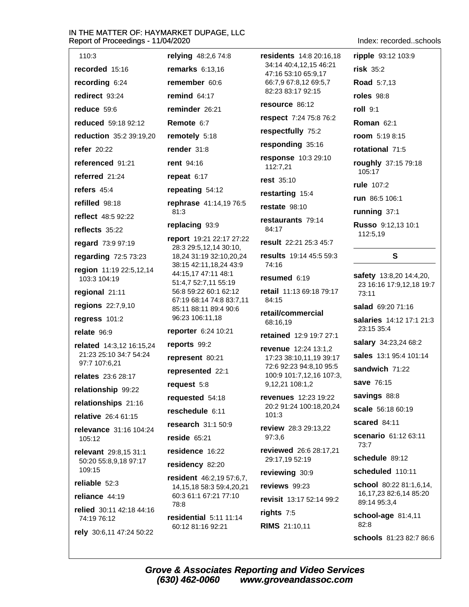| 110:3                                                     | relying 48:2,6 74:8                                | <b>residents</b> 14:8 20:16,18                                         | ripple 93:12 103:9                     |
|-----------------------------------------------------------|----------------------------------------------------|------------------------------------------------------------------------|----------------------------------------|
| recorded 15:16                                            | remarks 6:13,16                                    | 34:14 40:4,12,15 46:21<br>47:16 53:10 65:9,17<br>66:7,9 67:8,12 69:5,7 | $risk$ 35:2                            |
| recording 6:24                                            | remember 60:6                                      |                                                                        | <b>Road</b> 5:7,13                     |
| redirect 93:24                                            | remind $64:17$                                     | 82:23 83:17 92:15                                                      | <b>roles</b> 98:8                      |
| reduce 59:6                                               | reminder 26:21                                     | resource 86:12                                                         | roll 9:1                               |
| reduced 59:18 92:12                                       | Remote 6:7                                         | respect 7:24 75:8 76:2                                                 | <b>Roman 62:1</b>                      |
| reduction 35:2 39:19,20                                   | remotely 5:18                                      | respectfully 75:2                                                      | room 5:19 8:15                         |
| <b>refer</b> 20:22                                        | render 31:8                                        | responding 35:16                                                       | rotational 71:5                        |
| referenced 91:21                                          | rent 94:16                                         | response 10:3 29:10<br>112:7,21                                        | roughly 37:15 79:18                    |
| referred 21:24                                            | repeat $6:17$                                      | <b>rest</b> 35:10                                                      | 105:17                                 |
| refers $45:4$                                             | repeating 54:12                                    | restarting 15:4                                                        | <b>rule</b> 107:2                      |
| refilled 98:18                                            | rephrase 41:14,19 76:5                             | restate 98:10                                                          | run 86:5 106:1                         |
| reflect 48:5 92:22                                        | 81:3                                               | restaurants 79:14                                                      | running 37:1                           |
| reflects 35:22                                            | replacing 93:9                                     | 84:17                                                                  | Russo 9:12,13 10:1<br>112:5,19         |
| regard 73:9 97:19                                         | report 19:21 22:17 27:22<br>28:3 29:5,12,14 30:10, | result 22:21 25:3 45:7                                                 |                                        |
| regarding 72:5 73:23                                      | 18,24 31:19 32:10,20,24                            | results 19:14 45:5 59:3                                                | $\mathbf{s}$                           |
| region 11:19 22:5,12,14                                   | 38:15 42:11,18,24 43:9<br>44:15,17 47:11 48:1      | 74:16                                                                  | safety 13:8,20 14:4,20,                |
| 103:3 104:19                                              | 51:4,7 52:7,11 55:19                               | resumed 6:19                                                           | 23 16:16 17:9,12,18 19:7               |
| regional 21:11                                            | 56:8 59:22 60:1 62:12<br>67:19 68:14 74:8 83:7,11  | retail 11:13 69:18 79:17<br>84:15                                      | 73:11                                  |
| regions 22:7,9,10                                         | 85:11 88:11 89:4 90:6                              | retail/commercial                                                      | salad 69:20 71:16                      |
| regress 101:2                                             | 96:23 106:11,18                                    | 68:16,19                                                               | salaries 14:12 17:1 21:3<br>23:15 35:4 |
| relate 96:9                                               | reporter 6:24 10:21<br>reports 99:2                | retained 12:9 19:7 27:1                                                | salary 34:23,24 68:2                   |
| <b>related</b> 14:3,12 16:15,24<br>21:23 25:10 34:7 54:24 | represent 80:21                                    | <b>revenue</b> 12:24 13:1,2<br>17:23 38:10,11,19 39:17                 | sales 13:1 95:4 101:14                 |
| 97:7 107:6,21                                             | represented 22:1                                   | 72:6 92:23 94:8,10 95:5                                                | sandwich 71:22                         |
| relates 23:6 28:17                                        | request 5:8                                        | 100:9 101:7,12,16 107:3,<br>9,12,21 108:1,2                            | save 76:15                             |
| relationship 99:22                                        | requested 54:18                                    | <b>revenues</b> 12:23 19:22                                            | savings 88:8                           |
| relationships 21:16                                       | reschedule 6:11                                    | 20:2 91:24 100:18,20,24                                                | scale 56:18 60:19                      |
| relative 26:4 61:15                                       | research $31:150:9$                                | 101:3                                                                  | scared 84:11                           |
| relevance 31:16 104:24                                    | reside $65:21$                                     | review 28:3 29:13,22<br>97:3.6                                         | scenario 61:12 63:11                   |
| 105:12<br>relevant 29:8,15 31:1                           | residence 16:22                                    | reviewed 26:6 28:17,21                                                 | 73:7                                   |
| 50:20 55:8,9,18 97:17                                     | residency 82:20                                    | 29:17,19 52:19                                                         | schedule 89:12                         |
| 109:15                                                    | resident 46:2,19 57:6,7,                           | reviewing 30:9                                                         | scheduled 110:11                       |
| reliable 52:3                                             | 14, 15, 18 58: 3 59: 4, 20, 21                     | reviews 99:23                                                          | school 80:22 81:1,6,14,                |
| reliance 44:19                                            | 60:3 61:1 67:21 77:10<br>78:8                      | revisit 13:17 52:14 99:2                                               | 16,17,23 82:6,14 85:20<br>89:14 95:3,4 |
| relied 30:11 42:18 44:16<br>74:19 76:12                   | residential 5:11 11:14                             | rights 7:5                                                             | school-age 81:4,11                     |
| rely 30:6,11 47:24 50:22                                  | 60:12 81:16 92:21                                  | <b>RIMS</b> 21:10,11                                                   | 82:8<br><b>schools</b> 81:23 82:7 86:6 |

Index: recorded..schools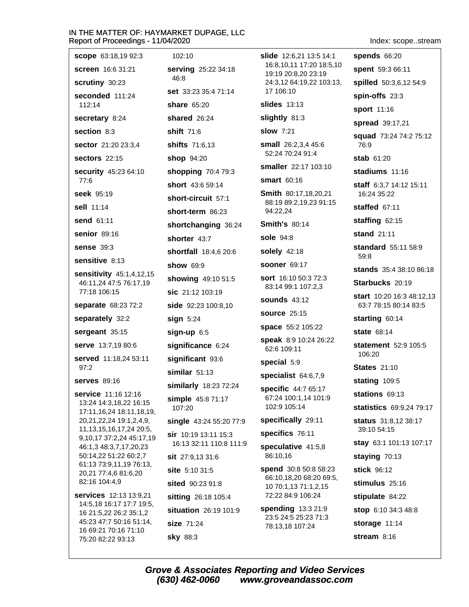| <b>scope</b> 63:18,19 92:3                                                                                     | 102:10                      | <b>slide</b> 12:6,21 13:5 14:1<br>16:8,10,11 17:20 18:5,10<br>19:19 20:8,20 23:19<br>24:3,12 64:19,22 103:13, | <b>spends 66:20</b>                   |
|----------------------------------------------------------------------------------------------------------------|-----------------------------|---------------------------------------------------------------------------------------------------------------|---------------------------------------|
| <b>screen</b> 16:6 31:21                                                                                       | serving 25:22 34:18         |                                                                                                               | spent 59:3 66:11                      |
| <b>scrutiny</b> 30:23                                                                                          | 46:8                        |                                                                                                               | spilled 50:3,6,12 54:9                |
| seconded 111:24<br>112:14                                                                                      | <b>set</b> 33:23 35:4 71:14 | 17 106:10                                                                                                     | spin-offs 23:3                        |
|                                                                                                                | <b>share 65:20</b>          | <b>slides</b> 13:13                                                                                           | sport 11:16                           |
| secretary 8:24                                                                                                 | shared 26:24                | slightly 81:3                                                                                                 | spread 39:17,21                       |
| section 8:3                                                                                                    | <b>shift</b> 71:6           | <b>slow</b> 7:21                                                                                              | squad 73:24 74:2 75:12                |
| sector 21:20 23:3,4                                                                                            | <b>shifts</b> 71:6,13       | <b>small</b> 26:2,3,4 45:6<br>52:24 70:24 91:4                                                                | 76:9                                  |
| <b>sectors</b> 22:15                                                                                           | shop 94:20                  | smaller 22:17 103:10                                                                                          | <b>stab</b> 61:20                     |
| security 45:23 64:10                                                                                           | shopping 70:4 79:3          | <b>smart</b> 60:16                                                                                            | stadiums 11:16                        |
| 77:6                                                                                                           | short 43:6 59:14            |                                                                                                               | <b>staff</b> $6:3.714:1215:11$        |
| <b>seek</b> 95:19                                                                                              | short-circuit 57:1          | Smith 80:17,18,20,21<br>88:19 89:2,19,23 91:15                                                                | 16:24 35:22                           |
| <b>sell</b> 11:14                                                                                              | short-term 86:23            | 94:22,24                                                                                                      | staffed 67:11                         |
| <b>send 61:11</b>                                                                                              | shortchanging 36:24         | <b>Smith's 80:14</b>                                                                                          | staffing 62:15                        |
| senior 89:16                                                                                                   | shorter 43:7                | <b>sole</b> 94:8                                                                                              | stand 21:11                           |
| <b>sense 39:3</b>                                                                                              | shortfall 18:4,6 20:6       | solely 42:18                                                                                                  | standard 55:11 58:9<br>59:8           |
| <b>sensitive 8:13</b>                                                                                          | <b>show 69:9</b>            | <b>sooner 69:17</b>                                                                                           | <b>stands</b> 35:4 38:10 86:18        |
| <b>sensitivity</b> 45:1,4,12,15<br>46:11,24 47:5 76:17,19                                                      | showing 49:10 51:5          | <b>sort</b> 16:10 50:3 72:3                                                                                   | Starbucks 20:19                       |
| 77:18 106:15                                                                                                   | sic 21:12 103:19            | 83:14 99:1 107:2,3                                                                                            | <b>start</b> 10:20 16:3 48:12,13      |
| separate 68:23 72:2                                                                                            | side 92:23 100:8,10         | <b>sounds</b> 43:12                                                                                           | 63:7 78:15 80:14 83:5                 |
| separately 32:2                                                                                                | sign 5:24                   | <b>source 25:15</b>                                                                                           | starting 60:14                        |
| sergeant 35:15                                                                                                 | $sign-up$ 6:5               | space 55:2 105:22                                                                                             | <b>state</b> 68:14                    |
| <b>serve</b> 13:7,19 80:6                                                                                      | significance 6:24           | <b>speak</b> 8:9 10:24 26:22<br>62:6 109:11                                                                   | <b>statement</b> 52:9 105:5<br>106:20 |
| served 11:18,24 53:11<br>97:2                                                                                  | significant 93:6            | special 5:9                                                                                                   | <b>States 21:10</b>                   |
| <b>serves</b> 89:16                                                                                            | similar $51:13$             | specialist $64:6,7,9$                                                                                         | stating 109:5                         |
| <b>service</b> 11:16 12:16                                                                                     | similarly 18:23 72:24       | specific 44:7 65:17                                                                                           | stations 69:13                        |
| 13:24 14:3,18,22 16:15                                                                                         | simple 45:8 71:17<br>107:20 | 67:24 100:1,14 101:9<br>102:9 105:14                                                                          | statistics 69:9,24 79:17              |
| 17:11, 16, 24 18:11, 18, 19,<br>20, 21, 22, 24 19: 1, 2, 4, 9,                                                 | single 43:24 55:20 77:9     | specifically 29:11                                                                                            | <b>status</b> 31:8,12 38:17           |
| 11, 13, 15, 16, 17, 24 20: 5,<br>9,10,17 37:2,24 45:17,19<br>46:1,3 48:3,7,17,20,23<br>50:14,22 51:22 60:2,7   | sir 10:19 13:11 15:3        | specifics 76:11                                                                                               | 39:10 54:15                           |
|                                                                                                                | 16:13 32:11 110:8 111:9     | speculative 41:5,8                                                                                            | stay 63:1 101:13 107:17               |
|                                                                                                                | $s$ it 27:9,13 31:6         | 86:10,16                                                                                                      | staying 70:13                         |
| 61:13 73:9,11,19 76:13,<br>20,21 77:4,6 81:6,20                                                                | site 5:10 31:5              | spend 30:8 50:8 58:23                                                                                         | stick 96:12                           |
| 82:16 104:4,9                                                                                                  | sited 90:23 91:8            | 66:10,18,20 68:20 69:5,<br>10 70:1,13 71:1,2,15                                                               | stimulus 25:16                        |
| <b>services</b> 12:13 13:9,21<br>14:5,18 16:17 17:7 19:5,<br>16 21:5,22 26:2 35:1,2<br>45:23 47:7 50:16 51:14, | sitting 26:18 105:4         | 72:22 84:9 106:24                                                                                             | stipulate 84:22                       |
|                                                                                                                | situation 26:19 101:9       | <b>spending 13:3 21:9</b>                                                                                     | stop 6:10 34:3 48:8                   |
|                                                                                                                | size 71:24                  | 23:5 24:5 25:23 71:3                                                                                          | storage 11:14                         |
| 16 69:21 70:16 71:10                                                                                           | <b>sky 88:3</b>             | 78:13,18 107:24                                                                                               | stream 8:16                           |
| 75:20 82:22 93:13                                                                                              |                             |                                                                                                               |                                       |

Index: scope..stream

Grove & Associates Reporting and Video Services<br>(630) 462-0060 www.groveandassoc.com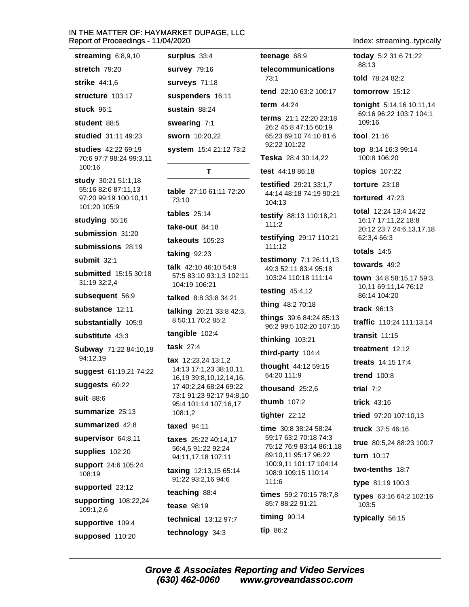stuck 96:1

student 88:5

studied 31:11 49:23

studies 42:22 69:19 70:6 97:7 98:24 99:3,11 100:16

study 30:21 51:1,18 55:16 82:6 87:11,13 97:20 99:19 100:10,11 101:20 105:9

studying 55:16

submission 31:20

submissions 28:19

submit  $32:1$ 

submitted 15:15 30:18 31:19 32:2,4

subsequent 56:9

substance 12:11

substantially 105:9

substitute 43:3

Subway 71:22 84:10.18 94:12,19

suggest 61:19,21 74:22

suggests 60:22

suit 88:6

summarize 25:13

summarized 42:8

supervisor 64:8,11

supplies 102:20

support 24:6 105:24  $108:19$ 

supported 23:12

supporting 108:22,24 109:1,2,6

supportive 109:4

supposed 110:20

surplus  $33:4$ **survey 79:16 surveys 71:18** suspenders 16:11 sustain 88:24 swearing 7:1 sworn 10:20,22

system 15:4 21:12 73:2

# T

table 27:10 61:11 72:20 73:10

tables  $25:14$ 

take-out  $84:18$ 

takeouts 105:23

taking  $92:23$ 

talk 42:10 46:10 54:9 57:5 83:10 93:1.3 102:11 104:19 106:21

talked 8:8 33:8 34:21

talking 20:21 33:8 42:3, 8 50:11 70:2 85:2

tangible 102:4

task  $27:4$ 

tax 12:23.24 13:1.2 14:13 17:1,23 38:10,11, 16, 19 39: 8, 10, 12, 14, 16, 17 40:2.24 68:24 69:22 73:1 91:23 92:17 94:8,10 95:4 101:14 107:16,17 108:1,2

# taxed 94:11

taxes 25:22 40:14,17 56:4,5 91:22 92:24 94:11,17,18 107:11

**taxing** 12:13,15 65:14 91:22 93:2,16 94:6

teaching 88:4

**tease** 98:19

(630) 462-0060

technical 13:12 97:7 technology 34:3

teenage 68:9

#### telecommunications  $73.1$

tend 22:10 63:2 100:17

term 44:24

terms 21:1 22:20 23:18 26:2 45:8 47:15 60:19 65:23 69:10 74:10 81:6 92:22 101:22

Teska 28:4 30:14.22

test 44:18 86:18

testified 29:21 33:1.7 44:14 48:18 74:19 90:21 104:13

testify 88:13 110:18,21  $111:2$ 

testifying 29:17 110:21  $111:12$ 

testimony 7:1 26:11,13 49:3 52:11 83:4 95:18 103:24 110:18 111:14

testing  $45:4,12$ 

thing 48:2 70:18

things 39:6 84:24 85:13 96:2 99:5 102:20 107:15

thinking 103:21

third-party 104:4

thought 44:12 59:15  $64.201119$ 

thousand  $25:2.6$ 

thumb 107:2

tighter  $22:12$ 

time 30:8 38:24 58:24 59:17 63:2 70:18 74:3 75:12 76:9 83:14 86:1,18 89:10,11 95:17 96:22 100:9,11 101:17 104:14 108:9 109:15 110:14 111:6

times 59:2 70:15 78:7.8 85:7 88:22 91:21

www.groveandassoc.com

timing 90:14 tip 86:2

**Grove & Associates Reporting and Video Services** 

Index: streaming..typically

today 5:2 31:6 71:22 88:13

told  $78.2482.2$ 

tomorrow 15:12

tonight 5:14,16 10:11,14 69:16 96:22 103:7 104:1  $109.16$ 

tool 21:16

top 8:14 16:3 99:14 100:8 106:20

topics 107:22

torture  $23:18$ 

tortured 47:23

total 12:24 13:4 14:22 16:17 17:11,22 18:8 20:12 23:7 24:6,13,17,18 62:3.4 66:3

totals  $14:5$ 

towards 49:2

town 34:8 58:15,17 59:3, 10,11 69:11,14 76:12 86:14 104:20

track 96:13

traffic 110:24 111:13.14

transit  $11:15$ 

treatment  $12.12$ 

treats 14:15 17:4

**trend** 100:8

trial  $7:2$ 

trick  $43:16$ 

tried 97:20 107:10.13

truck 37:5 46:16

true 80:5,24 88:23 100:7

types 63:16 64:2 102:16

turn 10:17

103:5

two-tenths 18:7 type 81:19 100:3

typically 56:15